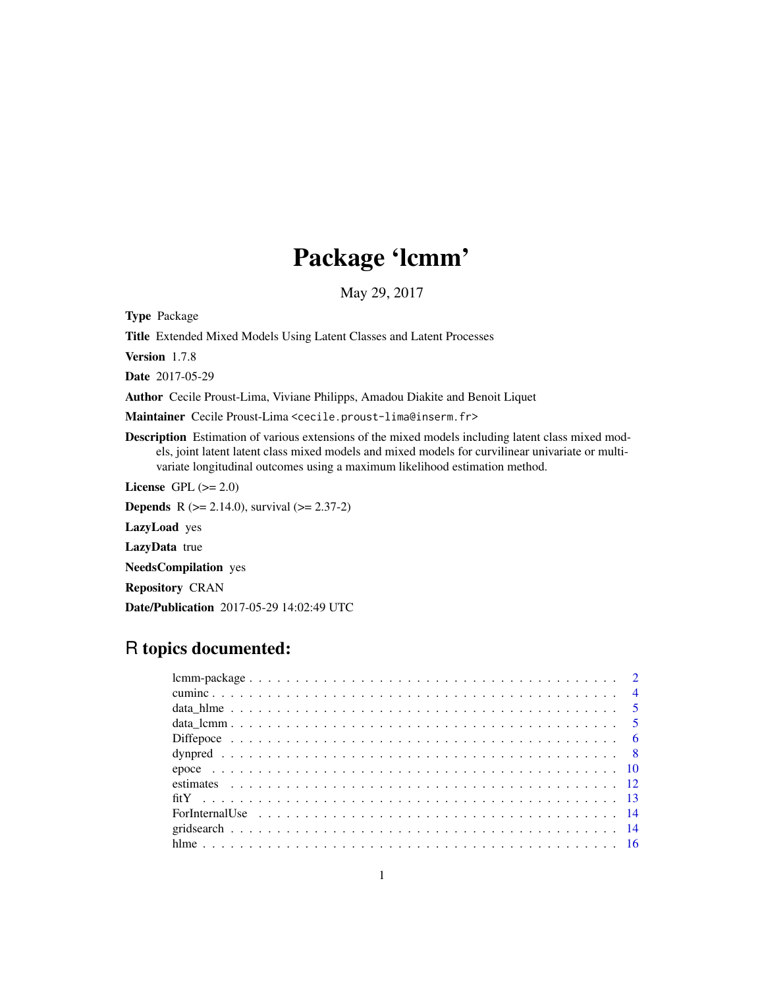# Package 'lcmm'

May 29, 2017

<span id="page-0-0"></span>Type Package

Title Extended Mixed Models Using Latent Classes and Latent Processes

Version 1.7.8

Date 2017-05-29

Author Cecile Proust-Lima, Viviane Philipps, Amadou Diakite and Benoit Liquet

Maintainer Cecile Proust-Lima <cecile.proust-lima@inserm.fr>

Description Estimation of various extensions of the mixed models including latent class mixed models, joint latent latent class mixed models and mixed models for curvilinear univariate or multivariate longitudinal outcomes using a maximum likelihood estimation method.

License GPL  $(>= 2.0)$ 

**Depends** R  $(>= 2.14.0)$ , survival  $(>= 2.37-2)$ 

LazyLoad yes

LazyData true

NeedsCompilation yes

Repository CRAN

Date/Publication 2017-05-29 14:02:49 UTC

# R topics documented: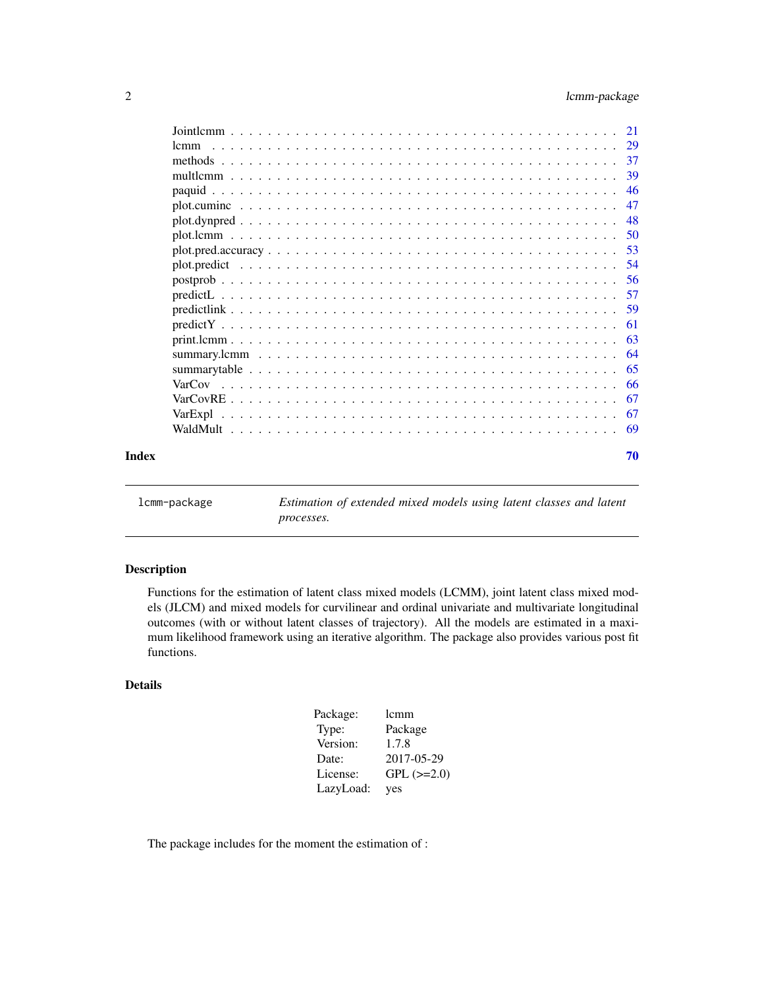<span id="page-1-0"></span>

|       | 1 <sub>cmm</sub> |     |
|-------|------------------|-----|
|       |                  | -37 |
|       |                  | 39  |
|       |                  | 46  |
|       |                  | 47  |
|       |                  | -48 |
|       |                  |     |
|       |                  | .53 |
|       |                  | -54 |
|       |                  | -56 |
|       |                  | 57  |
|       |                  |     |
|       |                  | -61 |
|       |                  | -63 |
|       |                  |     |
|       |                  |     |
|       |                  |     |
|       |                  |     |
|       |                  |     |
|       |                  |     |
| Index |                  | 70  |

lcmm-package *Estimation of extended mixed models using latent classes and latent processes.*

# Description

Functions for the estimation of latent class mixed models (LCMM), joint latent class mixed models (JLCM) and mixed models for curvilinear and ordinal univariate and multivariate longitudinal outcomes (with or without latent classes of trajectory). All the models are estimated in a maximum likelihood framework using an iterative algorithm. The package also provides various post fit functions.

# Details

| Package:  | lcmm              |
|-----------|-------------------|
| Type:     | Package           |
| Version:  | 1.7.8             |
| Date:     | 2017-05-29        |
| License:  | $GPL$ ( $>=2.0$ ) |
| LazyLoad: | yes               |

The package includes for the moment the estimation of :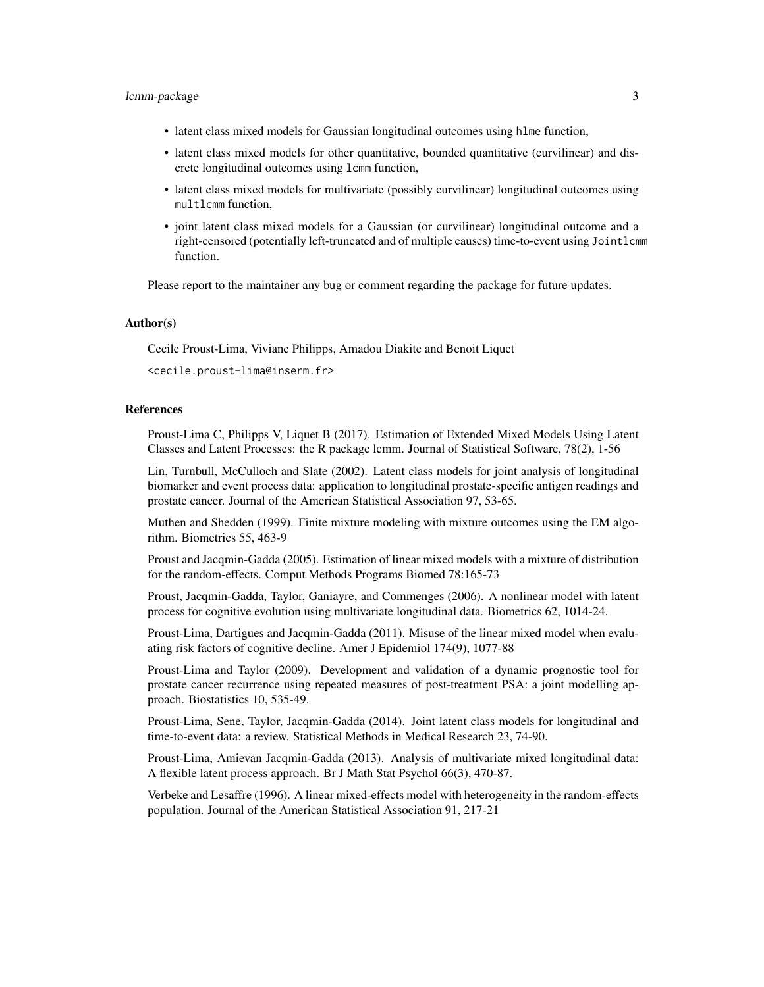- latent class mixed models for Gaussian longitudinal outcomes using hlme function,
- latent class mixed models for other quantitative, bounded quantitative (curvilinear) and discrete longitudinal outcomes using lcmm function,
- latent class mixed models for multivariate (possibly curvilinear) longitudinal outcomes using multlcmm function,
- joint latent class mixed models for a Gaussian (or curvilinear) longitudinal outcome and a right-censored (potentially left-truncated and of multiple causes) time-to-event using Jointlcmm function.

Please report to the maintainer any bug or comment regarding the package for future updates.

#### Author(s)

Cecile Proust-Lima, Viviane Philipps, Amadou Diakite and Benoit Liquet

<cecile.proust-lima@inserm.fr>

#### References

Proust-Lima C, Philipps V, Liquet B (2017). Estimation of Extended Mixed Models Using Latent Classes and Latent Processes: the R package lcmm. Journal of Statistical Software, 78(2), 1-56

Lin, Turnbull, McCulloch and Slate (2002). Latent class models for joint analysis of longitudinal biomarker and event process data: application to longitudinal prostate-specific antigen readings and prostate cancer. Journal of the American Statistical Association 97, 53-65.

Muthen and Shedden (1999). Finite mixture modeling with mixture outcomes using the EM algorithm. Biometrics 55, 463-9

Proust and Jacqmin-Gadda (2005). Estimation of linear mixed models with a mixture of distribution for the random-effects. Comput Methods Programs Biomed 78:165-73

Proust, Jacqmin-Gadda, Taylor, Ganiayre, and Commenges (2006). A nonlinear model with latent process for cognitive evolution using multivariate longitudinal data. Biometrics 62, 1014-24.

Proust-Lima, Dartigues and Jacqmin-Gadda (2011). Misuse of the linear mixed model when evaluating risk factors of cognitive decline. Amer J Epidemiol 174(9), 1077-88

Proust-Lima and Taylor (2009). Development and validation of a dynamic prognostic tool for prostate cancer recurrence using repeated measures of post-treatment PSA: a joint modelling approach. Biostatistics 10, 535-49.

Proust-Lima, Sene, Taylor, Jacqmin-Gadda (2014). Joint latent class models for longitudinal and time-to-event data: a review. Statistical Methods in Medical Research 23, 74-90.

Proust-Lima, Amievan Jacqmin-Gadda (2013). Analysis of multivariate mixed longitudinal data: A flexible latent process approach. Br J Math Stat Psychol 66(3), 470-87.

Verbeke and Lesaffre (1996). A linear mixed-effects model with heterogeneity in the random-effects population. Journal of the American Statistical Association 91, 217-21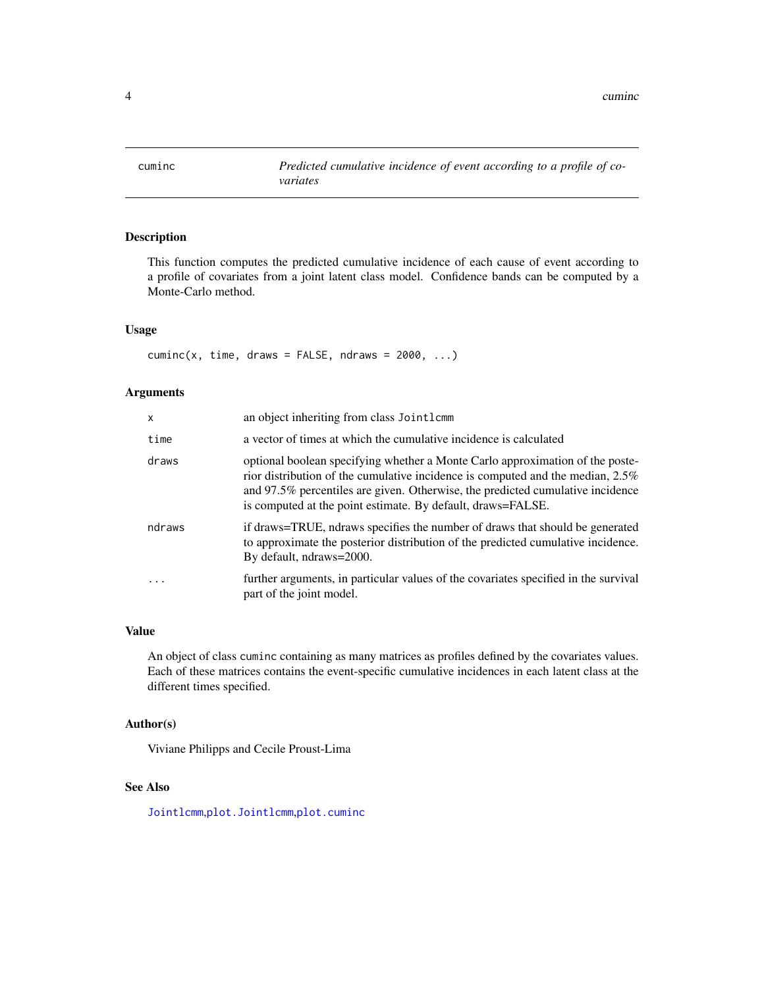<span id="page-3-1"></span><span id="page-3-0"></span>

# Description

This function computes the predicted cumulative incidence of each cause of event according to a profile of covariates from a joint latent class model. Confidence bands can be computed by a Monte-Carlo method.

# Usage

 $cuminc(x, time, draws = FALSE, ndraws = 2000, ...)$ 

# Arguments

| X      | an object inheriting from class Jointlemm                                                                                                                                                                                                                                                                        |
|--------|------------------------------------------------------------------------------------------------------------------------------------------------------------------------------------------------------------------------------------------------------------------------------------------------------------------|
| time   | a vector of times at which the cumulative incidence is calculated                                                                                                                                                                                                                                                |
| draws  | optional boolean specifying whether a Monte Carlo approximation of the poste-<br>rior distribution of the cumulative incidence is computed and the median, 2.5%<br>and 97.5% percentiles are given. Otherwise, the predicted cumulative incidence<br>is computed at the point estimate. By default, draws=FALSE. |
| ndraws | if draws=TRUE, ndraws specifies the number of draws that should be generated<br>to approximate the posterior distribution of the predicted cumulative incidence.<br>By default, ndraws=2000.                                                                                                                     |
| .      | further arguments, in particular values of the covariates specified in the survival<br>part of the joint model.                                                                                                                                                                                                  |

# Value

An object of class cuminc containing as many matrices as profiles defined by the covariates values. Each of these matrices contains the event-specific cumulative incidences in each latent class at the different times specified.

# Author(s)

Viviane Philipps and Cecile Proust-Lima

# See Also

[Jointlcmm](#page-20-1),[plot.Jointlcmm](#page-49-1),[plot.cuminc](#page-46-1)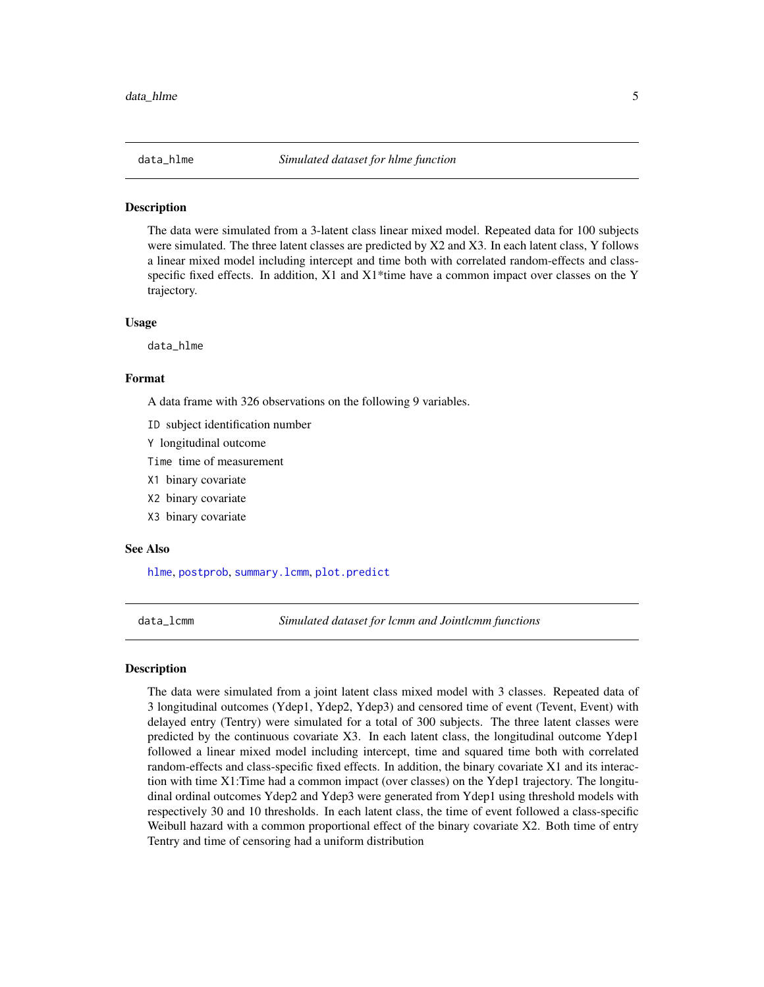<span id="page-4-0"></span>

#### **Description**

The data were simulated from a 3-latent class linear mixed model. Repeated data for 100 subjects were simulated. The three latent classes are predicted by X2 and X3. In each latent class, Y follows a linear mixed model including intercept and time both with correlated random-effects and classspecific fixed effects. In addition,  $X1$  and  $X1$ \*time have a common impact over classes on the Y trajectory.

#### Usage

data\_hlme

#### Format

A data frame with 326 observations on the following 9 variables.

- ID subject identification number
- Y longitudinal outcome

Time time of measurement

- X1 binary covariate
- X2 binary covariate
- X3 binary covariate

#### See Also

[hlme](#page-15-1), [postprob](#page-55-1), [summary.lcmm](#page-63-1), [plot.predict](#page-53-1)

data\_lcmm *Simulated dataset for lcmm and Jointlcmm functions*

# **Description**

The data were simulated from a joint latent class mixed model with 3 classes. Repeated data of 3 longitudinal outcomes (Ydep1, Ydep2, Ydep3) and censored time of event (Tevent, Event) with delayed entry (Tentry) were simulated for a total of 300 subjects. The three latent classes were predicted by the continuous covariate X3. In each latent class, the longitudinal outcome Ydep1 followed a linear mixed model including intercept, time and squared time both with correlated random-effects and class-specific fixed effects. In addition, the binary covariate X1 and its interaction with time X1:Time had a common impact (over classes) on the Ydep1 trajectory. The longitudinal ordinal outcomes Ydep2 and Ydep3 were generated from Ydep1 using threshold models with respectively 30 and 10 thresholds. In each latent class, the time of event followed a class-specific Weibull hazard with a common proportional effect of the binary covariate X2. Both time of entry Tentry and time of censoring had a uniform distribution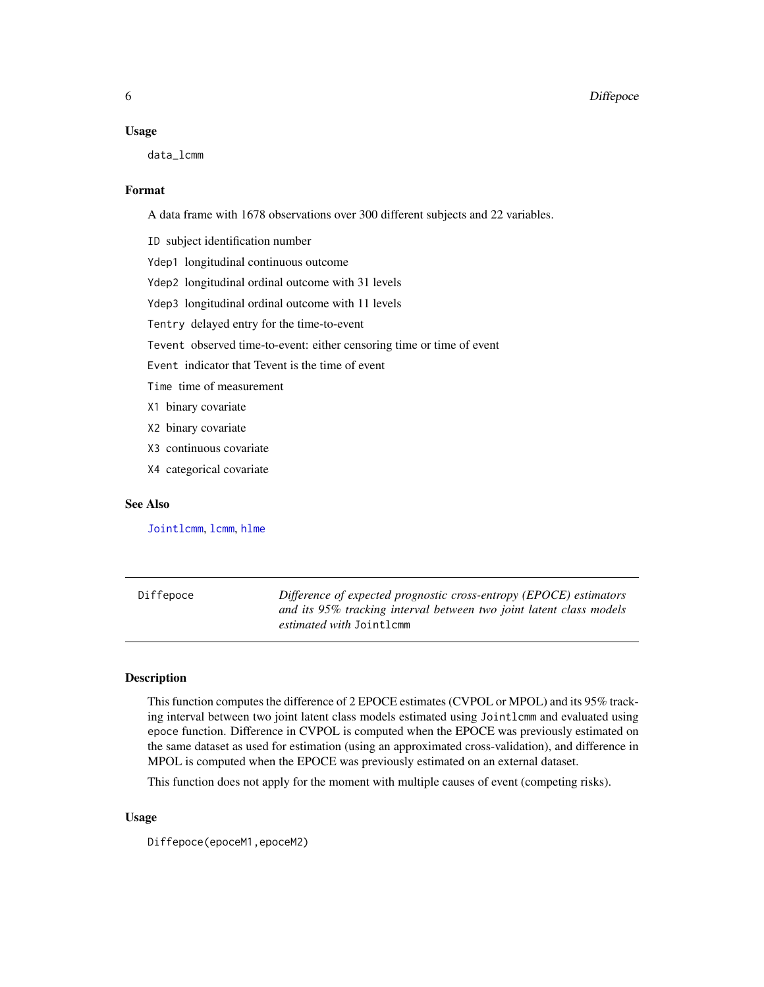#### <span id="page-5-0"></span>Usage

data\_lcmm

#### Format

A data frame with 1678 observations over 300 different subjects and 22 variables.

ID subject identification number

Ydep1 longitudinal continuous outcome

Ydep2 longitudinal ordinal outcome with 31 levels

Ydep3 longitudinal ordinal outcome with 11 levels

Tentry delayed entry for the time-to-event

Tevent observed time-to-event: either censoring time or time of event

Event indicator that Tevent is the time of event

Time time of measurement

- X1 binary covariate
- X2 binary covariate
- X3 continuous covariate
- X4 categorical covariate

#### See Also

[Jointlcmm](#page-20-1), [lcmm](#page-28-1), [hlme](#page-15-1)

<span id="page-5-1"></span>Diffepoce *Difference of expected prognostic cross-entropy (EPOCE) estimators and its 95% tracking interval between two joint latent class models estimated with* Jointlcmm

# **Description**

This function computes the difference of 2 EPOCE estimates (CVPOL or MPOL) and its 95% tracking interval between two joint latent class models estimated using Jointlcmm and evaluated using epoce function. Difference in CVPOL is computed when the EPOCE was previously estimated on the same dataset as used for estimation (using an approximated cross-validation), and difference in MPOL is computed when the EPOCE was previously estimated on an external dataset.

This function does not apply for the moment with multiple causes of event (competing risks).

#### Usage

Diffepoce(epoceM1,epoceM2)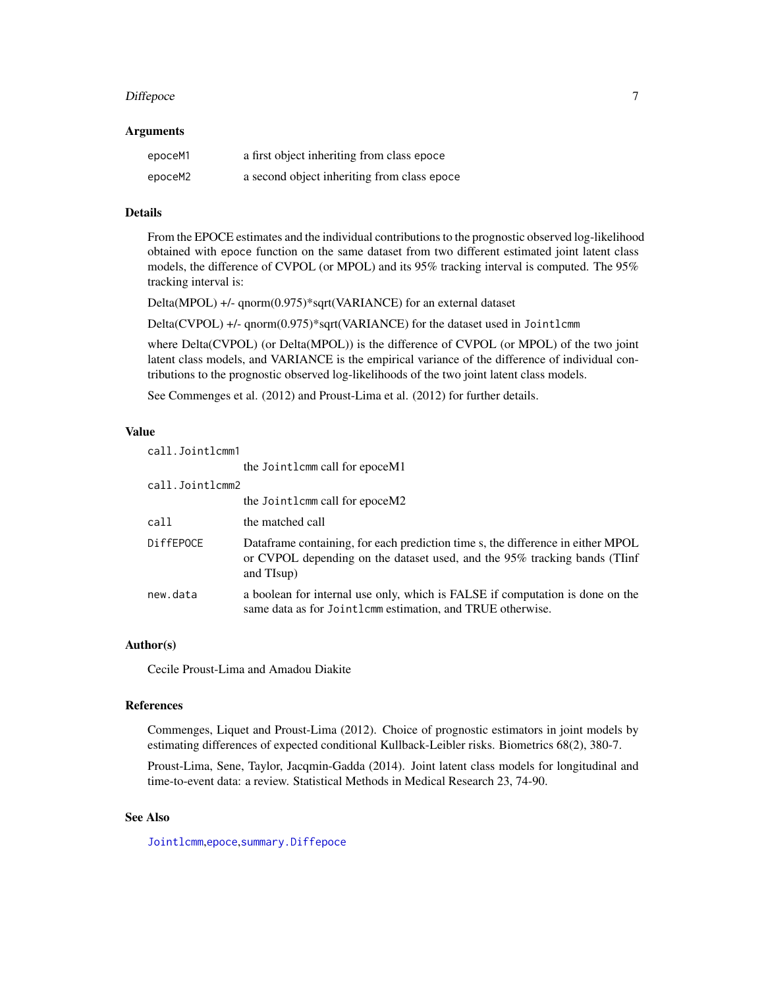#### <span id="page-6-0"></span>Diffepoce 7

#### Arguments

| epoceM1 | a first object inheriting from class epoce  |
|---------|---------------------------------------------|
| epoceM2 | a second object inheriting from class epoce |

# Details

From the EPOCE estimates and the individual contributions to the prognostic observed log-likelihood obtained with epoce function on the same dataset from two different estimated joint latent class models, the difference of CVPOL (or MPOL) and its 95% tracking interval is computed. The 95% tracking interval is:

Delta(MPOL) +/- qnorm(0.975)\*sqrt(VARIANCE) for an external dataset

Delta(CVPOL) +/- qnorm(0.975)\*sqrt(VARIANCE) for the dataset used in Jointlcmm

where Delta(CVPOL) (or Delta(MPOL)) is the difference of CVPOL (or MPOL) of the two joint latent class models, and VARIANCE is the empirical variance of the difference of individual contributions to the prognostic observed log-likelihoods of the two joint latent class models.

See Commenges et al. (2012) and Proust-Lima et al. (2012) for further details.

# Value

| call.Jointlcmm1  |                                                                                                                                                                            |
|------------------|----------------------------------------------------------------------------------------------------------------------------------------------------------------------------|
|                  | the Jointlemm call for epoceM1                                                                                                                                             |
| call.Jointlcmm2  |                                                                                                                                                                            |
|                  | the Jointlemm call for epoceM2                                                                                                                                             |
| call             | the matched call                                                                                                                                                           |
| <b>DiffEPOCE</b> | Dataframe containing, for each prediction time s, the difference in either MPOL<br>or CVPOL depending on the dataset used, and the 95% tracking bands (TIinf<br>and TIsup) |
| new.data         | a boolean for internal use only, which is FALSE if computation is done on the<br>same data as for Jointlemm estimation, and TRUE otherwise.                                |

# Author(s)

Cecile Proust-Lima and Amadou Diakite

#### References

Commenges, Liquet and Proust-Lima (2012). Choice of prognostic estimators in joint models by estimating differences of expected conditional Kullback-Leibler risks. Biometrics 68(2), 380-7.

Proust-Lima, Sene, Taylor, Jacqmin-Gadda (2014). Joint latent class models for longitudinal and time-to-event data: a review. Statistical Methods in Medical Research 23, 74-90.

# See Also

[Jointlcmm](#page-20-1),[epoce](#page-9-1),[summary.Diffepoce](#page-63-2)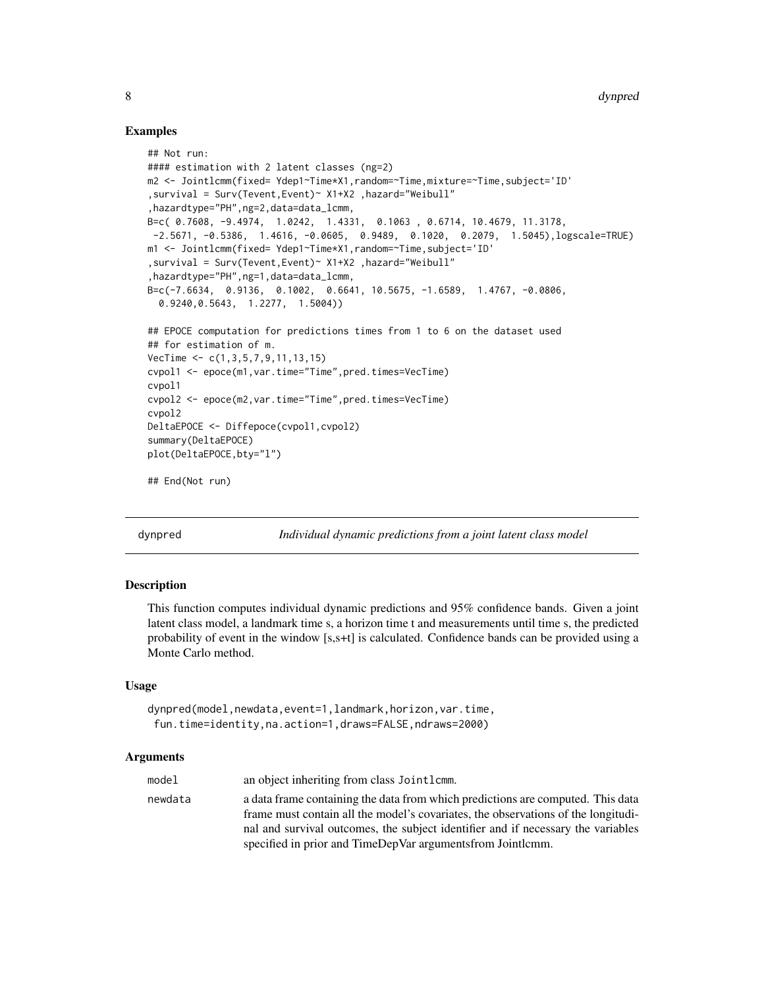#### Examples

```
## Not run:
#### estimation with 2 latent classes (ng=2)
m2 <- Jointlcmm(fixed= Ydep1~Time*X1,random=~Time,mixture=~Time,subject='ID'
,survival = Surv(Tevent,Event)~ X1+X2 ,hazard="Weibull"
,hazardtype="PH",ng=2,data=data_lcmm,
B=c( 0.7608, -9.4974, 1.0242, 1.4331, 0.1063 , 0.6714, 10.4679, 11.3178,
-2.5671, -0.5386, 1.4616, -0.0605, 0.9489, 0.1020, 0.2079, 1.5045),logscale=TRUE)
m1 <- Jointlcmm(fixed= Ydep1~Time*X1,random=~Time,subject='ID'
,survival = Surv(Tevent,Event)~ X1+X2 ,hazard="Weibull"
,hazardtype="PH",ng=1,data=data_lcmm,
B=c(-7.6634, 0.9136, 0.1002, 0.6641, 10.5675, -1.6589, 1.4767, -0.0806,
  0.9240,0.5643, 1.2277, 1.5004))
## EPOCE computation for predictions times from 1 to 6 on the dataset used
## for estimation of m.
VecTime <- c(1,3,5,7,9,11,13,15)
cvpol1 <- epoce(m1,var.time="Time",pred.times=VecTime)
cvpol1
cvpol2 <- epoce(m2,var.time="Time",pred.times=VecTime)
cvpol2
DeltaEPOCE <- Diffepoce(cvpol1,cvpol2)
summary(DeltaEPOCE)
plot(DeltaEPOCE,bty="l")
## End(Not run)
```
<span id="page-7-1"></span>dynpred *Individual dynamic predictions from a joint latent class model*

# **Description**

This function computes individual dynamic predictions and 95% confidence bands. Given a joint latent class model, a landmark time s, a horizon time t and measurements until time s, the predicted probability of event in the window [s,s+t] is calculated. Confidence bands can be provided using a Monte Carlo method.

#### Usage

```
dynpred(model,newdata,event=1,landmark,horizon,var.time,
fun.time=identity,na.action=1,draws=FALSE,ndraws=2000)
```
#### Arguments

| model   | an object inheriting from class Jointlem.                                                                                                                            |
|---------|----------------------------------------------------------------------------------------------------------------------------------------------------------------------|
| newdata | a data frame containing the data from which predictions are computed. This data<br>frame must contain all the model's covariates, the observations of the longitudi- |
|         | nal and survival outcomes, the subject identifier and if necessary the variables                                                                                     |
|         | specified in prior and TimeDepVar arguments from Jointlemm.                                                                                                          |

<span id="page-7-0"></span>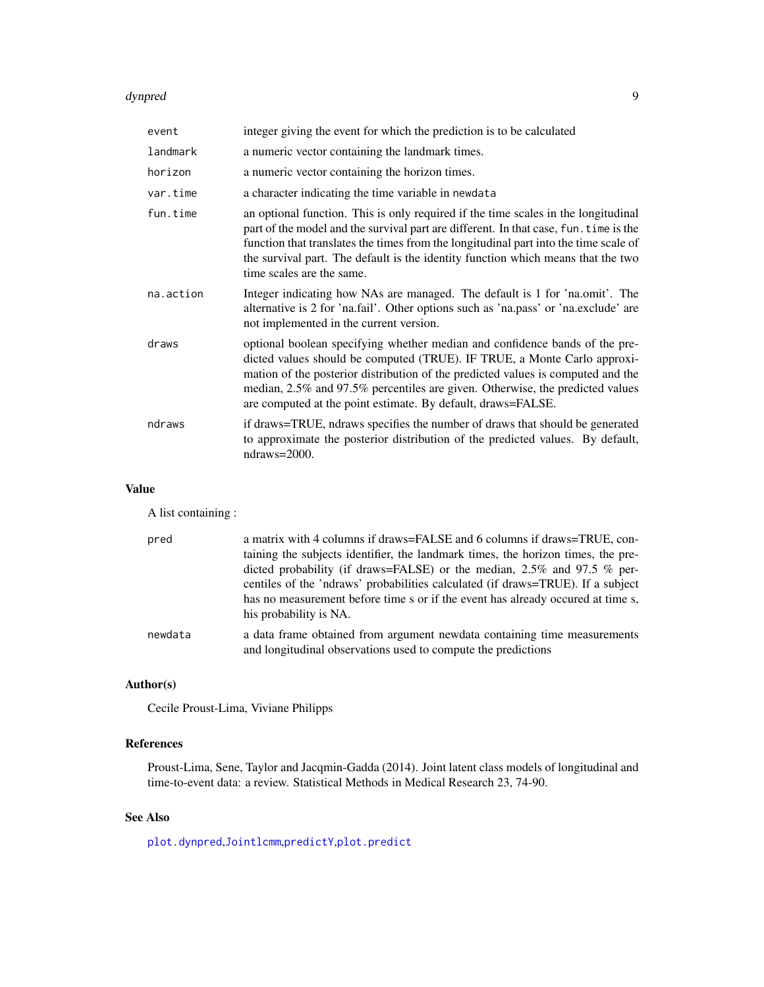#### <span id="page-8-0"></span>dynpred 9

| event     | integer giving the event for which the prediction is to be calculated                                                                                                                                                                                                                                                                                                                        |
|-----------|----------------------------------------------------------------------------------------------------------------------------------------------------------------------------------------------------------------------------------------------------------------------------------------------------------------------------------------------------------------------------------------------|
| landmark  | a numeric vector containing the landmark times.                                                                                                                                                                                                                                                                                                                                              |
| horizon   | a numeric vector containing the horizon times.                                                                                                                                                                                                                                                                                                                                               |
| var.time  | a character indicating the time variable in newdata                                                                                                                                                                                                                                                                                                                                          |
| fun.time  | an optional function. This is only required if the time scales in the longitudinal<br>part of the model and the survival part are different. In that case, fun. time is the<br>function that translates the times from the longitudinal part into the time scale of<br>the survival part. The default is the identity function which means that the two<br>time scales are the same.         |
| na.action | Integer indicating how NAs are managed. The default is 1 for 'na.omit'. The<br>alternative is 2 for 'na.fail'. Other options such as 'na.pass' or 'na.exclude' are<br>not implemented in the current version.                                                                                                                                                                                |
| draws     | optional boolean specifying whether median and confidence bands of the pre-<br>dicted values should be computed (TRUE). IF TRUE, a Monte Carlo approxi-<br>mation of the posterior distribution of the predicted values is computed and the<br>median, 2.5% and 97.5% percentiles are given. Otherwise, the predicted values<br>are computed at the point estimate. By default, draws=FALSE. |
| ndraws    | if draws=TRUE, ndraws specifies the number of draws that should be generated<br>to approximate the posterior distribution of the predicted values. By default,<br>ndraws=2000.                                                                                                                                                                                                               |

#### Value

A list containing :

| pred    | a matrix with 4 columns if draws=FALSE and 6 columns if draws=TRUE, con-<br>taining the subjects identifier, the landmark times, the horizon times, the pre-<br>dicted probability (if draws=FALSE) or the median, $2.5\%$ and 97.5 % per-<br>centiles of the 'ndraws' probabilities calculated (if draws=TRUE). If a subject<br>has no measurement before time s or if the event has already occurred at time s,<br>his probability is NA. |
|---------|---------------------------------------------------------------------------------------------------------------------------------------------------------------------------------------------------------------------------------------------------------------------------------------------------------------------------------------------------------------------------------------------------------------------------------------------|
| newdata | a data frame obtained from argument newdata containing time measurements<br>and longitudinal observations used to compute the predictions                                                                                                                                                                                                                                                                                                   |

# Author(s)

Cecile Proust-Lima, Viviane Philipps

# References

Proust-Lima, Sene, Taylor and Jacqmin-Gadda (2014). Joint latent class models of longitudinal and time-to-event data: a review. Statistical Methods in Medical Research 23, 74-90.

# See Also

[plot.dynpred](#page-47-1),[Jointlcmm](#page-20-1),[predictY](#page-60-1),[plot.predict](#page-53-1)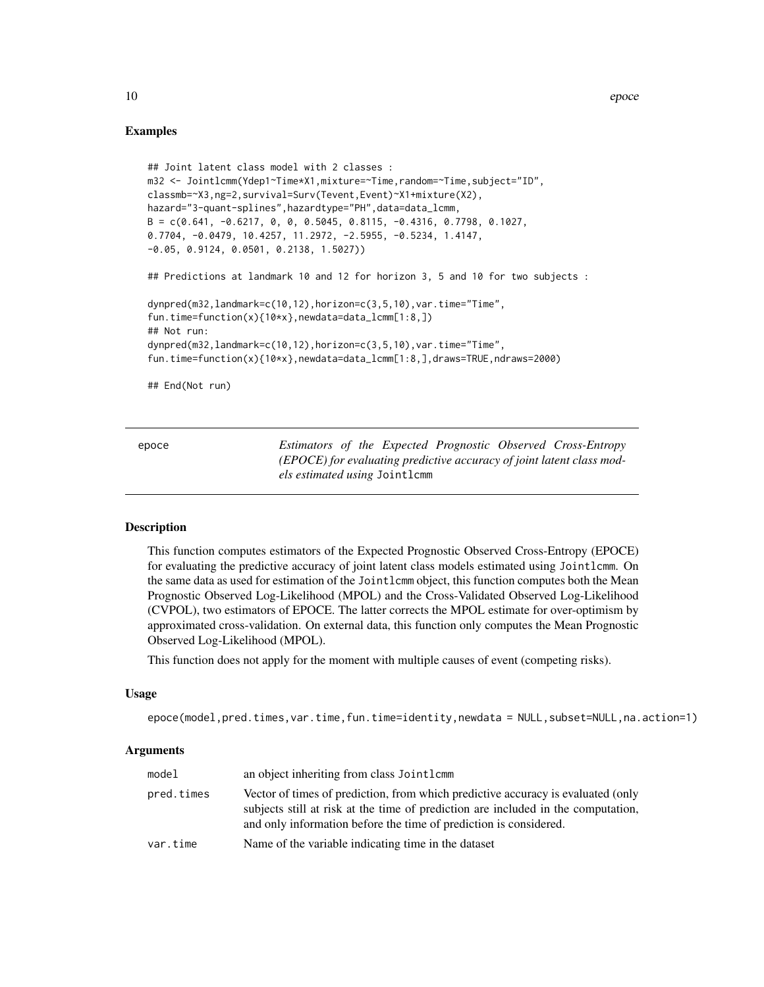#### Examples

```
## Joint latent class model with 2 classes :
m32 <- Jointlcmm(Ydep1~Time*X1,mixture=~Time,random=~Time,subject="ID",
classmb=~X3,ng=2,survival=Surv(Tevent,Event)~X1+mixture(X2),
hazard="3-quant-splines",hazardtype="PH",data=data_lcmm,
B = c(0.641, -0.6217, 0, 0, 0.5045, 0.8115, -0.4316, 0.7798, 0.1027,0.7704, -0.0479, 10.4257, 11.2972, -2.5955, -0.5234, 1.4147,
-0.05, 0.9124, 0.0501, 0.2138, 1.5027))
## Predictions at landmark 10 and 12 for horizon 3, 5 and 10 for two subjects :
dynpred(m32,landmark=c(10,12),horizon=c(3,5,10),var.time="Time",
fun.time=function(x){10*x},newdata=data_lcmm[1:8,])
## Not run:
dynpred(m32,landmark=c(10,12),horizon=c(3,5,10),var.time="Time",
fun.time=function(x){10*x},newdata=data_lcmm[1:8,],draws=TRUE,ndraws=2000)
## End(Not run)
```
<span id="page-9-1"></span>epoce *Estimators of the Expected Prognostic Observed Cross-Entropy (EPOCE) for evaluating predictive accuracy of joint latent class models estimated using* Jointlcmm

# Description

This function computes estimators of the Expected Prognostic Observed Cross-Entropy (EPOCE) for evaluating the predictive accuracy of joint latent class models estimated using Jointlcmm. On the same data as used for estimation of the Jointlcmm object, this function computes both the Mean Prognostic Observed Log-Likelihood (MPOL) and the Cross-Validated Observed Log-Likelihood (CVPOL), two estimators of EPOCE. The latter corrects the MPOL estimate for over-optimism by approximated cross-validation. On external data, this function only computes the Mean Prognostic Observed Log-Likelihood (MPOL).

This function does not apply for the moment with multiple causes of event (competing risks).

#### Usage

epoce(model,pred.times,var.time,fun.time=identity,newdata = NULL,subset=NULL,na.action=1)

#### **Arguments**

| model      | an object inheriting from class Jointlemm                                                                                                                                                                                                  |
|------------|--------------------------------------------------------------------------------------------------------------------------------------------------------------------------------------------------------------------------------------------|
| pred.times | Vector of times of prediction, from which predictive accuracy is evaluated (only<br>subjects still at risk at the time of prediction are included in the computation,<br>and only information before the time of prediction is considered. |
| var.time   | Name of the variable indicating time in the dataset                                                                                                                                                                                        |

<span id="page-9-0"></span>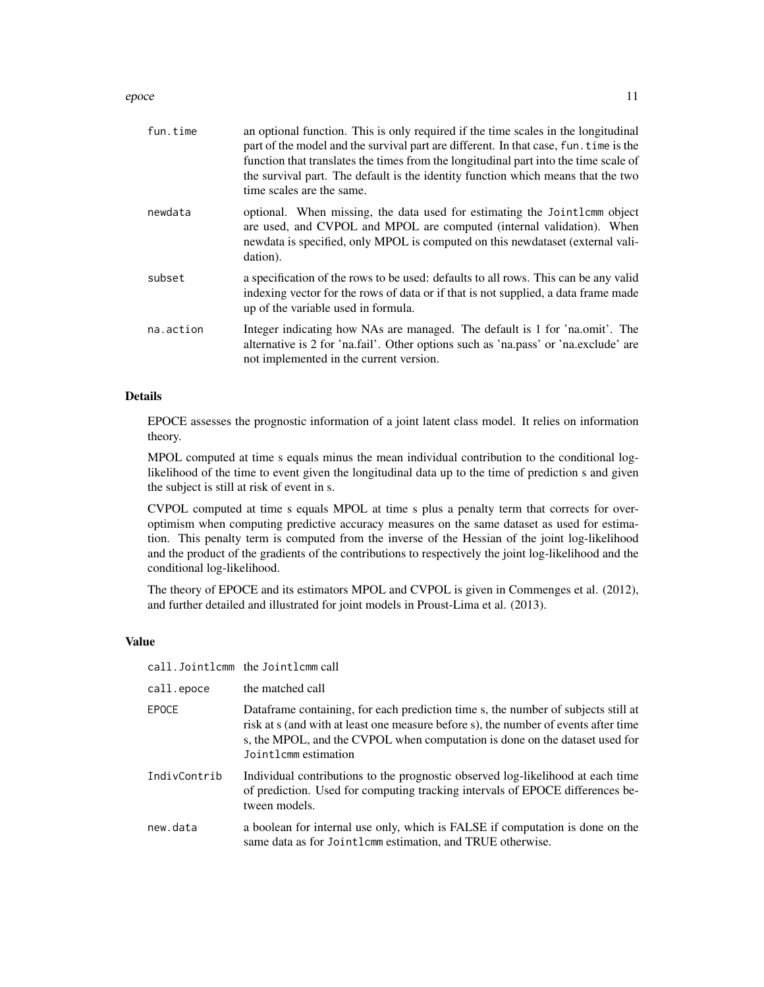#### epoce and the second second second second second second second second second second second second second second second second second second second second second second second second second second second second second secon

| fun.time  | an optional function. This is only required if the time scales in the longitudinal<br>part of the model and the survival part are different. In that case, fun. time is the<br>function that translates the times from the longitudinal part into the time scale of<br>the survival part. The default is the identity function which means that the two<br>time scales are the same. |
|-----------|--------------------------------------------------------------------------------------------------------------------------------------------------------------------------------------------------------------------------------------------------------------------------------------------------------------------------------------------------------------------------------------|
| newdata   | optional. When missing, the data used for estimating the Jointlemm object<br>are used, and CVPOL and MPOL are computed (internal validation). When<br>newdata is specified, only MPOL is computed on this newdataset (external vali-<br>dation).                                                                                                                                     |
| subset    | a specification of the rows to be used: defaults to all rows. This can be any valid<br>indexing vector for the rows of data or if that is not supplied, a data frame made<br>up of the variable used in formula.                                                                                                                                                                     |
| na.action | Integer indicating how NAs are managed. The default is 1 for 'na.omit'. The<br>alternative is 2 for 'na.fail'. Other options such as 'na.pass' or 'na.exclude' are<br>not implemented in the current version.                                                                                                                                                                        |

# Details

EPOCE assesses the prognostic information of a joint latent class model. It relies on information theory.

MPOL computed at time s equals minus the mean individual contribution to the conditional loglikelihood of the time to event given the longitudinal data up to the time of prediction s and given the subject is still at risk of event in s.

CVPOL computed at time s equals MPOL at time s plus a penalty term that corrects for overoptimism when computing predictive accuracy measures on the same dataset as used for estimation. This penalty term is computed from the inverse of the Hessian of the joint log-likelihood and the product of the gradients of the contributions to respectively the joint log-likelihood and the conditional log-likelihood.

The theory of EPOCE and its estimators MPOL and CVPOL is given in Commenges et al. (2012), and further detailed and illustrated for joint models in Proust-Lima et al. (2013).

#### Value

|              | call.Jointlcmm the Jointlcmm call                                                                                                                                                                                                                                                |
|--------------|----------------------------------------------------------------------------------------------------------------------------------------------------------------------------------------------------------------------------------------------------------------------------------|
| call.epoce   | the matched call                                                                                                                                                                                                                                                                 |
| <b>EPOCE</b> | Data frame containing, for each prediction time s, the number of subjects still at<br>risk at s (and with at least one measure before s), the number of events after time<br>s, the MPOL, and the CVPOL when computation is done on the dataset used for<br>Jointlemm estimation |
| IndivContrib | Individual contributions to the prognostic observed log-likelihood at each time<br>of prediction. Used for computing tracking intervals of EPOCE differences be-<br>tween models.                                                                                                |
| new.data     | a boolean for internal use only, which is FALSE if computation is done on the<br>same data as for Jointlemm estimation, and TRUE otherwise.                                                                                                                                      |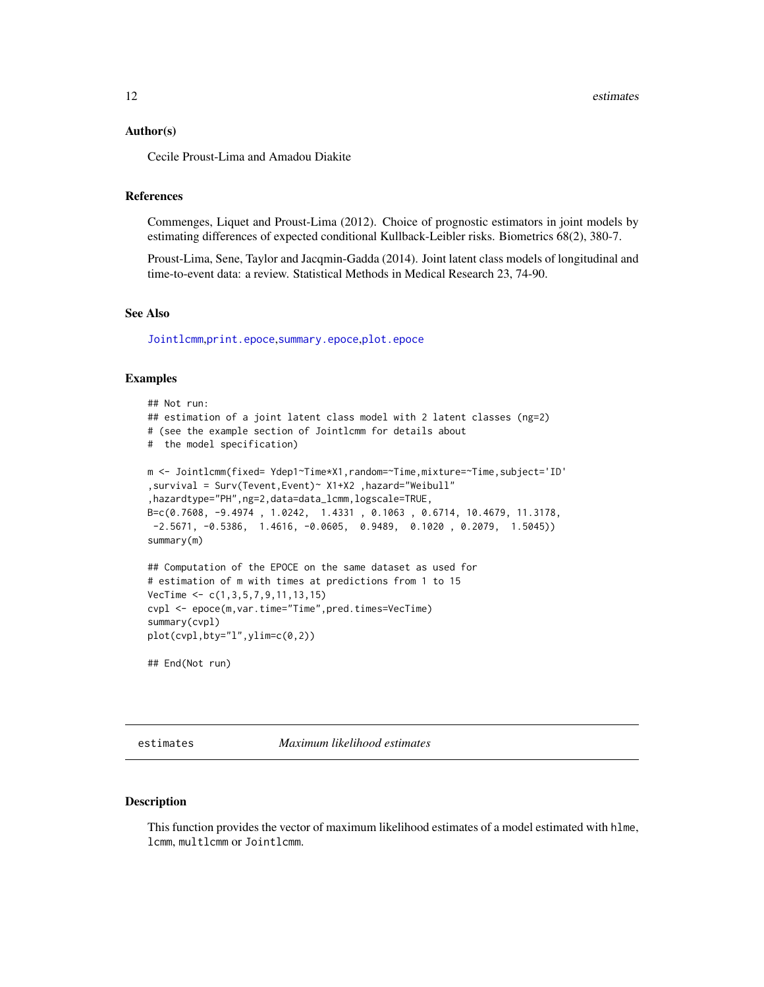#### <span id="page-11-0"></span>Author(s)

Cecile Proust-Lima and Amadou Diakite

#### References

Commenges, Liquet and Proust-Lima (2012). Choice of prognostic estimators in joint models by estimating differences of expected conditional Kullback-Leibler risks. Biometrics 68(2), 380-7.

Proust-Lima, Sene, Taylor and Jacqmin-Gadda (2014). Joint latent class models of longitudinal and time-to-event data: a review. Statistical Methods in Medical Research 23, 74-90.

# See Also

[Jointlcmm](#page-20-1),[print.epoce](#page-62-1),[summary.epoce](#page-63-2),[plot.epoce](#page-52-1)

# Examples

```
## Not run:
## estimation of a joint latent class model with 2 latent classes (ng=2)
# (see the example section of Jointlcmm for details about
# the model specification)
m <- Jointlcmm(fixed= Ydep1~Time*X1,random=~Time,mixture=~Time,subject='ID'
,survival = Surv(Tevent,Event)~ X1+X2 ,hazard="Weibull"
,hazardtype="PH",ng=2,data=data_lcmm,logscale=TRUE,
B=c(0.7608, -9.4974 , 1.0242, 1.4331 , 0.1063 , 0.6714, 10.4679, 11.3178,
 -2.5671, -0.5386, 1.4616, -0.0605, 0.9489, 0.1020, 0.2079, 1.5045)summary(m)
## Computation of the EPOCE on the same dataset as used for
# estimation of m with times at predictions from 1 to 15
VecTime <- c(1,3,5,7,9,11,13,15)
cvpl <- epoce(m,var.time="Time",pred.times=VecTime)
summary(cvpl)
plot(cvpl,bty="l",ylim=c(0,2))
## End(Not run)
```
<span id="page-11-1"></span>estimates *Maximum likelihood estimates*

#### Description

This function provides the vector of maximum likelihood estimates of a model estimated with hlme, lcmm, multlcmm or Jointlcmm.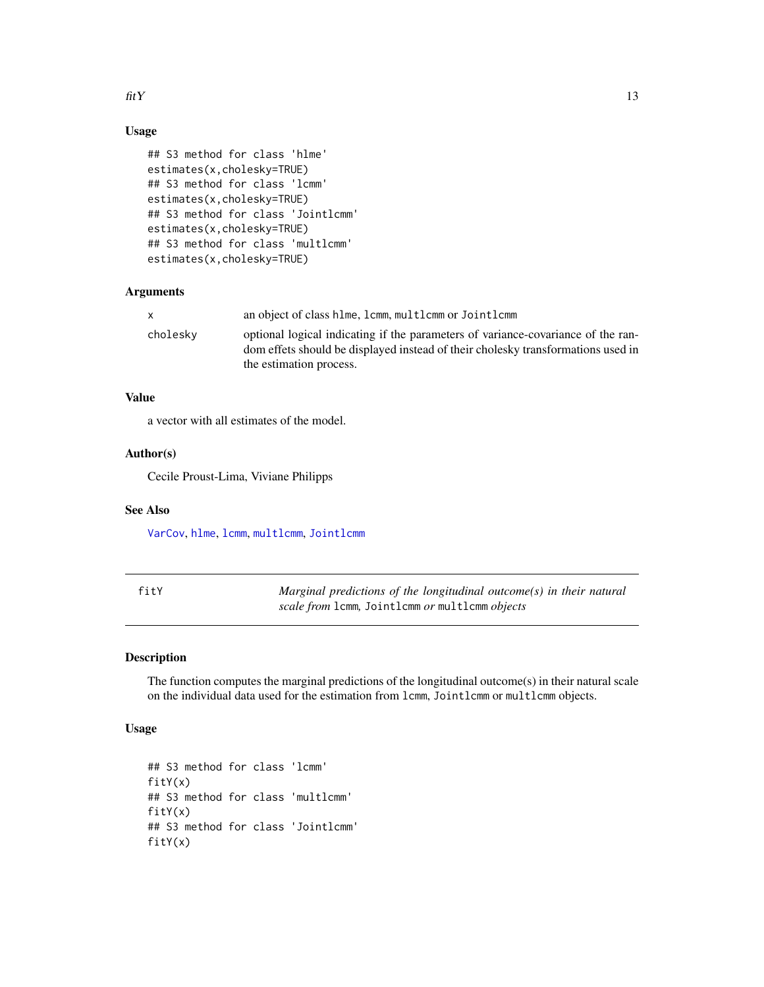<span id="page-12-0"></span>fit Y and  $\frac{13}{2}$ 

# Usage

```
## S3 method for class 'hlme'
estimates(x,cholesky=TRUE)
## S3 method for class 'lcmm'
estimates(x,cholesky=TRUE)
## S3 method for class 'Jointlcmm'
estimates(x,cholesky=TRUE)
## S3 method for class 'multlcmm'
estimates(x,cholesky=TRUE)
```
# Arguments

| $\mathsf{x}$ | an object of class hlme, lcmm, multlcmm or Jointlcmm                                                                                                                                            |
|--------------|-------------------------------------------------------------------------------------------------------------------------------------------------------------------------------------------------|
| cholesky     | optional logical indicating if the parameters of variance-covariance of the ran-<br>dom effets should be displayed instead of their cholesky transformations used in<br>the estimation process. |

# Value

a vector with all estimates of the model.

#### Author(s)

Cecile Proust-Lima, Viviane Philipps

# See Also

[VarCov](#page-65-1), [hlme](#page-15-1), [lcmm](#page-28-1), [multlcmm](#page-38-1), [Jointlcmm](#page-20-1)

| fitY | Marginal predictions of the longitudinal outcome(s) in their natural |
|------|----------------------------------------------------------------------|
|      | scale from 1cmm, Joint1cmm or mult1cmm objects                       |

# Description

The function computes the marginal predictions of the longitudinal outcome(s) in their natural scale on the individual data used for the estimation from lcmm, Jointlcmm or multlcmm objects.

# Usage

```
## S3 method for class 'lcmm'
fitY(x)
## S3 method for class 'multlcmm'
fitY(x)
## S3 method for class 'Jointlcmm'
fitY(x)
```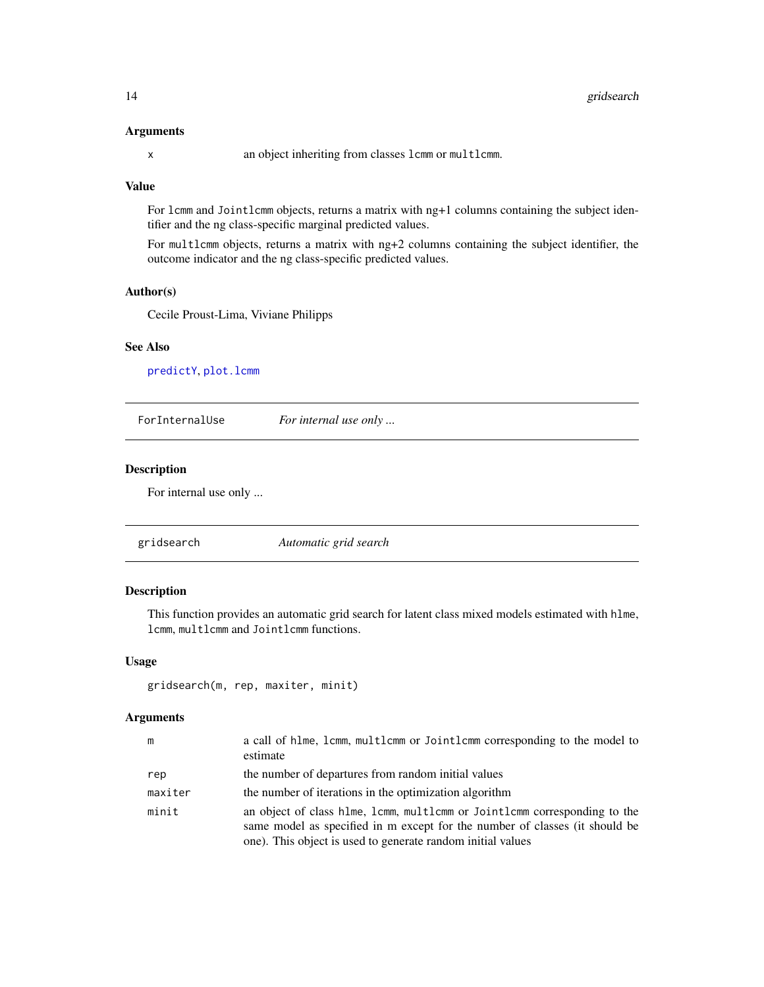#### <span id="page-13-0"></span>Arguments

x an object inheriting from classes lcmm or multlcmm.

# Value

For lcmm and Jointlcmm objects, returns a matrix with ng+1 columns containing the subject identifier and the ng class-specific marginal predicted values.

For multlcmm objects, returns a matrix with ng+2 columns containing the subject identifier, the outcome indicator and the ng class-specific predicted values.

#### Author(s)

Cecile Proust-Lima, Viviane Philipps

# See Also

[predictY](#page-60-1), [plot.lcmm](#page-49-2)

ForInternalUse *For internal use only ...*

#### Description

For internal use only ...

# Description

This function provides an automatic grid search for latent class mixed models estimated with hlme, lcmm, multlcmm and Jointlcmm functions.

#### Usage

```
gridsearch(m, rep, maxiter, minit)
```
#### Arguments

| m       | a call of hlme, lcmm, multlcmm or Jointlcmm corresponding to the model to<br>estimate                                                                                                                                   |
|---------|-------------------------------------------------------------------------------------------------------------------------------------------------------------------------------------------------------------------------|
| rep     | the number of departures from random initial values                                                                                                                                                                     |
| maxiter | the number of iterations in the optimization algorithm                                                                                                                                                                  |
| minit   | an object of class hlme, lcmm, multlcmm or Jointlcmm corresponding to the<br>same model as specified in m except for the number of classes (it should be<br>one). This object is used to generate random initial values |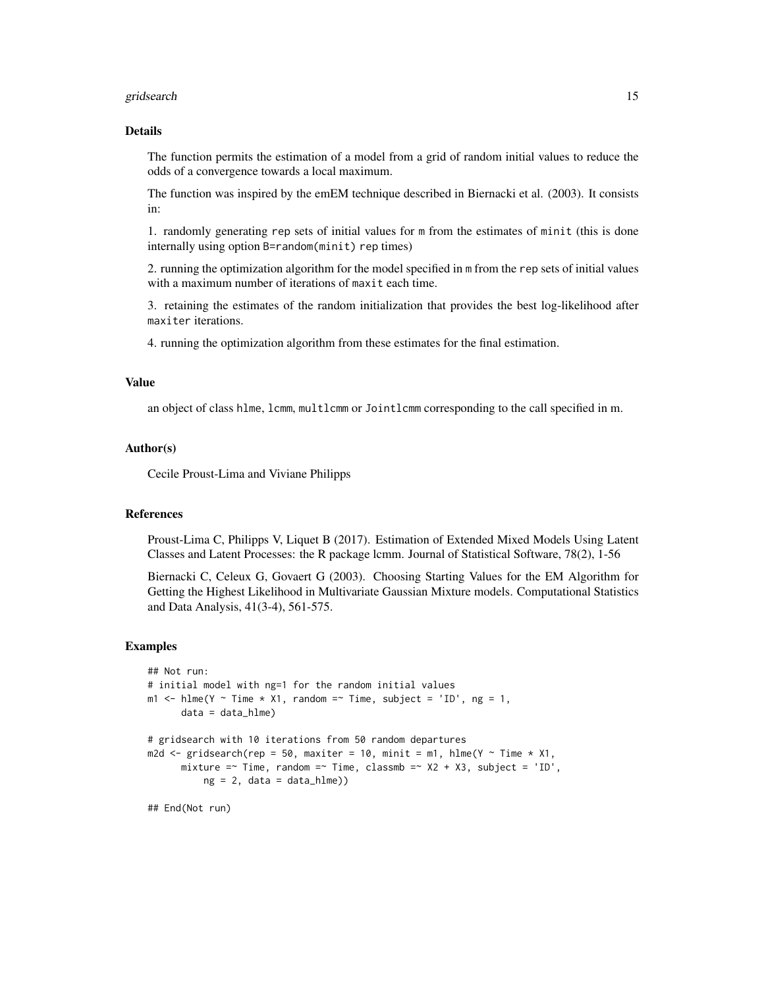#### gridsearch the contract of the contract of the contract of the contract of the contract of the contract of the contract of the contract of the contract of the contract of the contract of the contract of the contract of the

#### Details

The function permits the estimation of a model from a grid of random initial values to reduce the odds of a convergence towards a local maximum.

The function was inspired by the emEM technique described in Biernacki et al. (2003). It consists in:

1. randomly generating rep sets of initial values for m from the estimates of minit (this is done internally using option B=random(minit) rep times)

2. running the optimization algorithm for the model specified in m from the rep sets of initial values with a maximum number of iterations of maxit each time.

3. retaining the estimates of the random initialization that provides the best log-likelihood after maxiter iterations.

4. running the optimization algorithm from these estimates for the final estimation.

# Value

an object of class hlme, lcmm, multlcmm or Jointlcmm corresponding to the call specified in m.

#### Author(s)

Cecile Proust-Lima and Viviane Philipps

# References

Proust-Lima C, Philipps V, Liquet B (2017). Estimation of Extended Mixed Models Using Latent Classes and Latent Processes: the R package lcmm. Journal of Statistical Software, 78(2), 1-56

Biernacki C, Celeux G, Govaert G (2003). Choosing Starting Values for the EM Algorithm for Getting the Highest Likelihood in Multivariate Gaussian Mixture models. Computational Statistics and Data Analysis, 41(3-4), 561-575.

#### Examples

```
## Not run:
# initial model with ng=1 for the random initial values
m1 <- hlme(Y ~ Time * X1, random =~ Time, subject = 'ID', ng = 1,
      data = data_hlme)# gridsearch with 10 iterations from 50 random departures
m2d \leq gridsearch(rep = 50, maxiter = 10, minit = m1, hlme(Y \sim Time \star X1,
      mixture =~ Time, random =~ Time, classmb =~ X2 + X3, subject = 'ID',
          ng = 2, data = data_hlme))
```
## End(Not run)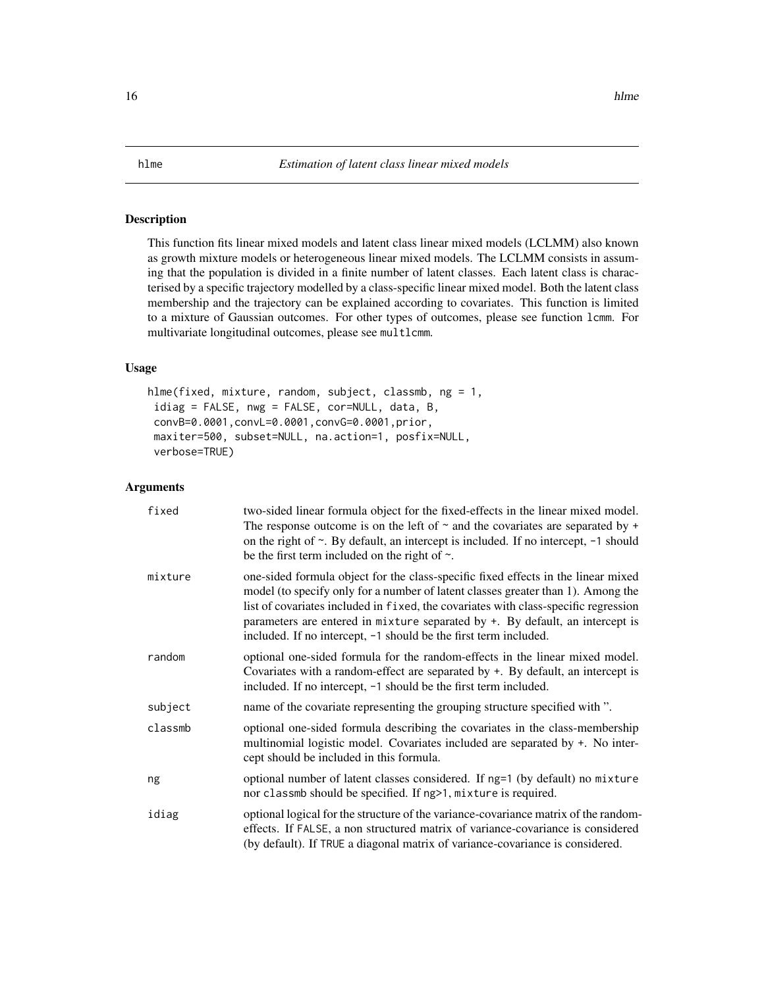# <span id="page-15-1"></span><span id="page-15-0"></span>Description

This function fits linear mixed models and latent class linear mixed models (LCLMM) also known as growth mixture models or heterogeneous linear mixed models. The LCLMM consists in assuming that the population is divided in a finite number of latent classes. Each latent class is characterised by a specific trajectory modelled by a class-specific linear mixed model. Both the latent class membership and the trajectory can be explained according to covariates. This function is limited to a mixture of Gaussian outcomes. For other types of outcomes, please see function lcmm. For multivariate longitudinal outcomes, please see multlcmm.

#### Usage

```
hlme(fixed, mixture, random, subject, classmb, ng = 1,
idiag = FALSE, nwg = FALSE, cor=NULL, data, B,
convB=0.0001,convL=0.0001,convG=0.0001,prior,
maxiter=500, subset=NULL, na.action=1, posfix=NULL,
verbose=TRUE)
```
# Arguments

| fixed   | two-sided linear formula object for the fixed-effects in the linear mixed model.<br>The response outcome is on the left of $\sim$ and the covariates are separated by $+$<br>on the right of $\sim$ . By default, an intercept is included. If no intercept, $-1$ should<br>be the first term included on the right of $\sim$ .                                                                                   |
|---------|-------------------------------------------------------------------------------------------------------------------------------------------------------------------------------------------------------------------------------------------------------------------------------------------------------------------------------------------------------------------------------------------------------------------|
| mixture | one-sided formula object for the class-specific fixed effects in the linear mixed<br>model (to specify only for a number of latent classes greater than 1). Among the<br>list of covariates included in fixed, the covariates with class-specific regression<br>parameters are entered in mixture separated by +. By default, an intercept is<br>included. If no intercept, -1 should be the first term included. |
| random  | optional one-sided formula for the random-effects in the linear mixed model.<br>Covariates with a random-effect are separated by $+$ . By default, an intercept is<br>included. If no intercept, -1 should be the first term included.                                                                                                                                                                            |
| subject | name of the covariate representing the grouping structure specified with ".                                                                                                                                                                                                                                                                                                                                       |
| classmb | optional one-sided formula describing the covariates in the class-membership<br>multinomial logistic model. Covariates included are separated by +. No inter-<br>cept should be included in this formula.                                                                                                                                                                                                         |
| ng      | optional number of latent classes considered. If ng=1 (by default) no mixture<br>nor classmb should be specified. If ng>1, mixture is required.                                                                                                                                                                                                                                                                   |
| idiag   | optional logical for the structure of the variance-covariance matrix of the random-<br>effects. If FALSE, a non structured matrix of variance-covariance is considered<br>(by default). If TRUE a diagonal matrix of variance-covariance is considered.                                                                                                                                                           |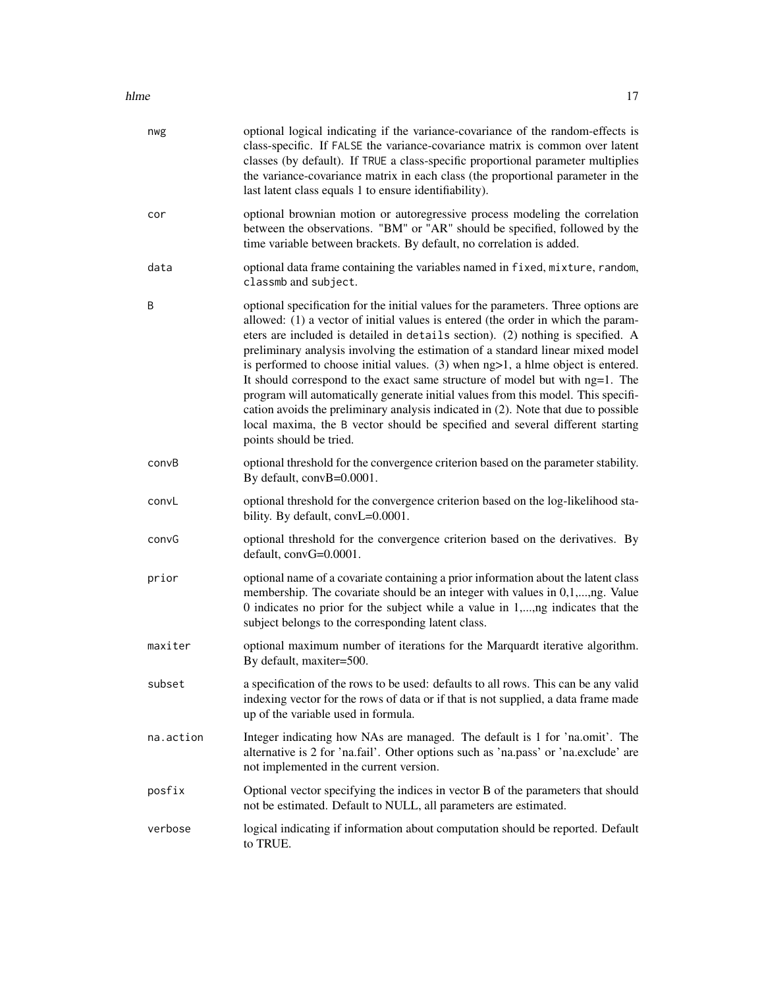#### hlme the contract of the contract of the contract of the contract of the contract of the contract of the contract of the contract of the contract of the contract of the contract of the contract of the contract of the contr

| nwg       | optional logical indicating if the variance-covariance of the random-effects is<br>class-specific. If FALSE the variance-covariance matrix is common over latent<br>classes (by default). If TRUE a class-specific proportional parameter multiplies<br>the variance-covariance matrix in each class (the proportional parameter in the<br>last latent class equals 1 to ensure identifiability).                                                                                                                                                                                                                                                                                                                                                                                                            |
|-----------|--------------------------------------------------------------------------------------------------------------------------------------------------------------------------------------------------------------------------------------------------------------------------------------------------------------------------------------------------------------------------------------------------------------------------------------------------------------------------------------------------------------------------------------------------------------------------------------------------------------------------------------------------------------------------------------------------------------------------------------------------------------------------------------------------------------|
| cor       | optional brownian motion or autoregressive process modeling the correlation<br>between the observations. "BM" or "AR" should be specified, followed by the<br>time variable between brackets. By default, no correlation is added.                                                                                                                                                                                                                                                                                                                                                                                                                                                                                                                                                                           |
| data      | optional data frame containing the variables named in fixed, mixture, random,<br>classmb and subject.                                                                                                                                                                                                                                                                                                                                                                                                                                                                                                                                                                                                                                                                                                        |
| B         | optional specification for the initial values for the parameters. Three options are<br>allowed: (1) a vector of initial values is entered (the order in which the param-<br>eters are included is detailed in details section). (2) nothing is specified. A<br>preliminary analysis involving the estimation of a standard linear mixed model<br>is performed to choose initial values. $(3)$ when $ng>1$ , a hlme object is entered.<br>It should correspond to the exact same structure of model but with ng=1. The<br>program will automatically generate initial values from this model. This specifi-<br>cation avoids the preliminary analysis indicated in (2). Note that due to possible<br>local maxima, the B vector should be specified and several different starting<br>points should be tried. |
| convB     | optional threshold for the convergence criterion based on the parameter stability.<br>By default, convB=0.0001.                                                                                                                                                                                                                                                                                                                                                                                                                                                                                                                                                                                                                                                                                              |
| convL     | optional threshold for the convergence criterion based on the log-likelihood sta-<br>bility. By default, convL=0.0001.                                                                                                                                                                                                                                                                                                                                                                                                                                                                                                                                                                                                                                                                                       |
| convG     | optional threshold for the convergence criterion based on the derivatives. By<br>$default, convG=0.0001.$                                                                                                                                                                                                                                                                                                                                                                                                                                                                                                                                                                                                                                                                                                    |
| prior     | optional name of a covariate containing a prior information about the latent class<br>membership. The covariate should be an integer with values in 0,1,,ng. Value<br>0 indicates no prior for the subject while a value in 1,,ng indicates that the<br>subject belongs to the corresponding latent class.                                                                                                                                                                                                                                                                                                                                                                                                                                                                                                   |
| maxiter   | optional maximum number of iterations for the Marquardt iterative algorithm.<br>By default, maxiter=500.                                                                                                                                                                                                                                                                                                                                                                                                                                                                                                                                                                                                                                                                                                     |
| subset    | a specification of the rows to be used: defaults to all rows. This can be any valid<br>indexing vector for the rows of data or if that is not supplied, a data frame made<br>up of the variable used in formula.                                                                                                                                                                                                                                                                                                                                                                                                                                                                                                                                                                                             |
| na.action | Integer indicating how NAs are managed. The default is 1 for 'na.omit'. The<br>alternative is 2 for 'na.fail'. Other options such as 'na.pass' or 'na.exclude' are<br>not implemented in the current version.                                                                                                                                                                                                                                                                                                                                                                                                                                                                                                                                                                                                |
| posfix    | Optional vector specifying the indices in vector B of the parameters that should<br>not be estimated. Default to NULL, all parameters are estimated.                                                                                                                                                                                                                                                                                                                                                                                                                                                                                                                                                                                                                                                         |
| verbose   | logical indicating if information about computation should be reported. Default<br>to TRUE.                                                                                                                                                                                                                                                                                                                                                                                                                                                                                                                                                                                                                                                                                                                  |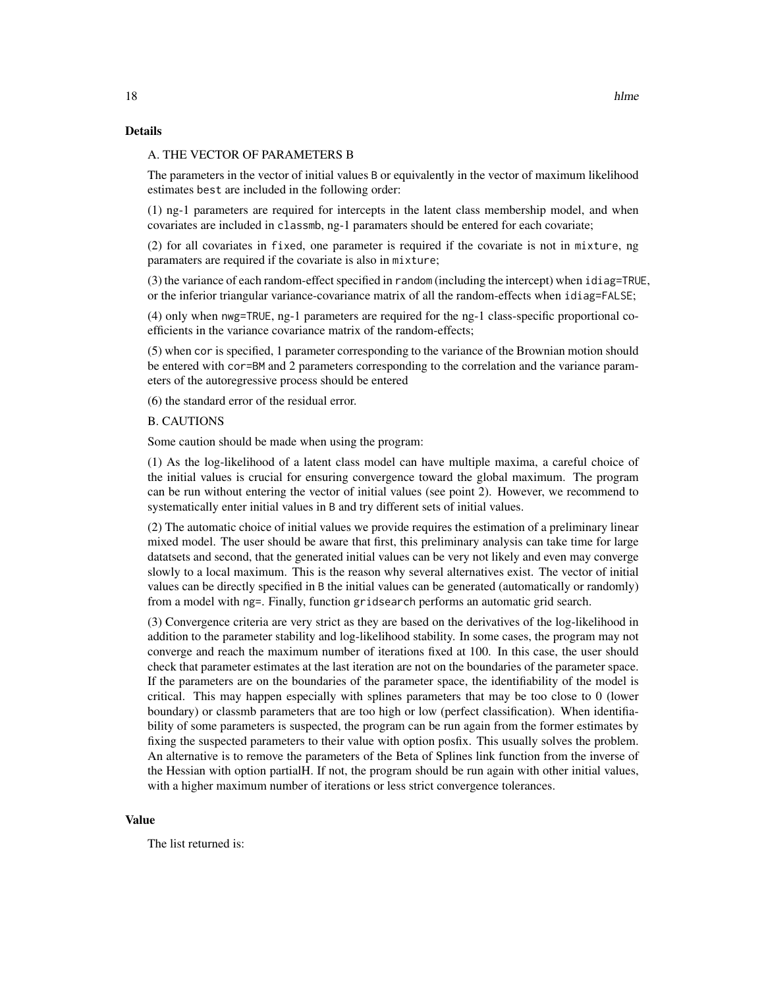# Details

# A. THE VECTOR OF PARAMETERS B

The parameters in the vector of initial values B or equivalently in the vector of maximum likelihood estimates best are included in the following order:

(1) ng-1 parameters are required for intercepts in the latent class membership model, and when covariates are included in classmb, ng-1 paramaters should be entered for each covariate;

(2) for all covariates in fixed, one parameter is required if the covariate is not in mixture, ng paramaters are required if the covariate is also in mixture;

(3) the variance of each random-effect specified in random (including the intercept) when idiag=TRUE, or the inferior triangular variance-covariance matrix of all the random-effects when idiag=FALSE;

(4) only when nwg=TRUE, ng-1 parameters are required for the ng-1 class-specific proportional coefficients in the variance covariance matrix of the random-effects;

(5) when cor is specified, 1 parameter corresponding to the variance of the Brownian motion should be entered with cor=BM and 2 parameters corresponding to the correlation and the variance parameters of the autoregressive process should be entered

(6) the standard error of the residual error.

#### B. CAUTIONS

Some caution should be made when using the program:

(1) As the log-likelihood of a latent class model can have multiple maxima, a careful choice of the initial values is crucial for ensuring convergence toward the global maximum. The program can be run without entering the vector of initial values (see point 2). However, we recommend to systematically enter initial values in B and try different sets of initial values.

(2) The automatic choice of initial values we provide requires the estimation of a preliminary linear mixed model. The user should be aware that first, this preliminary analysis can take time for large datatsets and second, that the generated initial values can be very not likely and even may converge slowly to a local maximum. This is the reason why several alternatives exist. The vector of initial values can be directly specified in B the initial values can be generated (automatically or randomly) from a model with ng=. Finally, function gridsearch performs an automatic grid search.

(3) Convergence criteria are very strict as they are based on the derivatives of the log-likelihood in addition to the parameter stability and log-likelihood stability. In some cases, the program may not converge and reach the maximum number of iterations fixed at 100. In this case, the user should check that parameter estimates at the last iteration are not on the boundaries of the parameter space. If the parameters are on the boundaries of the parameter space, the identifiability of the model is critical. This may happen especially with splines parameters that may be too close to 0 (lower boundary) or classmb parameters that are too high or low (perfect classification). When identifiability of some parameters is suspected, the program can be run again from the former estimates by fixing the suspected parameters to their value with option posfix. This usually solves the problem. An alternative is to remove the parameters of the Beta of Splines link function from the inverse of the Hessian with option partialH. If not, the program should be run again with other initial values, with a higher maximum number of iterations or less strict convergence tolerances.

#### Value

The list returned is: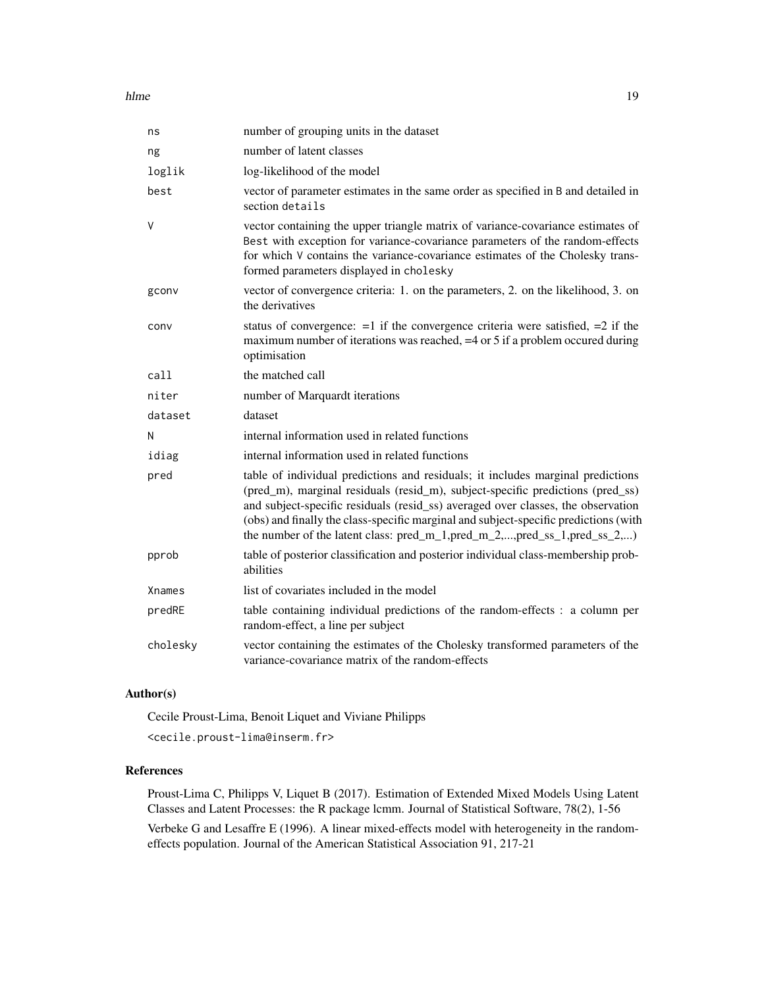hlme the contract of the contract of the contract of the contract of the contract of the contract of the contract of the contract of the contract of the contract of the contract of the contract of the contract of the contr

| ns       | number of grouping units in the dataset                                                                                                                                                                                                                                                                                                                                                                                   |
|----------|---------------------------------------------------------------------------------------------------------------------------------------------------------------------------------------------------------------------------------------------------------------------------------------------------------------------------------------------------------------------------------------------------------------------------|
| ng       | number of latent classes                                                                                                                                                                                                                                                                                                                                                                                                  |
| loglik   | log-likelihood of the model                                                                                                                                                                                                                                                                                                                                                                                               |
| best     | vector of parameter estimates in the same order as specified in B and detailed in<br>section details                                                                                                                                                                                                                                                                                                                      |
| V        | vector containing the upper triangle matrix of variance-covariance estimates of<br>Best with exception for variance-covariance parameters of the random-effects<br>for which V contains the variance-covariance estimates of the Cholesky trans-<br>formed parameters displayed in cholesky                                                                                                                               |
| gconv    | vector of convergence criteria: 1. on the parameters, 2. on the likelihood, 3. on<br>the derivatives                                                                                                                                                                                                                                                                                                                      |
| conv     | status of convergence: $=1$ if the convergence criteria were satisfied, $=2$ if the<br>maximum number of iterations was reached, =4 or 5 if a problem occured during<br>optimisation                                                                                                                                                                                                                                      |
| call     | the matched call                                                                                                                                                                                                                                                                                                                                                                                                          |
| niter    | number of Marquardt iterations                                                                                                                                                                                                                                                                                                                                                                                            |
| dataset  | dataset                                                                                                                                                                                                                                                                                                                                                                                                                   |
| Ν        | internal information used in related functions                                                                                                                                                                                                                                                                                                                                                                            |
| idiag    | internal information used in related functions                                                                                                                                                                                                                                                                                                                                                                            |
| pred     | table of individual predictions and residuals; it includes marginal predictions<br>(pred_m), marginal residuals (resid_m), subject-specific predictions (pred_ss)<br>and subject-specific residuals (resid_ss) averaged over classes, the observation<br>(obs) and finally the class-specific marginal and subject-specific predictions (with<br>the number of the latent class: pred_m_1,pred_m_2,,pred_ss_1,pred_ss_2,) |
| pprob    | table of posterior classification and posterior individual class-membership prob-<br>abilities                                                                                                                                                                                                                                                                                                                            |
| Xnames   | list of covariates included in the model                                                                                                                                                                                                                                                                                                                                                                                  |
| predRE   | table containing individual predictions of the random-effects : a column per<br>random-effect, a line per subject                                                                                                                                                                                                                                                                                                         |
| cholesky | vector containing the estimates of the Cholesky transformed parameters of the<br>variance-covariance matrix of the random-effects                                                                                                                                                                                                                                                                                         |

# Author(s)

Cecile Proust-Lima, Benoit Liquet and Viviane Philipps <cecile.proust-lima@inserm.fr>

# References

Proust-Lima C, Philipps V, Liquet B (2017). Estimation of Extended Mixed Models Using Latent Classes and Latent Processes: the R package lcmm. Journal of Statistical Software, 78(2), 1-56 Verbeke G and Lesaffre E (1996). A linear mixed-effects model with heterogeneity in the randomeffects population. Journal of the American Statistical Association 91, 217-21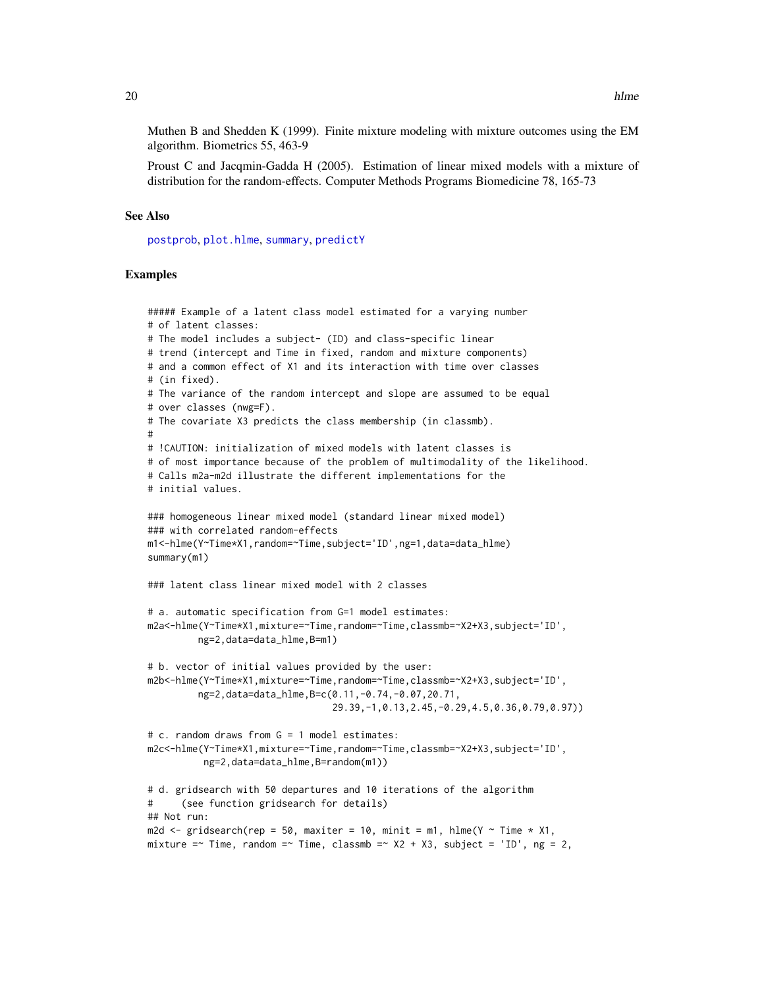<span id="page-19-0"></span>Muthen B and Shedden K (1999). Finite mixture modeling with mixture outcomes using the EM algorithm. Biometrics 55, 463-9

Proust C and Jacqmin-Gadda H (2005). Estimation of linear mixed models with a mixture of distribution for the random-effects. Computer Methods Programs Biomedicine 78, 165-73

#### See Also

[postprob](#page-55-1), [plot.hlme](#page-49-1), [summary](#page-0-0), [predictY](#page-60-1)

# Examples

```
##### Example of a latent class model estimated for a varying number
# of latent classes:
# The model includes a subject- (ID) and class-specific linear
# trend (intercept and Time in fixed, random and mixture components)
# and a common effect of X1 and its interaction with time over classes
# (in fixed).
# The variance of the random intercept and slope are assumed to be equal
# over classes (nwg=F).
# The covariate X3 predicts the class membership (in classmb).
#
# !CAUTION: initialization of mixed models with latent classes is
# of most importance because of the problem of multimodality of the likelihood.
# Calls m2a-m2d illustrate the different implementations for the
# initial values.
### homogeneous linear mixed model (standard linear mixed model)
### with correlated random-effects
m1<-hlme(Y~Time*X1,random=~Time,subject='ID',ng=1,data=data_hlme)
summary(m1)
### latent class linear mixed model with 2 classes
# a. automatic specification from G=1 model estimates:
m2a<-hlme(Y~Time*X1,mixture=~Time,random=~Time,classmb=~X2+X3,subject='ID',
         ng=2,data=data_hlme,B=m1)
# b. vector of initial values provided by the user:
m2b<-hlme(Y~Time*X1,mixture=~Time,random=~Time,classmb=~X2+X3,subject='ID',
         ng=2,data=data_hlme,B=c(0.11,-0.74,-0.07,20.71,
                                 29.39,-1,0.13,2.45,-0.29,4.5,0.36,0.79,0.97))
# c. random draws from G = 1 model estimates:
m2c<-hlme(Y~Time*X1,mixture=~Time,random=~Time,classmb=~X2+X3,subject='ID',
          ng=2,data=data_hlme,B=random(m1))
# d. gridsearch with 50 departures and 10 iterations of the algorithm
      (see function gridsearch for details)
## Not run:
m2d \le gridsearch(rep = 50, maxiter = 10, minit = m1, hlme(Y \sim Time \star X1,
mixture =~ Time, random =~ Time, classmb =~ X2 + X3, subject = 'ID', ng = 2,
```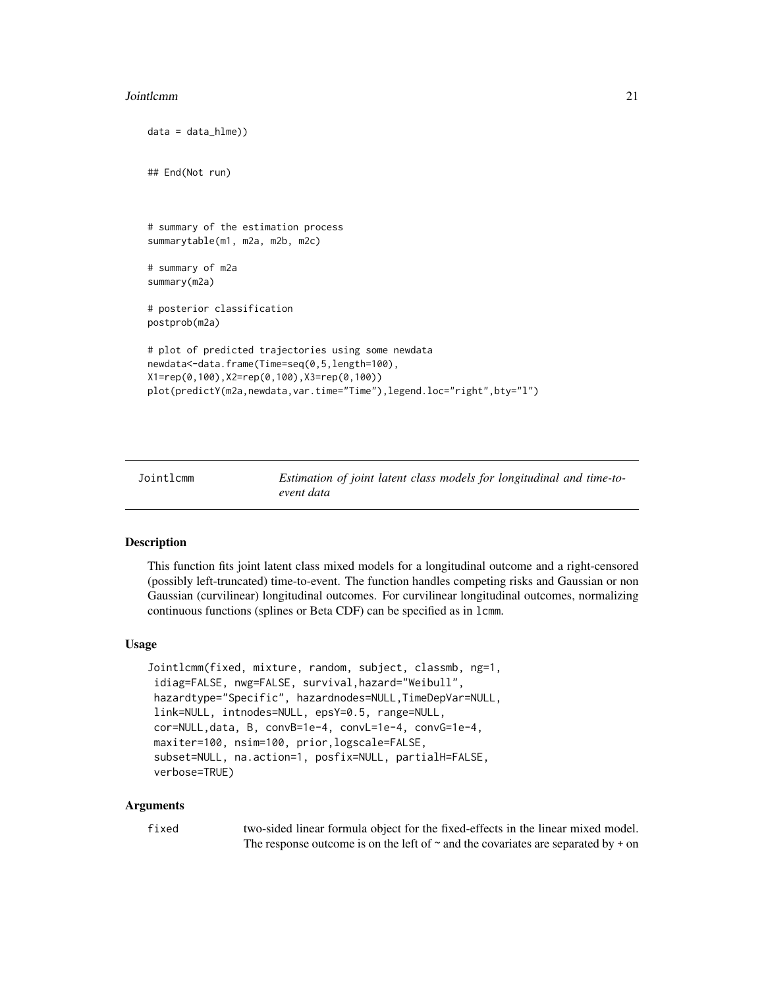#### <span id="page-20-0"></span>**Jointlemm** 21

```
data = data_hlme))
## End(Not run)
# summary of the estimation process
summarytable(m1, m2a, m2b, m2c)
# summary of m2a
summary(m2a)
# posterior classification
postprob(m2a)
# plot of predicted trajectories using some newdata
newdata<-data.frame(Time=seq(0,5,length=100),
X1=rep(0,100),X2=rep(0,100),X3=rep(0,100))
plot(predictY(m2a,newdata,var.time="Time"),legend.loc="right",bty="l")
```
<span id="page-20-1"></span>

| Jointlcmm |            |  |  | Estimation of joint latent class models for longitudinal and time-to- |  |
|-----------|------------|--|--|-----------------------------------------------------------------------|--|
|           | event data |  |  |                                                                       |  |

#### Description

This function fits joint latent class mixed models for a longitudinal outcome and a right-censored (possibly left-truncated) time-to-event. The function handles competing risks and Gaussian or non Gaussian (curvilinear) longitudinal outcomes. For curvilinear longitudinal outcomes, normalizing continuous functions (splines or Beta CDF) can be specified as in lcmm.

# Usage

```
Jointlcmm(fixed, mixture, random, subject, classmb, ng=1,
idiag=FALSE, nwg=FALSE, survival,hazard="Weibull",
hazardtype="Specific", hazardnodes=NULL,TimeDepVar=NULL,
link=NULL, intnodes=NULL, epsY=0.5, range=NULL,
cor=NULL,data, B, convB=1e-4, convL=1e-4, convG=1e-4,
maxiter=100, nsim=100, prior,logscale=FALSE,
subset=NULL, na.action=1, posfix=NULL, partialH=FALSE,
verbose=TRUE)
```
#### Arguments

| fixed | two-sided linear formula object for the fixed-effects in the linear mixed model.       |
|-------|----------------------------------------------------------------------------------------|
|       | The response outcome is on the left of $\sim$ and the covariates are separated by + on |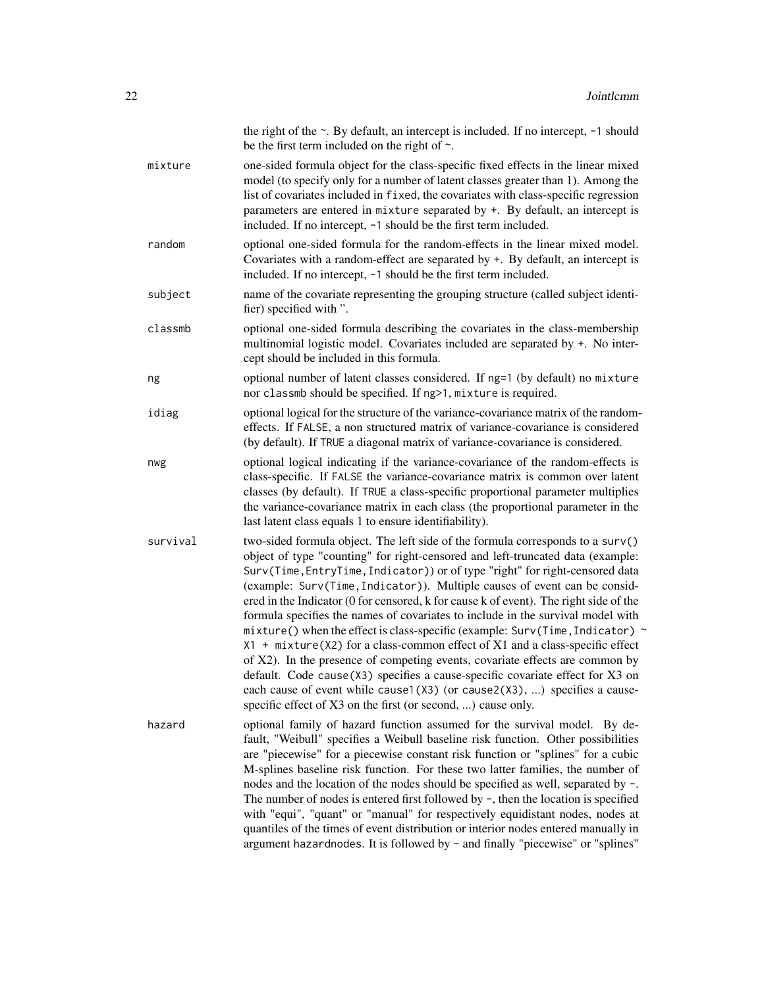|          | the right of the $\sim$ . By default, an intercept is included. If no intercept, $-1$ should<br>be the first term included on the right of $\sim$ .                                                                                                                                                                                                                                                                                                                                                                                                                                                                                                                                                                                                                                                                                                                                                                                                                                              |
|----------|--------------------------------------------------------------------------------------------------------------------------------------------------------------------------------------------------------------------------------------------------------------------------------------------------------------------------------------------------------------------------------------------------------------------------------------------------------------------------------------------------------------------------------------------------------------------------------------------------------------------------------------------------------------------------------------------------------------------------------------------------------------------------------------------------------------------------------------------------------------------------------------------------------------------------------------------------------------------------------------------------|
| mixture  | one-sided formula object for the class-specific fixed effects in the linear mixed<br>model (to specify only for a number of latent classes greater than 1). Among the<br>list of covariates included in fixed, the covariates with class-specific regression<br>parameters are entered in mixture separated by +. By default, an intercept is<br>included. If no intercept, -1 should be the first term included.                                                                                                                                                                                                                                                                                                                                                                                                                                                                                                                                                                                |
| random   | optional one-sided formula for the random-effects in the linear mixed model.<br>Covariates with a random-effect are separated by $+$ . By default, an intercept is<br>included. If no intercept, -1 should be the first term included.                                                                                                                                                                                                                                                                                                                                                                                                                                                                                                                                                                                                                                                                                                                                                           |
| subject  | name of the covariate representing the grouping structure (called subject identi-<br>fier) specified with ".                                                                                                                                                                                                                                                                                                                                                                                                                                                                                                                                                                                                                                                                                                                                                                                                                                                                                     |
| classmb  | optional one-sided formula describing the covariates in the class-membership<br>multinomial logistic model. Covariates included are separated by +. No inter-<br>cept should be included in this formula.                                                                                                                                                                                                                                                                                                                                                                                                                                                                                                                                                                                                                                                                                                                                                                                        |
| ng       | optional number of latent classes considered. If ng=1 (by default) no mixture<br>nor classmb should be specified. If ng>1, mixture is required.                                                                                                                                                                                                                                                                                                                                                                                                                                                                                                                                                                                                                                                                                                                                                                                                                                                  |
| idiag    | optional logical for the structure of the variance-covariance matrix of the random-<br>effects. If FALSE, a non structured matrix of variance-covariance is considered<br>(by default). If TRUE a diagonal matrix of variance-covariance is considered.                                                                                                                                                                                                                                                                                                                                                                                                                                                                                                                                                                                                                                                                                                                                          |
| nwg      | optional logical indicating if the variance-covariance of the random-effects is<br>class-specific. If FALSE the variance-covariance matrix is common over latent<br>classes (by default). If TRUE a class-specific proportional parameter multiplies<br>the variance-covariance matrix in each class (the proportional parameter in the<br>last latent class equals 1 to ensure identifiability).                                                                                                                                                                                                                                                                                                                                                                                                                                                                                                                                                                                                |
| survival | two-sided formula object. The left side of the formula corresponds to a surv()<br>object of type "counting" for right-censored and left-truncated data (example:<br>Surv(Time, EntryTime, Indicator)) or of type "right" for right-censored data<br>(example: Surv(Time, Indicator)). Multiple causes of event can be consid-<br>ered in the Indicator (0 for censored, k for cause k of event). The right side of the<br>formula specifies the names of covariates to include in the survival model with<br>mixture() when the effect is class-specific (example: Surv(Time, Indicator) ~<br>$X1$ + mixture( $X2$ ) for a class-common effect of $X1$ and a class-specific effect<br>of X2). In the presence of competing events, covariate effects are common by<br>default. Code cause(X3) specifies a cause-specific covariate effect for X3 on<br>each cause of event while cause1(X3) (or cause2(X3), ) specifies a cause-<br>specific effect of X3 on the first (or second, ) cause only. |
| hazard   | optional family of hazard function assumed for the survival model. By de-<br>fault, "Weibull" specifies a Weibull baseline risk function. Other possibilities<br>are "piecewise" for a piecewise constant risk function or "splines" for a cubic<br>M-splines baseline risk function. For these two latter families, the number of<br>nodes and the location of the nodes should be specified as well, separated by -.<br>The number of nodes is entered first followed by $-$ , then the location is specified<br>with "equi", "quant" or "manual" for respectively equidistant nodes, nodes at<br>quantiles of the times of event distribution or interior nodes entered manually in<br>argument hazardnodes. It is followed by - and finally "piecewise" or "splines"                                                                                                                                                                                                                         |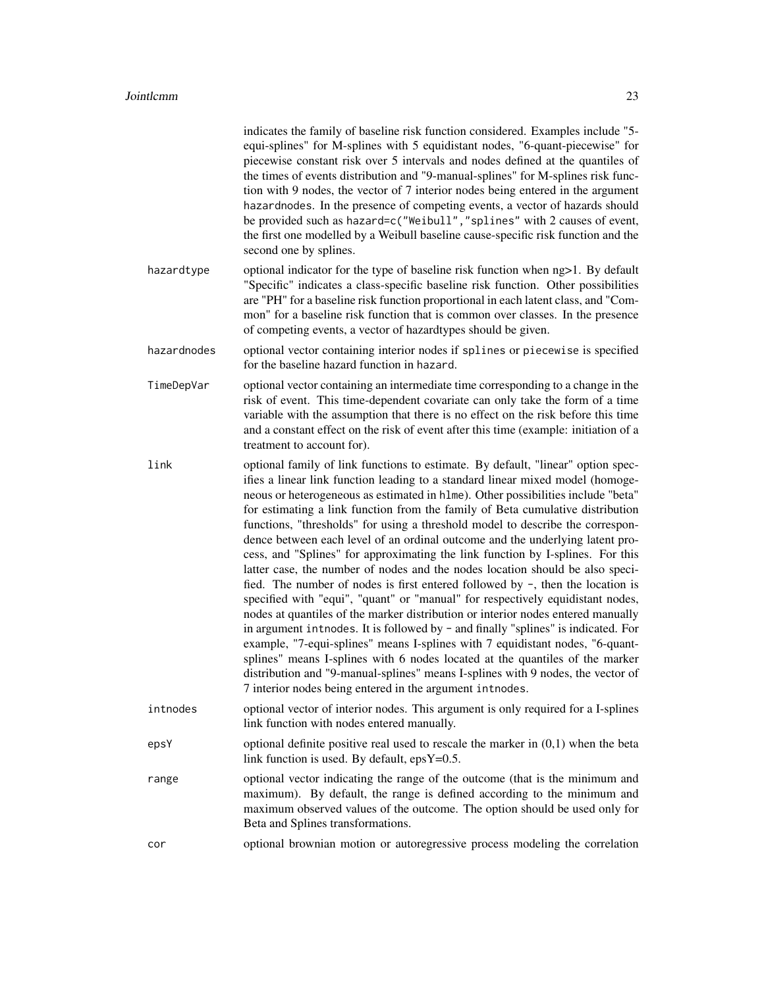|             | indicates the family of baseline risk function considered. Examples include "5-<br>equi-splines" for M-splines with 5 equidistant nodes, "6-quant-piecewise" for<br>piecewise constant risk over 5 intervals and nodes defined at the quantiles of<br>the times of events distribution and "9-manual-splines" for M-splines risk func-<br>tion with 9 nodes, the vector of 7 interior nodes being entered in the argument<br>hazardnodes. In the presence of competing events, a vector of hazards should<br>be provided such as hazard=c("Weibull","splines" with 2 causes of event,<br>the first one modelled by a Weibull baseline cause-specific risk function and the<br>second one by splines.                                                                                                                                                                                                                                                                                                                                                                                                                                                                                                                                                                                                                                              |
|-------------|---------------------------------------------------------------------------------------------------------------------------------------------------------------------------------------------------------------------------------------------------------------------------------------------------------------------------------------------------------------------------------------------------------------------------------------------------------------------------------------------------------------------------------------------------------------------------------------------------------------------------------------------------------------------------------------------------------------------------------------------------------------------------------------------------------------------------------------------------------------------------------------------------------------------------------------------------------------------------------------------------------------------------------------------------------------------------------------------------------------------------------------------------------------------------------------------------------------------------------------------------------------------------------------------------------------------------------------------------|
| hazardtype  | optional indicator for the type of baseline risk function when ng>1. By default<br>"Specific" indicates a class-specific baseline risk function. Other possibilities<br>are "PH" for a baseline risk function proportional in each latent class, and "Com-<br>mon" for a baseline risk function that is common over classes. In the presence<br>of competing events, a vector of hazardtypes should be given.                                                                                                                                                                                                                                                                                                                                                                                                                                                                                                                                                                                                                                                                                                                                                                                                                                                                                                                                     |
| hazardnodes | optional vector containing interior nodes if splines or piecewise is specified<br>for the baseline hazard function in hazard.                                                                                                                                                                                                                                                                                                                                                                                                                                                                                                                                                                                                                                                                                                                                                                                                                                                                                                                                                                                                                                                                                                                                                                                                                     |
| TimeDepVar  | optional vector containing an intermediate time corresponding to a change in the<br>risk of event. This time-dependent covariate can only take the form of a time<br>variable with the assumption that there is no effect on the risk before this time<br>and a constant effect on the risk of event after this time (example: initiation of a<br>treatment to account for).                                                                                                                                                                                                                                                                                                                                                                                                                                                                                                                                                                                                                                                                                                                                                                                                                                                                                                                                                                      |
| link        | optional family of link functions to estimate. By default, "linear" option spec-<br>ifies a linear link function leading to a standard linear mixed model (homoge-<br>neous or heterogeneous as estimated in h1me). Other possibilities include "beta"<br>for estimating a link function from the family of Beta cumulative distribution<br>functions, "thresholds" for using a threshold model to describe the correspon-<br>dence between each level of an ordinal outcome and the underlying latent pro-<br>cess, and "Splines" for approximating the link function by I-splines. For this<br>latter case, the number of nodes and the nodes location should be also speci-<br>fied. The number of nodes is first entered followed by $\neg$ , then the location is<br>specified with "equi", "quant" or "manual" for respectively equidistant nodes,<br>nodes at quantiles of the marker distribution or interior nodes entered manually<br>in argument introdes. It is followed by - and finally "splines" is indicated. For<br>example, "7-equi-splines" means I-splines with 7 equidistant nodes, "6-quant-<br>splines" means I-splines with 6 nodes located at the quantiles of the marker<br>distribution and "9-manual-splines" means I-splines with 9 nodes, the vector of<br>7 interior nodes being entered in the argument intnodes. |
| intnodes    | optional vector of interior nodes. This argument is only required for a I-splines<br>link function with nodes entered manually.                                                                                                                                                                                                                                                                                                                                                                                                                                                                                                                                                                                                                                                                                                                                                                                                                                                                                                                                                                                                                                                                                                                                                                                                                   |
| epsY        | optional definite positive real used to rescale the marker in $(0,1)$ when the beta<br>link function is used. By default, $epsY=0.5$ .                                                                                                                                                                                                                                                                                                                                                                                                                                                                                                                                                                                                                                                                                                                                                                                                                                                                                                                                                                                                                                                                                                                                                                                                            |
| range       | optional vector indicating the range of the outcome (that is the minimum and<br>maximum). By default, the range is defined according to the minimum and<br>maximum observed values of the outcome. The option should be used only for<br>Beta and Splines transformations.                                                                                                                                                                                                                                                                                                                                                                                                                                                                                                                                                                                                                                                                                                                                                                                                                                                                                                                                                                                                                                                                        |
| cor         | optional brownian motion or autoregressive process modeling the correlation                                                                                                                                                                                                                                                                                                                                                                                                                                                                                                                                                                                                                                                                                                                                                                                                                                                                                                                                                                                                                                                                                                                                                                                                                                                                       |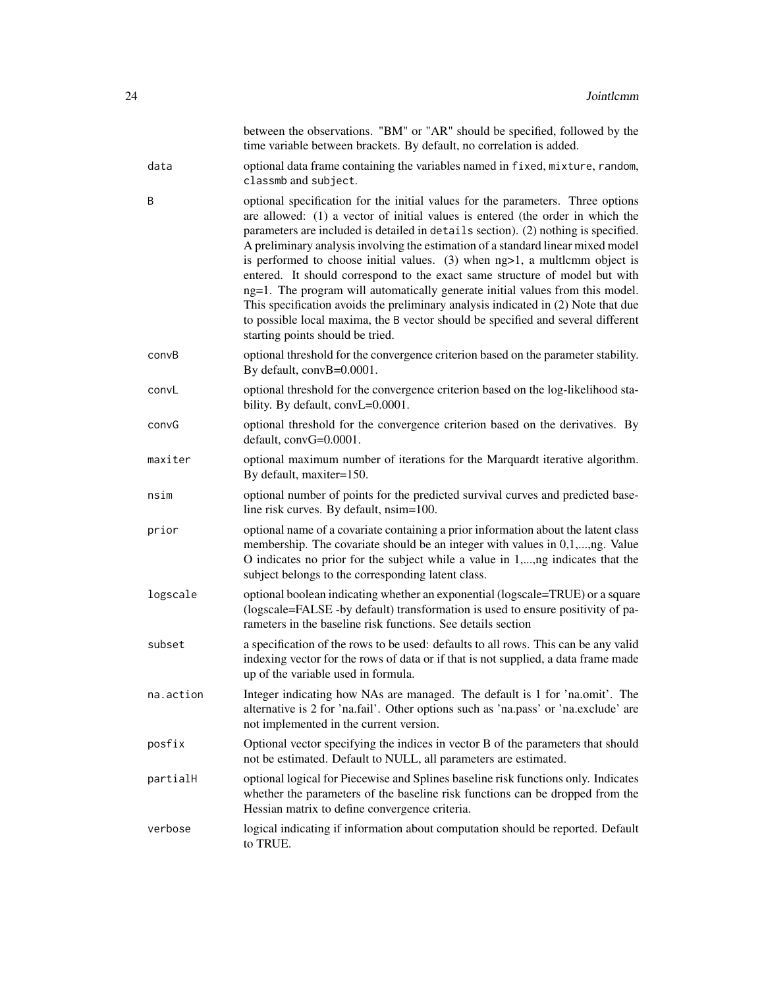|           | between the observations. "BM" or "AR" should be specified, followed by the<br>time variable between brackets. By default, no correlation is added.                                                                                                                                                                                                                                                                                                                                                                                                                                                                                                                                                                                                                                                    |
|-----------|--------------------------------------------------------------------------------------------------------------------------------------------------------------------------------------------------------------------------------------------------------------------------------------------------------------------------------------------------------------------------------------------------------------------------------------------------------------------------------------------------------------------------------------------------------------------------------------------------------------------------------------------------------------------------------------------------------------------------------------------------------------------------------------------------------|
| data      | optional data frame containing the variables named in fixed, mixture, random,<br>classmb and subject.                                                                                                                                                                                                                                                                                                                                                                                                                                                                                                                                                                                                                                                                                                  |
| B         | optional specification for the initial values for the parameters. Three options<br>are allowed: (1) a vector of initial values is entered (the order in which the<br>parameters are included is detailed in details section). (2) nothing is specified.<br>A preliminary analysis involving the estimation of a standard linear mixed model<br>is performed to choose initial values. (3) when ng>1, a multlcmm object is<br>entered. It should correspond to the exact same structure of model but with<br>ng=1. The program will automatically generate initial values from this model.<br>This specification avoids the preliminary analysis indicated in (2) Note that due<br>to possible local maxima, the B vector should be specified and several different<br>starting points should be tried. |
| convB     | optional threshold for the convergence criterion based on the parameter stability.<br>By default, convB=0.0001.                                                                                                                                                                                                                                                                                                                                                                                                                                                                                                                                                                                                                                                                                        |
| convL     | optional threshold for the convergence criterion based on the log-likelihood sta-<br>bility. By default, convL=0.0001.                                                                                                                                                                                                                                                                                                                                                                                                                                                                                                                                                                                                                                                                                 |
| convG     | optional threshold for the convergence criterion based on the derivatives. By<br>default, convG=0.0001.                                                                                                                                                                                                                                                                                                                                                                                                                                                                                                                                                                                                                                                                                                |
| maxiter   | optional maximum number of iterations for the Marquardt iterative algorithm.<br>By default, maxiter=150.                                                                                                                                                                                                                                                                                                                                                                                                                                                                                                                                                                                                                                                                                               |
| nsim      | optional number of points for the predicted survival curves and predicted base-<br>line risk curves. By default, nsim=100.                                                                                                                                                                                                                                                                                                                                                                                                                                                                                                                                                                                                                                                                             |
| prior     | optional name of a covariate containing a prior information about the latent class<br>membership. The covariate should be an integer with values in 0,1,,ng. Value<br>O indicates no prior for the subject while a value in 1,,ng indicates that the<br>subject belongs to the corresponding latent class.                                                                                                                                                                                                                                                                                                                                                                                                                                                                                             |
| logscale  | optional boolean indicating whether an exponential (logscale=TRUE) or a square<br>(logscale=FALSE -by default) transformation is used to ensure positivity of pa-<br>rameters in the baseline risk functions. See details section                                                                                                                                                                                                                                                                                                                                                                                                                                                                                                                                                                      |
| subset    | a specification of the rows to be used: defaults to all rows. This can be any valid<br>indexing vector for the rows of data or if that is not supplied, a data frame made<br>up of the variable used in formula.                                                                                                                                                                                                                                                                                                                                                                                                                                                                                                                                                                                       |
| na.action | Integer indicating how NAs are managed. The default is 1 for 'na.omit'. The<br>alternative is 2 for 'na.fail'. Other options such as 'na.pass' or 'na.exclude' are<br>not implemented in the current version.                                                                                                                                                                                                                                                                                                                                                                                                                                                                                                                                                                                          |
| posfix    | Optional vector specifying the indices in vector B of the parameters that should<br>not be estimated. Default to NULL, all parameters are estimated.                                                                                                                                                                                                                                                                                                                                                                                                                                                                                                                                                                                                                                                   |
| partialH  | optional logical for Piecewise and Splines baseline risk functions only. Indicates<br>whether the parameters of the baseline risk functions can be dropped from the<br>Hessian matrix to define convergence criteria.                                                                                                                                                                                                                                                                                                                                                                                                                                                                                                                                                                                  |
| verbose   | logical indicating if information about computation should be reported. Default<br>to TRUE.                                                                                                                                                                                                                                                                                                                                                                                                                                                                                                                                                                                                                                                                                                            |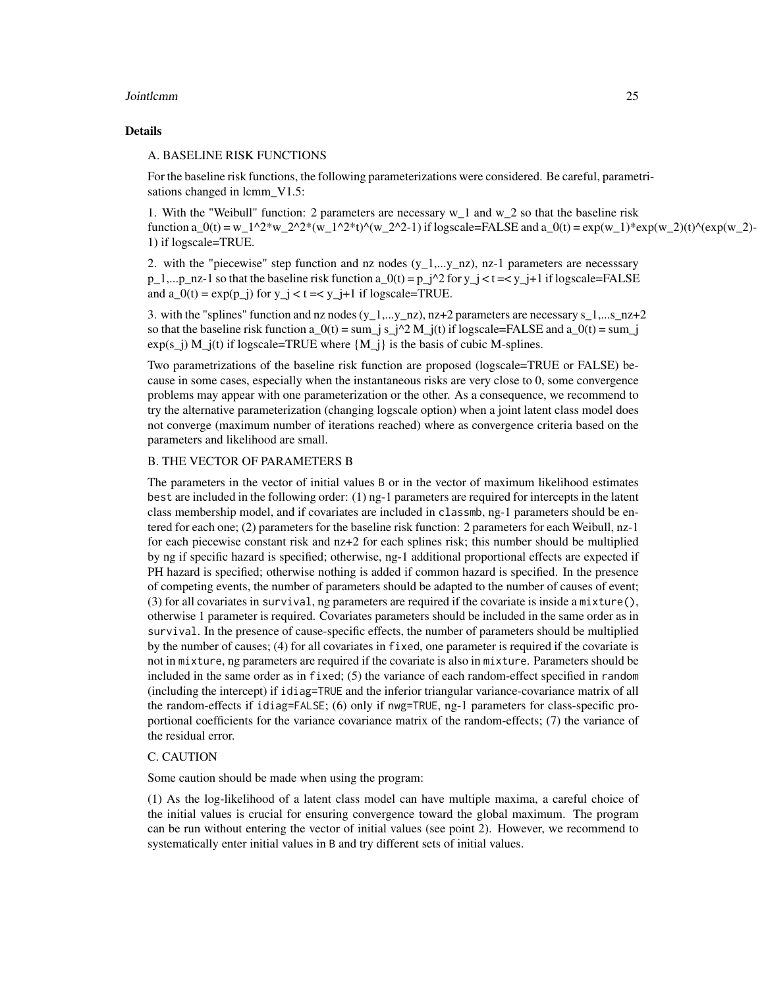#### **Jointlemm** 25

#### Details

#### A. BASELINE RISK FUNCTIONS

For the baseline risk functions, the following parameterizations were considered. Be careful, parametrisations changed in lcmm V1.5:

1. With the "Weibull" function: 2 parameters are necessary w\_1 and w\_2 so that the baseline risk function a  $0(t) = w_1^2*w_2^2*(w_1^2^*t)^\wedge(w_2^2-1)$  if logscale=FALSE and a  $0(t) = \exp(w_1)*\exp(w_2)(t)^\wedge(\exp(w_2)-1)$ 1) if logscale=TRUE.

2. with the "piecewise" step function and nz nodes  $(y_1,...,y_nz)$ , nz-1 parameters are necessary  $p_1,...p_n$  nz-1 so that the baseline risk function a\_0(t) =  $p_1^2$  for y\_j < t = < y\_j+1 if logscale=FALSE and  $a_0(t) = \exp(p_1)$  for  $y_1 < t < y_1 + 1$  if logscale=TRUE.

3. with the "splines" function and nz nodes  $(y_1,...,y_n)$ , nz+2 parameters are necessary s\_1,...s\_nz+2 so that the baseline risk function  $a_0(t) = \sum_j s_j^2/2 M_j(t)$  if logscale=FALSE and  $a_0(t) = \sum_j s_j^2/2 M_j(t)$  $exp(s_j)$  M  $j(t)$  if logscale=TRUE where  ${M_j}$  is the basis of cubic M-splines.

Two parametrizations of the baseline risk function are proposed (logscale=TRUE or FALSE) because in some cases, especially when the instantaneous risks are very close to 0, some convergence problems may appear with one parameterization or the other. As a consequence, we recommend to try the alternative parameterization (changing logscale option) when a joint latent class model does not converge (maximum number of iterations reached) where as convergence criteria based on the parameters and likelihood are small.

#### B. THE VECTOR OF PARAMETERS B

The parameters in the vector of initial values B or in the vector of maximum likelihood estimates best are included in the following order: (1) ng-1 parameters are required for intercepts in the latent class membership model, and if covariates are included in classmb, ng-1 parameters should be entered for each one; (2) parameters for the baseline risk function: 2 parameters for each Weibull, nz-1 for each piecewise constant risk and nz+2 for each splines risk; this number should be multiplied by ng if specific hazard is specified; otherwise, ng-1 additional proportional effects are expected if PH hazard is specified; otherwise nothing is added if common hazard is specified. In the presence of competing events, the number of parameters should be adapted to the number of causes of event; (3) for all covariates in survival, ng parameters are required if the covariate is inside a mixture(), otherwise 1 parameter is required. Covariates parameters should be included in the same order as in survival. In the presence of cause-specific effects, the number of parameters should be multiplied by the number of causes; (4) for all covariates in fixed, one parameter is required if the covariate is not in mixture, ng parameters are required if the covariate is also in mixture. Parameters should be included in the same order as in fixed; (5) the variance of each random-effect specified in random (including the intercept) if idiag=TRUE and the inferior triangular variance-covariance matrix of all the random-effects if idiag=FALSE; (6) only if nwg=TRUE, ng-1 parameters for class-specific proportional coefficients for the variance covariance matrix of the random-effects; (7) the variance of the residual error.

#### C. CAUTION

Some caution should be made when using the program:

(1) As the log-likelihood of a latent class model can have multiple maxima, a careful choice of the initial values is crucial for ensuring convergence toward the global maximum. The program can be run without entering the vector of initial values (see point 2). However, we recommend to systematically enter initial values in B and try different sets of initial values.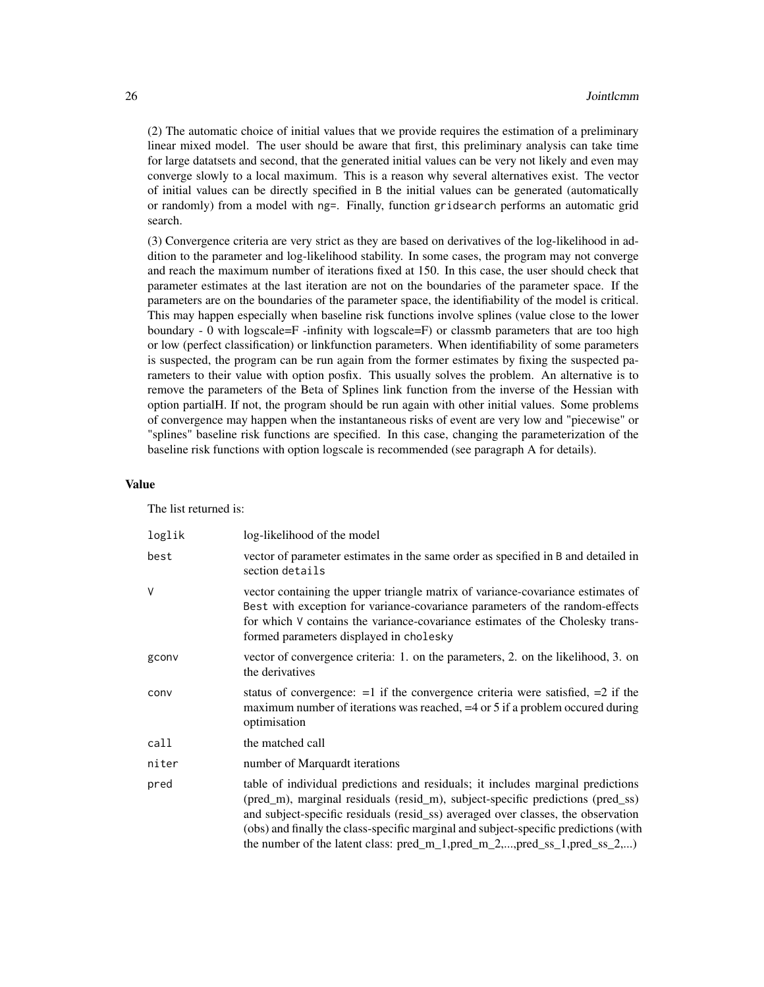(2) The automatic choice of initial values that we provide requires the estimation of a preliminary linear mixed model. The user should be aware that first, this preliminary analysis can take time for large datatsets and second, that the generated initial values can be very not likely and even may converge slowly to a local maximum. This is a reason why several alternatives exist. The vector of initial values can be directly specified in B the initial values can be generated (automatically or randomly) from a model with ng=. Finally, function gridsearch performs an automatic grid search.

(3) Convergence criteria are very strict as they are based on derivatives of the log-likelihood in addition to the parameter and log-likelihood stability. In some cases, the program may not converge and reach the maximum number of iterations fixed at 150. In this case, the user should check that parameter estimates at the last iteration are not on the boundaries of the parameter space. If the parameters are on the boundaries of the parameter space, the identifiability of the model is critical. This may happen especially when baseline risk functions involve splines (value close to the lower boundary - 0 with logscale=F -infinity with logscale=F) or classmb parameters that are too high or low (perfect classification) or linkfunction parameters. When identifiability of some parameters is suspected, the program can be run again from the former estimates by fixing the suspected parameters to their value with option posfix. This usually solves the problem. An alternative is to remove the parameters of the Beta of Splines link function from the inverse of the Hessian with option partialH. If not, the program should be run again with other initial values. Some problems of convergence may happen when the instantaneous risks of event are very low and "piecewise" or "splines" baseline risk functions are specified. In this case, changing the parameterization of the baseline risk functions with option logscale is recommended (see paragraph A for details).

#### Value

The list returned is:

| loglik | log-likelihood of the model                                                                                                                                                                                                                                                                                                                                                                                                    |
|--------|--------------------------------------------------------------------------------------------------------------------------------------------------------------------------------------------------------------------------------------------------------------------------------------------------------------------------------------------------------------------------------------------------------------------------------|
| best   | vector of parameter estimates in the same order as specified in B and detailed in<br>section details                                                                                                                                                                                                                                                                                                                           |
| V      | vector containing the upper triangle matrix of variance-covariance estimates of<br>Best with exception for variance-covariance parameters of the random-effects<br>for which V contains the variance-covariance estimates of the Cholesky trans-<br>formed parameters displayed in cholesky                                                                                                                                    |
| gconv  | vector of convergence criteria: 1. on the parameters, 2. on the likelihood, 3. on<br>the derivatives                                                                                                                                                                                                                                                                                                                           |
| conv   | status of convergence: $=1$ if the convergence criteria were satisfied, $=2$ if the<br>maximum number of iterations was reached, $=4$ or 5 if a problem occurred during<br>optimisation                                                                                                                                                                                                                                        |
| call   | the matched call                                                                                                                                                                                                                                                                                                                                                                                                               |
| niter  | number of Marquardt iterations                                                                                                                                                                                                                                                                                                                                                                                                 |
| pred   | table of individual predictions and residuals; it includes marginal predictions<br>(pred_m), marginal residuals (resid_m), subject-specific predictions (pred_ss)<br>and subject-specific residuals (resid_ss) averaged over classes, the observation<br>(obs) and finally the class-specific marginal and subject-specific predictions (with<br>the number of the latent class: $pred_m_1, pred_m_2, , pred_s_1, pred_s_2, ,$ |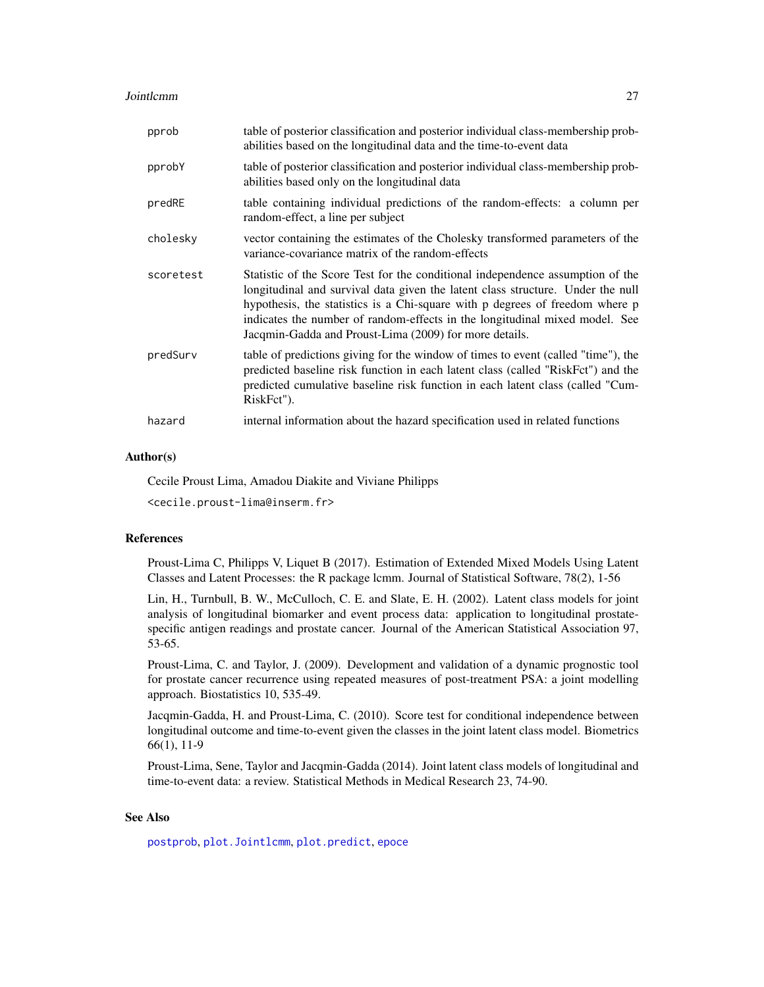<span id="page-26-0"></span>**Jointlemm** 27

| pprob     | table of posterior classification and posterior individual class-membership prob-<br>abilities based on the longitudinal data and the time-to-event data                                                                                                                                                                                                                                   |
|-----------|--------------------------------------------------------------------------------------------------------------------------------------------------------------------------------------------------------------------------------------------------------------------------------------------------------------------------------------------------------------------------------------------|
| pprobY    | table of posterior classification and posterior individual class-membership prob-<br>abilities based only on the longitudinal data                                                                                                                                                                                                                                                         |
| predRE    | table containing individual predictions of the random-effects: a column per<br>random-effect, a line per subject                                                                                                                                                                                                                                                                           |
| cholesky  | vector containing the estimates of the Cholesky transformed parameters of the<br>variance-covariance matrix of the random-effects                                                                                                                                                                                                                                                          |
| scoretest | Statistic of the Score Test for the conditional independence assumption of the<br>longitudinal and survival data given the latent class structure. Under the null<br>hypothesis, the statistics is a Chi-square with p degrees of freedom where p<br>indicates the number of random-effects in the longitudinal mixed model. See<br>Jacqmin-Gadda and Proust-Lima (2009) for more details. |
| predSurv  | table of predictions giving for the window of times to event (called "time"), the<br>predicted baseline risk function in each latent class (called "RiskFct") and the<br>predicted cumulative baseline risk function in each latent class (called "Cum-<br>RiskFct").                                                                                                                      |
| hazard    | internal information about the hazard specification used in related functions                                                                                                                                                                                                                                                                                                              |

#### Author(s)

Cecile Proust Lima, Amadou Diakite and Viviane Philipps

<cecile.proust-lima@inserm.fr>

#### References

Proust-Lima C, Philipps V, Liquet B (2017). Estimation of Extended Mixed Models Using Latent Classes and Latent Processes: the R package lcmm. Journal of Statistical Software, 78(2), 1-56

Lin, H., Turnbull, B. W., McCulloch, C. E. and Slate, E. H. (2002). Latent class models for joint analysis of longitudinal biomarker and event process data: application to longitudinal prostatespecific antigen readings and prostate cancer. Journal of the American Statistical Association 97, 53-65.

Proust-Lima, C. and Taylor, J. (2009). Development and validation of a dynamic prognostic tool for prostate cancer recurrence using repeated measures of post-treatment PSA: a joint modelling approach. Biostatistics 10, 535-49.

Jacqmin-Gadda, H. and Proust-Lima, C. (2010). Score test for conditional independence between longitudinal outcome and time-to-event given the classes in the joint latent class model. Biometrics 66(1), 11-9

Proust-Lima, Sene, Taylor and Jacqmin-Gadda (2014). Joint latent class models of longitudinal and time-to-event data: a review. Statistical Methods in Medical Research 23, 74-90.

# See Also

[postprob](#page-55-1), [plot.Jointlcmm](#page-49-1), [plot.predict](#page-53-1), [epoce](#page-9-1)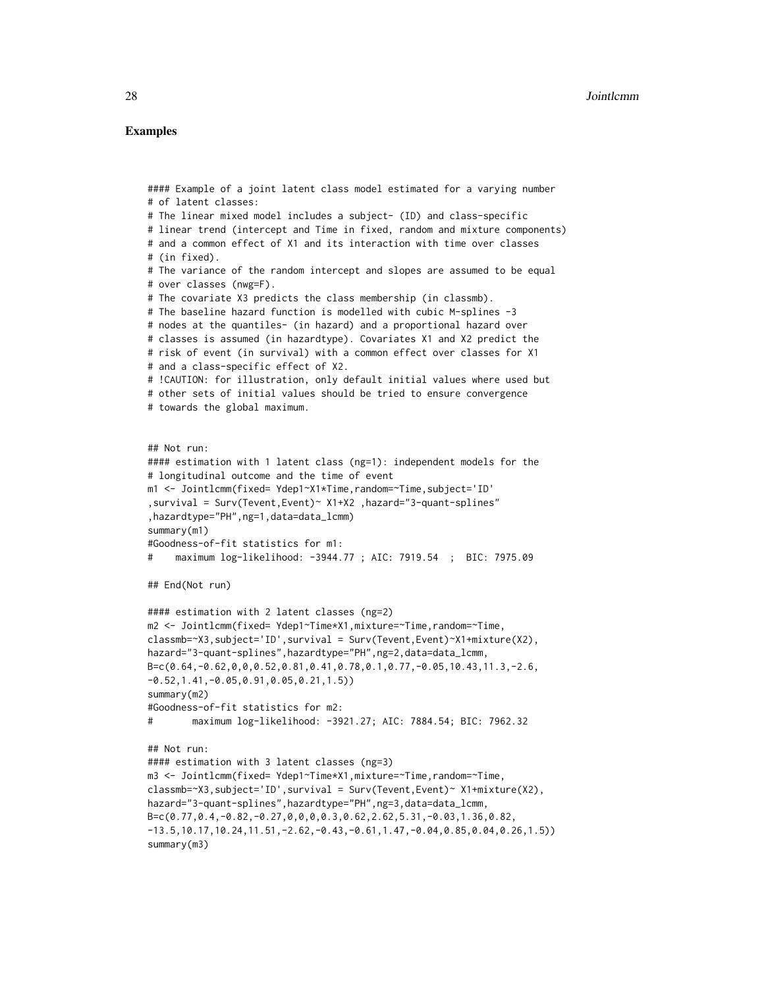# Examples

```
#### Example of a joint latent class model estimated for a varying number
# of latent classes:
# The linear mixed model includes a subject- (ID) and class-specific
# linear trend (intercept and Time in fixed, random and mixture components)
# and a common effect of X1 and its interaction with time over classes
# (in fixed).
# The variance of the random intercept and slopes are assumed to be equal
# over classes (nwg=F).
# The covariate X3 predicts the class membership (in classmb).
# The baseline hazard function is modelled with cubic M-splines -3
# nodes at the quantiles- (in hazard) and a proportional hazard over
# classes is assumed (in hazardtype). Covariates X1 and X2 predict the
# risk of event (in survival) with a common effect over classes for X1
# and a class-specific effect of X2.
# !CAUTION: for illustration, only default initial values where used but
# other sets of initial values should be tried to ensure convergence
# towards the global maximum.
## Not run:
#### estimation with 1 latent class (ng=1): independent models for the
# longitudinal outcome and the time of event
m1 <- Jointlcmm(fixed= Ydep1~X1*Time,random=~Time,subject='ID'
,survival = Surv(Tevent,Event)~ X1+X2 ,hazard="3-quant-splines"
,hazardtype="PH",ng=1,data=data_lcmm)
summary(m1)
#Goodness-of-fit statistics for m1:
# maximum log-likelihood: -3944.77 ; AIC: 7919.54 ; BIC: 7975.09
## End(Not run)
#### estimation with 2 latent classes (ng=2)
m2 <- Jointlcmm(fixed= Ydep1~Time*X1,mixture=~Time,random=~Time,
classmb=~X3,subject='ID',survival = Surv(Tevent,Event)~X1+mixture(X2),
hazard="3-quant-splines",hazardtype="PH",ng=2,data=data_lcmm,
B=c(0.64,-0.62,0,0,0.52,0.81,0.41,0.78,0.1,0.77,-0.05,10.43,11.3,-2.6,
-0.52,1.41,-0.05,0.91,0.05,0.21,1.5))
summary(m2)
#Goodness-of-fit statistics for m2:
# maximum log-likelihood: -3921.27; AIC: 7884.54; BIC: 7962.32
## Not run:
#### estimation with 3 latent classes (ng=3)
m3 <- Jointlcmm(fixed= Ydep1~Time*X1,mixture=~Time,random=~Time,
classmb=~X3,subject='ID',survival = Surv(Tevent,Event)~ X1+mixture(X2),
hazard="3-quant-splines",hazardtype="PH",ng=3,data=data_lcmm,
B=c(0.77,0.4,-0.82,-0.27,0,0,0,0.3,0.62,2.62,5.31,-0.03,1.36,0.82,
-13.5,10.17,10.24,11.51,-2.62,-0.43,-0.61,1.47,-0.04,0.85,0.04,0.26,1.5)summary(m3)
```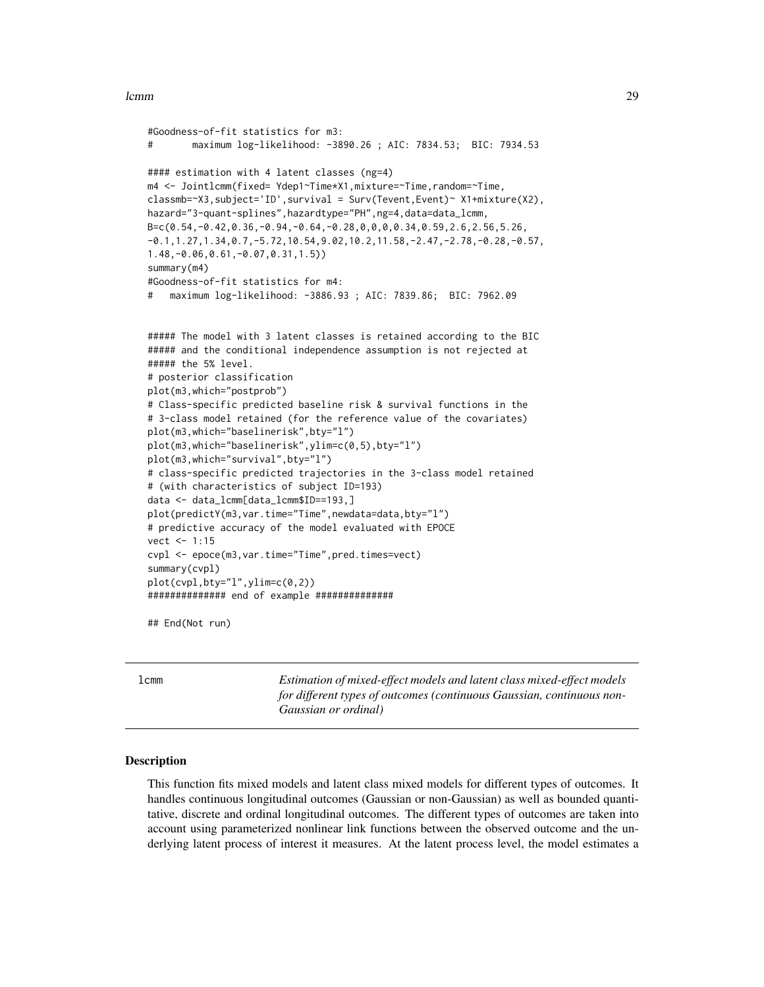#### <span id="page-28-0"></span>lcmm 29

```
#Goodness-of-fit statistics for m3:
# maximum log-likelihood: -3890.26 ; AIC: 7834.53; BIC: 7934.53
#### estimation with 4 latent classes (ng=4)
m4 <- Jointlcmm(fixed= Ydep1~Time*X1,mixture=~Time,random=~Time,
classmb=~X3,subject='ID',survival = Surv(Tevent,Event)~ X1+mixture(X2),
hazard="3-quant-splines",hazardtype="PH",ng=4,data=data_lcmm,
B=c(0.54,-0.42,0.36,-0.94,-0.64,-0.28,0,0,0,0.34,0.59,2.6,2.56,5.26,
-0.1,1.27,1.34,0.7,-5.72,10.54,9.02,10.2,11.58,-2.47,-2.78,-0.28,-0.57,
1.48,-0.06,0.61,-0.07,0.31,1.5))
summary(m4)
#Goodness-of-fit statistics for m4:
# maximum log-likelihood: -3886.93 ; AIC: 7839.86; BIC: 7962.09
##### The model with 3 latent classes is retained according to the BIC
##### and the conditional independence assumption is not rejected at
##### the 5% level.
# posterior classification
plot(m3,which="postprob")
# Class-specific predicted baseline risk & survival functions in the
# 3-class model retained (for the reference value of the covariates)
plot(m3,which="baselinerisk",bty="l")
plot(m3,which="baselinerisk",ylim=c(0,5),bty="l")
plot(m3,which="survival",bty="l")
# class-specific predicted trajectories in the 3-class model retained
# (with characteristics of subject ID=193)
data <- data_lcmm[data_lcmm$ID==193,]
plot(predictY(m3,var.time="Time",newdata=data,bty="l")
# predictive accuracy of the model evaluated with EPOCE
vect <- 1:15
cvpl <- epoce(m3,var.time="Time",pred.times=vect)
summary(cvpl)
plot(cvpl,bty="l",ylim=c(0,2))
############## end of example ##############
```
## End(Not run)

<span id="page-28-1"></span>lcmm *Estimation of mixed-effect models and latent class mixed-effect models for different types of outcomes (continuous Gaussian, continuous non-Gaussian or ordinal)*

#### **Description**

This function fits mixed models and latent class mixed models for different types of outcomes. It handles continuous longitudinal outcomes (Gaussian or non-Gaussian) as well as bounded quantitative, discrete and ordinal longitudinal outcomes. The different types of outcomes are taken into account using parameterized nonlinear link functions between the observed outcome and the underlying latent process of interest it measures. At the latent process level, the model estimates a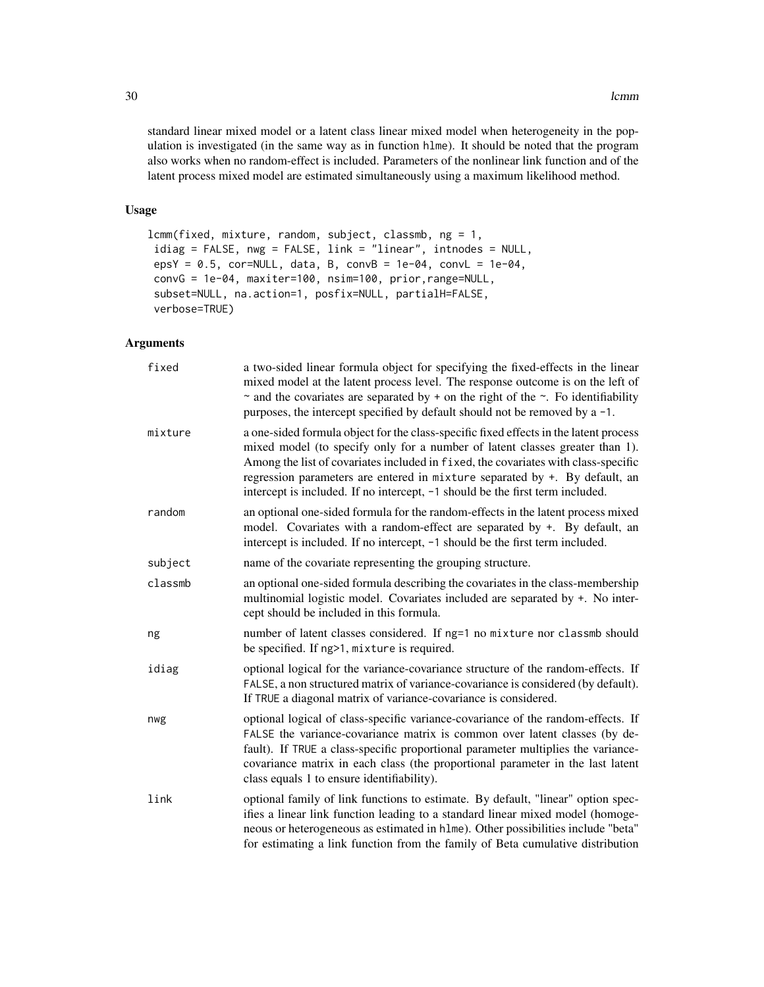standard linear mixed model or a latent class linear mixed model when heterogeneity in the population is investigated (in the same way as in function hlme). It should be noted that the program also works when no random-effect is included. Parameters of the nonlinear link function and of the latent process mixed model are estimated simultaneously using a maximum likelihood method.

# Usage

```
lcmm(fixed, mixture, random, subject, classmb, ng = 1,
idiag = FALSE, nwg = FALSE, link = "linear", intnodes = NULL,
epsY = 0.5, cor=NULL, data, B, convB = 1e-04, convL = 1e-04,
convG = 1e-04, maxiter=100, nsim=100, prior,range=NULL,
subset=NULL, na.action=1, posfix=NULL, partialH=FALSE,
verbose=TRUE)
```
# Arguments

| fixed   | a two-sided linear formula object for specifying the fixed-effects in the linear<br>mixed model at the latent process level. The response outcome is on the left of<br>$\sim$ and the covariates are separated by + on the right of the $\sim$ . Fo identifiability<br>purposes, the intercept specified by default should not be removed by a -1.                                                                          |
|---------|-----------------------------------------------------------------------------------------------------------------------------------------------------------------------------------------------------------------------------------------------------------------------------------------------------------------------------------------------------------------------------------------------------------------------------|
| mixture | a one-sided formula object for the class-specific fixed effects in the latent process<br>mixed model (to specify only for a number of latent classes greater than 1).<br>Among the list of covariates included in fixed, the covariates with class-specific<br>regression parameters are entered in mixture separated by +. By default, an<br>intercept is included. If no intercept, -1 should be the first term included. |
| random  | an optional one-sided formula for the random-effects in the latent process mixed<br>model. Covariates with a random-effect are separated by +. By default, an<br>intercept is included. If no intercept, -1 should be the first term included.                                                                                                                                                                              |
| subject | name of the covariate representing the grouping structure.                                                                                                                                                                                                                                                                                                                                                                  |
| classmb | an optional one-sided formula describing the covariates in the class-membership<br>multinomial logistic model. Covariates included are separated by +. No inter-<br>cept should be included in this formula.                                                                                                                                                                                                                |
| ng      | number of latent classes considered. If ng=1 no mixture nor classmb should<br>be specified. If ng>1, mixture is required.                                                                                                                                                                                                                                                                                                   |
| idiag   | optional logical for the variance-covariance structure of the random-effects. If<br>FALSE, a non structured matrix of variance-covariance is considered (by default).<br>If TRUE a diagonal matrix of variance-covariance is considered.                                                                                                                                                                                    |
| nwg     | optional logical of class-specific variance-covariance of the random-effects. If<br>FALSE the variance-covariance matrix is common over latent classes (by de-<br>fault). If TRUE a class-specific proportional parameter multiplies the variance-<br>covariance matrix in each class (the proportional parameter in the last latent<br>class equals 1 to ensure identifiability).                                          |
| link    | optional family of link functions to estimate. By default, "linear" option spec-<br>ifies a linear link function leading to a standard linear mixed model (homoge-<br>neous or heterogeneous as estimated in h1me). Other possibilities include "beta"<br>for estimating a link function from the family of Beta cumulative distribution                                                                                    |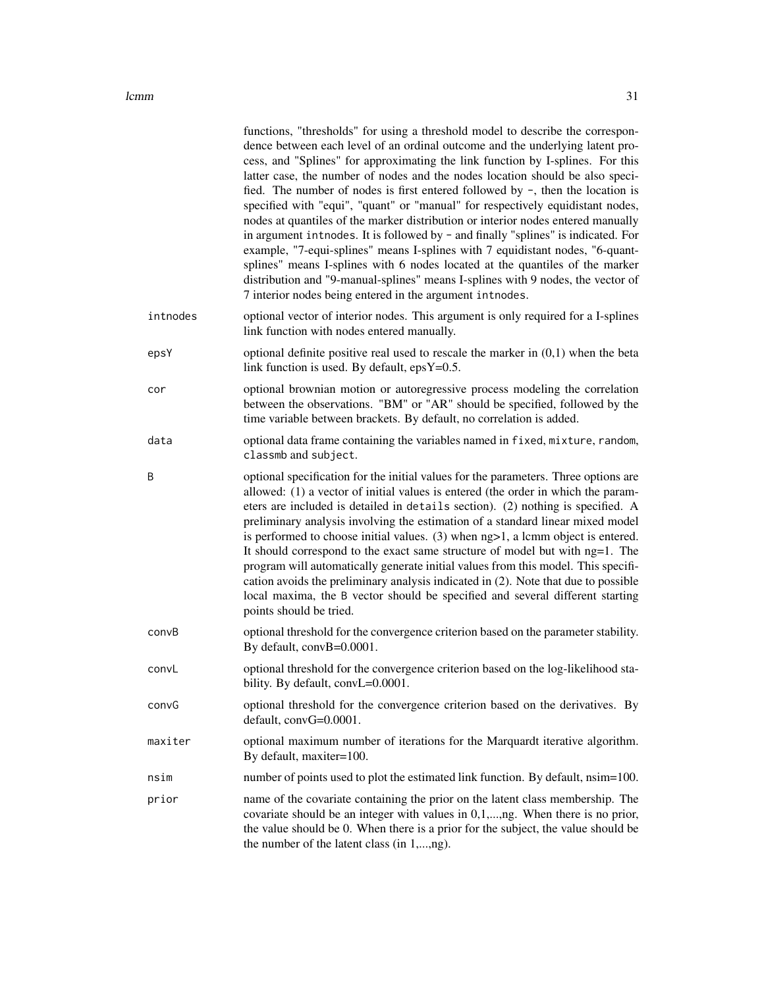|          | functions, "thresholds" for using a threshold model to describe the correspon-<br>dence between each level of an ordinal outcome and the underlying latent pro-<br>cess, and "Splines" for approximating the link function by I-splines. For this<br>latter case, the number of nodes and the nodes location should be also speci-<br>fied. The number of nodes is first entered followed by -, then the location is<br>specified with "equi", "quant" or "manual" for respectively equidistant nodes,<br>nodes at quantiles of the marker distribution or interior nodes entered manually<br>in argument introdes. It is followed by - and finally "splines" is indicated. For<br>example, "7-equi-splines" means I-splines with 7 equidistant nodes, "6-quant-<br>splines" means I-splines with 6 nodes located at the quantiles of the marker<br>distribution and "9-manual-splines" means I-splines with 9 nodes, the vector of<br>7 interior nodes being entered in the argument intnodes. |
|----------|-------------------------------------------------------------------------------------------------------------------------------------------------------------------------------------------------------------------------------------------------------------------------------------------------------------------------------------------------------------------------------------------------------------------------------------------------------------------------------------------------------------------------------------------------------------------------------------------------------------------------------------------------------------------------------------------------------------------------------------------------------------------------------------------------------------------------------------------------------------------------------------------------------------------------------------------------------------------------------------------------|
| intnodes | optional vector of interior nodes. This argument is only required for a I-splines<br>link function with nodes entered manually.                                                                                                                                                                                                                                                                                                                                                                                                                                                                                                                                                                                                                                                                                                                                                                                                                                                                 |
| epsY     | optional definite positive real used to rescale the marker in $(0,1)$ when the beta<br>link function is used. By default, $epsY=0.5$ .                                                                                                                                                                                                                                                                                                                                                                                                                                                                                                                                                                                                                                                                                                                                                                                                                                                          |
| cor      | optional brownian motion or autoregressive process modeling the correlation<br>between the observations. "BM" or "AR" should be specified, followed by the<br>time variable between brackets. By default, no correlation is added.                                                                                                                                                                                                                                                                                                                                                                                                                                                                                                                                                                                                                                                                                                                                                              |
| data     | optional data frame containing the variables named in fixed, mixture, random,<br>classmb and subject.                                                                                                                                                                                                                                                                                                                                                                                                                                                                                                                                                                                                                                                                                                                                                                                                                                                                                           |
| B        | optional specification for the initial values for the parameters. Three options are<br>allowed: (1) a vector of initial values is entered (the order in which the param-<br>eters are included is detailed in details section). (2) nothing is specified. A<br>preliminary analysis involving the estimation of a standard linear mixed model<br>is performed to choose initial values. $(3)$ when $ng>1$ , a lcmm object is entered.<br>It should correspond to the exact same structure of model but with ng=1. The<br>program will automatically generate initial values from this model. This specifi-<br>cation avoids the preliminary analysis indicated in (2). Note that due to possible<br>local maxima, the B vector should be specified and several different starting<br>points should be tried.                                                                                                                                                                                    |
| convB    | optional threshold for the convergence criterion based on the parameter stability.<br>By default, convB=0.0001.                                                                                                                                                                                                                                                                                                                                                                                                                                                                                                                                                                                                                                                                                                                                                                                                                                                                                 |
| convL    | optional threshold for the convergence criterion based on the log-likelihood sta-<br>bility. By default, convL=0.0001.                                                                                                                                                                                                                                                                                                                                                                                                                                                                                                                                                                                                                                                                                                                                                                                                                                                                          |
| convG    | optional threshold for the convergence criterion based on the derivatives. By<br>$default, convG=0.0001.$                                                                                                                                                                                                                                                                                                                                                                                                                                                                                                                                                                                                                                                                                                                                                                                                                                                                                       |
| maxiter  | optional maximum number of iterations for the Marquardt iterative algorithm.<br>By default, maxiter=100.                                                                                                                                                                                                                                                                                                                                                                                                                                                                                                                                                                                                                                                                                                                                                                                                                                                                                        |
| nsim     | number of points used to plot the estimated link function. By default, nsim=100.                                                                                                                                                                                                                                                                                                                                                                                                                                                                                                                                                                                                                                                                                                                                                                                                                                                                                                                |
| prior    | name of the covariate containing the prior on the latent class membership. The<br>covariate should be an integer with values in $0,1,,ng$ . When there is no prior,<br>the value should be 0. When there is a prior for the subject, the value should be<br>the number of the latent class (in 1,,ng).                                                                                                                                                                                                                                                                                                                                                                                                                                                                                                                                                                                                                                                                                          |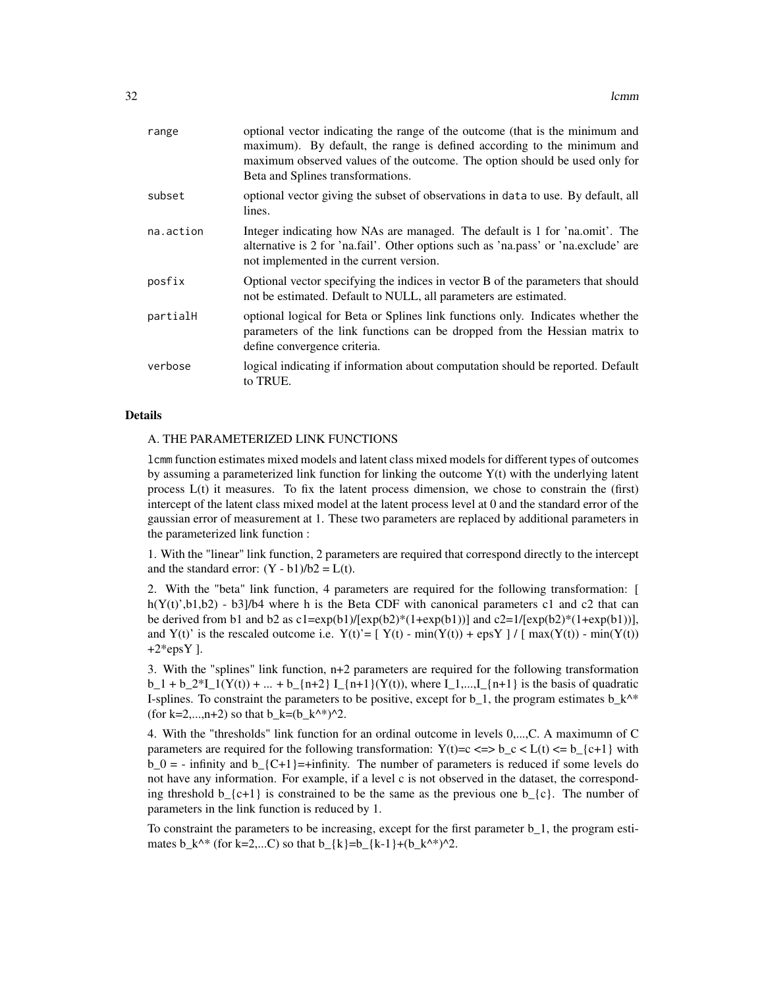| range     | optional vector indicating the range of the outcome (that is the minimum and<br>maximum). By default, the range is defined according to the minimum and<br>maximum observed values of the outcome. The option should be used only for<br>Beta and Splines transformations. |
|-----------|----------------------------------------------------------------------------------------------------------------------------------------------------------------------------------------------------------------------------------------------------------------------------|
| subset    | optional vector giving the subset of observations in data to use. By default, all<br>lines.                                                                                                                                                                                |
| na.action | Integer indicating how NAs are managed. The default is 1 for 'na.omit'. The<br>alternative is 2 for 'na.fail'. Other options such as 'na.pass' or 'na.exclude' are<br>not implemented in the current version.                                                              |
| posfix    | Optional vector specifying the indices in vector B of the parameters that should<br>not be estimated. Default to NULL, all parameters are estimated.                                                                                                                       |
| partialH  | optional logical for Beta or Splines link functions only. Indicates whether the<br>parameters of the link functions can be dropped from the Hessian matrix to<br>define convergence criteria.                                                                              |
| verbose   | logical indicating if information about computation should be reported. Default<br>to TRUE.                                                                                                                                                                                |

#### Details

# A. THE PARAMETERIZED LINK FUNCTIONS

lcmm function estimates mixed models and latent class mixed models for different types of outcomes by assuming a parameterized link function for linking the outcome Y(t) with the underlying latent process L(t) it measures. To fix the latent process dimension, we chose to constrain the (first) intercept of the latent class mixed model at the latent process level at 0 and the standard error of the gaussian error of measurement at 1. These two parameters are replaced by additional parameters in the parameterized link function :

1. With the "linear" link function, 2 parameters are required that correspond directly to the intercept and the standard error:  $(Y - b1)/b2 = L(t)$ .

2. With the "beta" link function, 4 parameters are required for the following transformation: [ h( $Y(t)$ ',b1,b2) - b3]/b4 where h is the Beta CDF with canonical parameters c1 and c2 that can be derived from b1 and b2 as  $c1 = exp(b1)/[exp(b2)*(1+exp(b1))]$  and  $c2=1/[exp(b2)*(1+exp(b1))]$ , and Y(t)' is the rescaled outcome i.e.  $Y(t) = \left[ Y(t) - \min(Y(t)) + \exp Y \right] / \left[ \max(Y(t)) - \min(Y(t)) \right]$  $+2*epsY$ ].

3. With the "splines" link function, n+2 parameters are required for the following transformation  $b_1 + b_2^*I_1(Y(t)) + ... + b_{n+1}I_{n+2} \prod_{i=1}^{n+1}(Y(t))$ , where  $I_1,...,I_{n+1}$  is the basis of quadratic I-splines. To constraint the parameters to be positive, except for  $b_1$ , the program estimates  $b_k^*$ (for k=2,...,n+2) so that  $b_k=(b_k^* \wedge k^*)^2$ .

4. With the "thresholds" link function for an ordinal outcome in levels 0,...,C. A maximumn of C parameters are required for the following transformation:  $Y(t)=c \le y \le L(t) \le b_{\text{c}}(t+1)$  with  $b_0 = -$  infinity and  $b_{\text{I}}(C+1)$ =+infinity. The number of parameters is reduced if some levels do not have any information. For example, if a level c is not observed in the dataset, the corresponding threshold  $b_{\text{-}}\{c+1\}$  is constrained to be the same as the previous one  $b_{\text{-}}\{c\}$ . The number of parameters in the link function is reduced by 1.

To constraint the parameters to be increasing, except for the first parameter b\_1, the program estimates  $b_k^*$  (for k=2,...C) so that  $b_{k}$  =  $\frac{k}{-1}$  +  $\frac{k-1}{k^*}$  +  $\frac{k^*}{2}$ .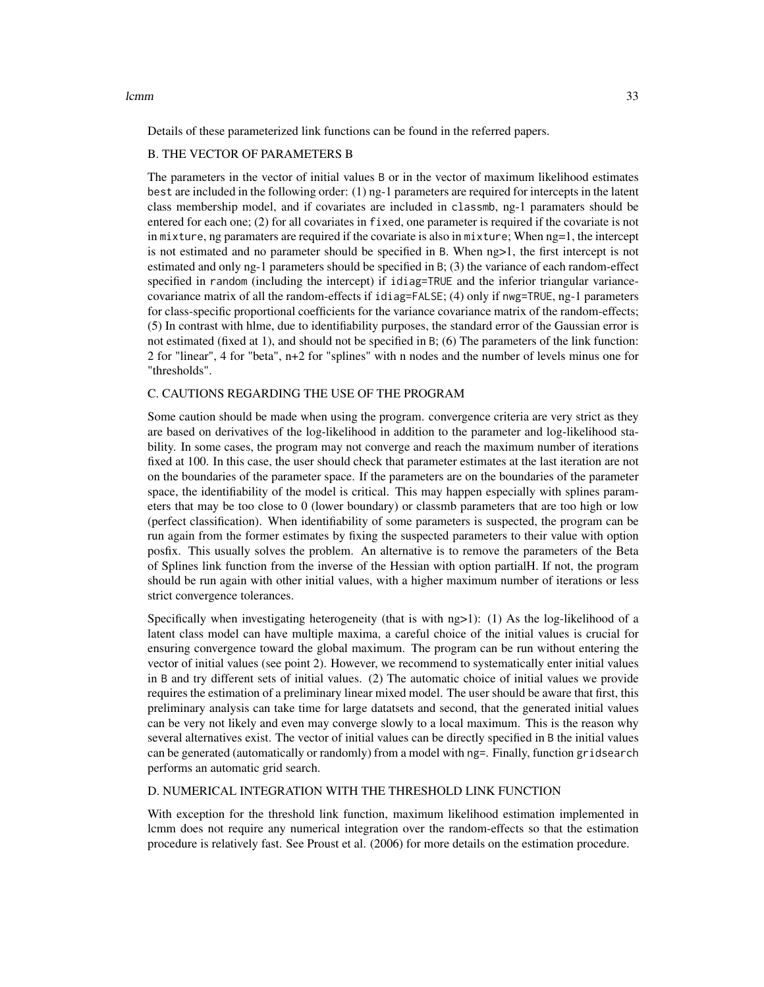lcmm 33

Details of these parameterized link functions can be found in the referred papers.

#### B. THE VECTOR OF PARAMETERS B

The parameters in the vector of initial values B or in the vector of maximum likelihood estimates best are included in the following order: (1) ng-1 parameters are required for intercepts in the latent class membership model, and if covariates are included in classmb, ng-1 paramaters should be entered for each one; (2) for all covariates in fixed, one parameter is required if the covariate is not in mixture, ng paramaters are required if the covariate is also in mixture; When ng=1, the intercept is not estimated and no parameter should be specified in B. When ng>1, the first intercept is not estimated and only ng-1 parameters should be specified in B; (3) the variance of each random-effect specified in random (including the intercept) if idiag=TRUE and the inferior triangular variancecovariance matrix of all the random-effects if idiag=FALSE; (4) only if nwg=TRUE, ng-1 parameters for class-specific proportional coefficients for the variance covariance matrix of the random-effects; (5) In contrast with hlme, due to identifiability purposes, the standard error of the Gaussian error is not estimated (fixed at 1), and should not be specified in B; (6) The parameters of the link function: 2 for "linear", 4 for "beta", n+2 for "splines" with n nodes and the number of levels minus one for "thresholds".

# C. CAUTIONS REGARDING THE USE OF THE PROGRAM

Some caution should be made when using the program. convergence criteria are very strict as they are based on derivatives of the log-likelihood in addition to the parameter and log-likelihood stability. In some cases, the program may not converge and reach the maximum number of iterations fixed at 100. In this case, the user should check that parameter estimates at the last iteration are not on the boundaries of the parameter space. If the parameters are on the boundaries of the parameter space, the identifiability of the model is critical. This may happen especially with splines parameters that may be too close to 0 (lower boundary) or classmb parameters that are too high or low (perfect classification). When identifiability of some parameters is suspected, the program can be run again from the former estimates by fixing the suspected parameters to their value with option posfix. This usually solves the problem. An alternative is to remove the parameters of the Beta of Splines link function from the inverse of the Hessian with option partialH. If not, the program should be run again with other initial values, with a higher maximum number of iterations or less strict convergence tolerances.

Specifically when investigating heterogeneity (that is with  $ng>1$ ): (1) As the log-likelihood of a latent class model can have multiple maxima, a careful choice of the initial values is crucial for ensuring convergence toward the global maximum. The program can be run without entering the vector of initial values (see point 2). However, we recommend to systematically enter initial values in B and try different sets of initial values. (2) The automatic choice of initial values we provide requires the estimation of a preliminary linear mixed model. The user should be aware that first, this preliminary analysis can take time for large datatsets and second, that the generated initial values can be very not likely and even may converge slowly to a local maximum. This is the reason why several alternatives exist. The vector of initial values can be directly specified in B the initial values can be generated (automatically or randomly) from a model with ng=. Finally, function gridsearch performs an automatic grid search.

#### D. NUMERICAL INTEGRATION WITH THE THRESHOLD LINK FUNCTION

With exception for the threshold link function, maximum likelihood estimation implemented in lcmm does not require any numerical integration over the random-effects so that the estimation procedure is relatively fast. See Proust et al. (2006) for more details on the estimation procedure.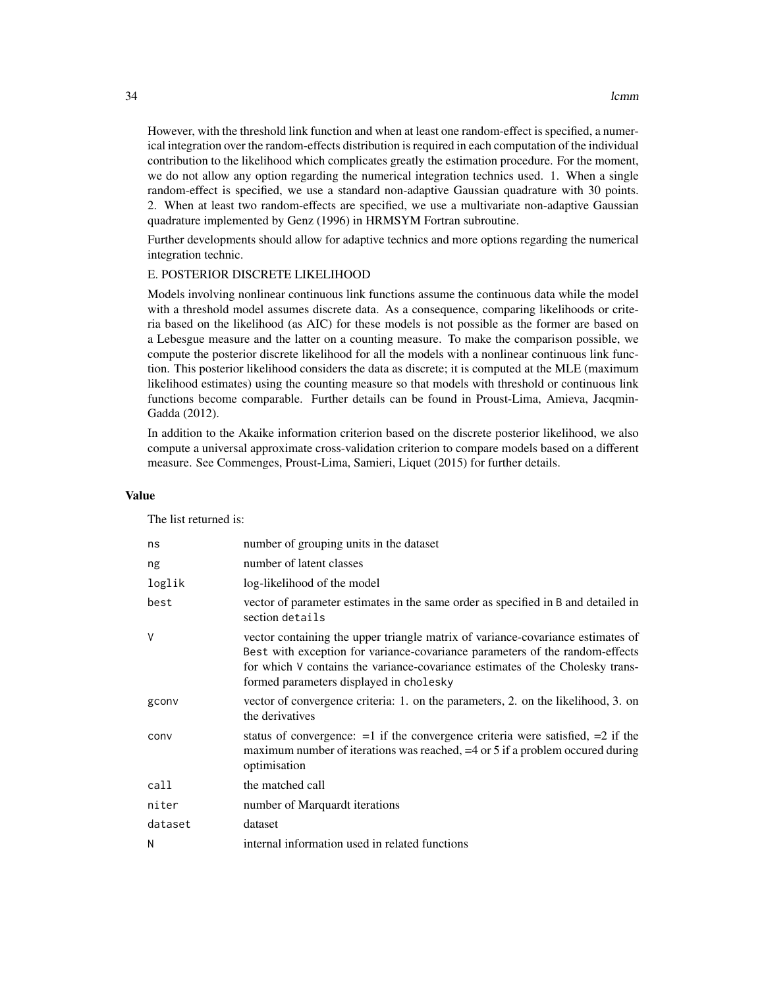However, with the threshold link function and when at least one random-effect is specified, a numerical integration over the random-effects distribution is required in each computation of the individual contribution to the likelihood which complicates greatly the estimation procedure. For the moment, we do not allow any option regarding the numerical integration technics used. 1. When a single random-effect is specified, we use a standard non-adaptive Gaussian quadrature with 30 points. 2. When at least two random-effects are specified, we use a multivariate non-adaptive Gaussian quadrature implemented by Genz (1996) in HRMSYM Fortran subroutine.

Further developments should allow for adaptive technics and more options regarding the numerical integration technic.

# E. POSTERIOR DISCRETE LIKELIHOOD

Models involving nonlinear continuous link functions assume the continuous data while the model with a threshold model assumes discrete data. As a consequence, comparing likelihoods or criteria based on the likelihood (as AIC) for these models is not possible as the former are based on a Lebesgue measure and the latter on a counting measure. To make the comparison possible, we compute the posterior discrete likelihood for all the models with a nonlinear continuous link function. This posterior likelihood considers the data as discrete; it is computed at the MLE (maximum likelihood estimates) using the counting measure so that models with threshold or continuous link functions become comparable. Further details can be found in Proust-Lima, Amieva, Jacqmin-Gadda (2012).

In addition to the Akaike information criterion based on the discrete posterior likelihood, we also compute a universal approximate cross-validation criterion to compare models based on a different measure. See Commenges, Proust-Lima, Samieri, Liquet (2015) for further details.

#### Value

The list returned is:

| ns      | number of grouping units in the dataset                                                                                                                                                                                                                                                     |
|---------|---------------------------------------------------------------------------------------------------------------------------------------------------------------------------------------------------------------------------------------------------------------------------------------------|
| ng      | number of latent classes                                                                                                                                                                                                                                                                    |
| loglik  | log-likelihood of the model                                                                                                                                                                                                                                                                 |
| best    | vector of parameter estimates in the same order as specified in B and detailed in<br>section details                                                                                                                                                                                        |
| $\vee$  | vector containing the upper triangle matrix of variance-covariance estimates of<br>Best with exception for variance-covariance parameters of the random-effects<br>for which V contains the variance-covariance estimates of the Cholesky trans-<br>formed parameters displayed in cholesky |
| gconv   | vector of convergence criteria: 1. on the parameters, 2. on the likelihood, 3. on<br>the derivatives                                                                                                                                                                                        |
| conv    | status of convergence: $=1$ if the convergence criteria were satisfied, $=2$ if the<br>maximum number of iterations was reached, $=4$ or 5 if a problem occurred during<br>optimisation                                                                                                     |
| call    | the matched call                                                                                                                                                                                                                                                                            |
| niter   | number of Marquardt iterations                                                                                                                                                                                                                                                              |
| dataset | dataset                                                                                                                                                                                                                                                                                     |
| N       | internal information used in related functions                                                                                                                                                                                                                                              |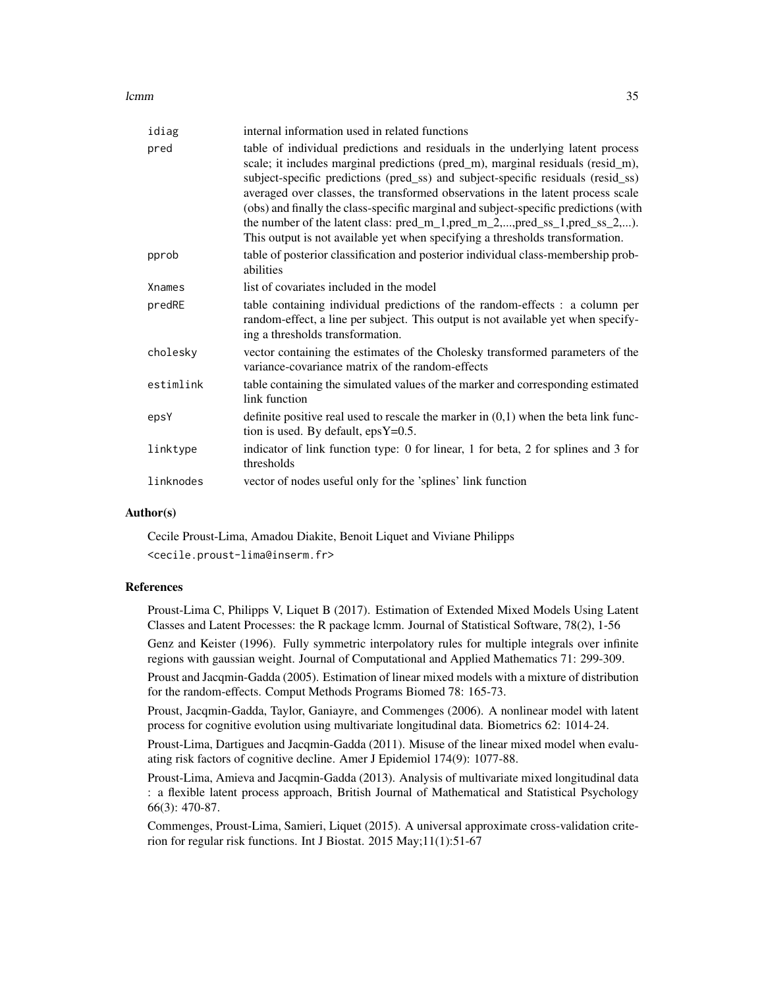#### lcmm 35

| idiag     | internal information used in related functions                                                                                                                                                                                                                                                                                                                                                                                                                                                                                                                                                 |
|-----------|------------------------------------------------------------------------------------------------------------------------------------------------------------------------------------------------------------------------------------------------------------------------------------------------------------------------------------------------------------------------------------------------------------------------------------------------------------------------------------------------------------------------------------------------------------------------------------------------|
| pred      | table of individual predictions and residuals in the underlying latent process<br>scale; it includes marginal predictions (pred_m), marginal residuals (resid_m),<br>subject-specific predictions (pred_ss) and subject-specific residuals (resid_ss)<br>averaged over classes, the transformed observations in the latent process scale<br>(obs) and finally the class-specific marginal and subject-specific predictions (with<br>the number of the latent class: pred_m_1,pred_m_2,,pred_ss_1,pred_ss_2,).<br>This output is not available yet when specifying a thresholds transformation. |
| pprob     | table of posterior classification and posterior individual class-membership prob-<br>abilities                                                                                                                                                                                                                                                                                                                                                                                                                                                                                                 |
| Xnames    | list of covariates included in the model                                                                                                                                                                                                                                                                                                                                                                                                                                                                                                                                                       |
| predRE    | table containing individual predictions of the random-effects : a column per<br>random-effect, a line per subject. This output is not available yet when specify-<br>ing a thresholds transformation.                                                                                                                                                                                                                                                                                                                                                                                          |
| cholesky  | vector containing the estimates of the Cholesky transformed parameters of the<br>variance-covariance matrix of the random-effects                                                                                                                                                                                                                                                                                                                                                                                                                                                              |
| estimlink | table containing the simulated values of the marker and corresponding estimated<br>link function                                                                                                                                                                                                                                                                                                                                                                                                                                                                                               |
| epsY      | definite positive real used to rescale the marker in $(0,1)$ when the beta link func-<br>tion is used. By default, $epsY=0.5$ .                                                                                                                                                                                                                                                                                                                                                                                                                                                                |
| linktype  | indicator of link function type: 0 for linear, 1 for beta, 2 for splines and 3 for<br>thresholds                                                                                                                                                                                                                                                                                                                                                                                                                                                                                               |
| linknodes | vector of nodes useful only for the 'splines' link function                                                                                                                                                                                                                                                                                                                                                                                                                                                                                                                                    |
|           |                                                                                                                                                                                                                                                                                                                                                                                                                                                                                                                                                                                                |

#### Author(s)

Cecile Proust-Lima, Amadou Diakite, Benoit Liquet and Viviane Philipps <cecile.proust-lima@inserm.fr>

# References

Proust-Lima C, Philipps V, Liquet B (2017). Estimation of Extended Mixed Models Using Latent Classes and Latent Processes: the R package lcmm. Journal of Statistical Software, 78(2), 1-56

Genz and Keister (1996). Fully symmetric interpolatory rules for multiple integrals over infinite regions with gaussian weight. Journal of Computational and Applied Mathematics 71: 299-309.

Proust and Jacqmin-Gadda (2005). Estimation of linear mixed models with a mixture of distribution for the random-effects. Comput Methods Programs Biomed 78: 165-73.

Proust, Jacqmin-Gadda, Taylor, Ganiayre, and Commenges (2006). A nonlinear model with latent process for cognitive evolution using multivariate longitudinal data. Biometrics 62: 1014-24.

Proust-Lima, Dartigues and Jacqmin-Gadda (2011). Misuse of the linear mixed model when evaluating risk factors of cognitive decline. Amer J Epidemiol 174(9): 1077-88.

Proust-Lima, Amieva and Jacqmin-Gadda (2013). Analysis of multivariate mixed longitudinal data : a flexible latent process approach, British Journal of Mathematical and Statistical Psychology 66(3): 470-87.

Commenges, Proust-Lima, Samieri, Liquet (2015). A universal approximate cross-validation criterion for regular risk functions. Int J Biostat. 2015 May;11(1):51-67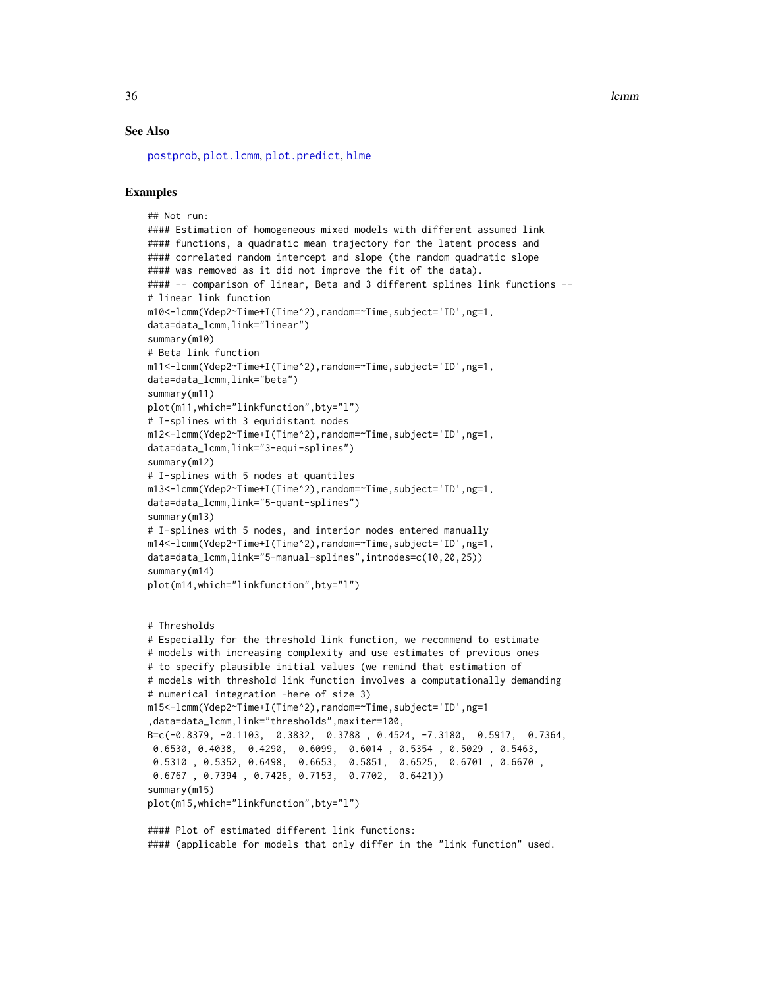<span id="page-35-0"></span>36 **learning** and the contract of the contract of the contract of the contract of the contract of the contract of the contract of the contract of the contract of the contract of the contract of the contract of the contract

#### See Also

[postprob](#page-55-1), [plot.lcmm](#page-49-2), [plot.predict](#page-53-1), [hlme](#page-15-1)

#### Examples

```
## Not run:
#### Estimation of homogeneous mixed models with different assumed link
#### functions, a quadratic mean trajectory for the latent process and
#### correlated random intercept and slope (the random quadratic slope
#### was removed as it did not improve the fit of the data).
#### -- comparison of linear, Beta and 3 different splines link functions --
# linear link function
m10<-lcmm(Ydep2~Time+I(Time^2),random=~Time,subject='ID',ng=1,
data=data_lcmm,link="linear")
summary(m10)
# Beta link function
m11<-lcmm(Ydep2~Time+I(Time^2),random=~Time,subject='ID',ng=1,
data=data_lcmm,link="beta")
summary(m11)
plot(m11,which="linkfunction",bty="l")
# I-splines with 3 equidistant nodes
m12<-lcmm(Ydep2~Time+I(Time^2),random=~Time,subject='ID',ng=1,
data=data_lcmm,link="3-equi-splines")
summary(m12)
# I-splines with 5 nodes at quantiles
m13<-lcmm(Ydep2~Time+I(Time^2),random=~Time,subject='ID',ng=1,
data=data_lcmm,link="5-quant-splines")
summary(m13)
# I-splines with 5 nodes, and interior nodes entered manually
m14<-lcmm(Ydep2~Time+I(Time^2),random=~Time,subject='ID',ng=1,
data=data_lcmm,link="5-manual-splines",intnodes=c(10,20,25))
summary(m14)
plot(m14,which="linkfunction",bty="l")
# Thresholds
# Especially for the threshold link function, we recommend to estimate
# models with increasing complexity and use estimates of previous ones
# to specify plausible initial values (we remind that estimation of
# models with threshold link function involves a computationally demanding
# numerical integration -here of size 3)
m15<-lcmm(Ydep2~Time+I(Time^2),random=~Time,subject='ID',ng=1
,data=data_lcmm,link="thresholds",maxiter=100,
B=c(-0.8379, -0.1103, 0.3832, 0.3788 , 0.4524, -7.3180, 0.5917, 0.7364,
 0.6530, 0.4038, 0.4290, 0.6099, 0.6014 , 0.5354 , 0.5029 , 0.5463,
 0.5310 , 0.5352, 0.6498, 0.6653, 0.5851, 0.6525, 0.6701 , 0.6670 ,
 0.6767 , 0.7394 , 0.7426, 0.7153, 0.7702, 0.6421))
summary(m15)
plot(m15,which="linkfunction",bty="l")
#### Plot of estimated different link functions:
```
#### (applicable for models that only differ in the "link function" used.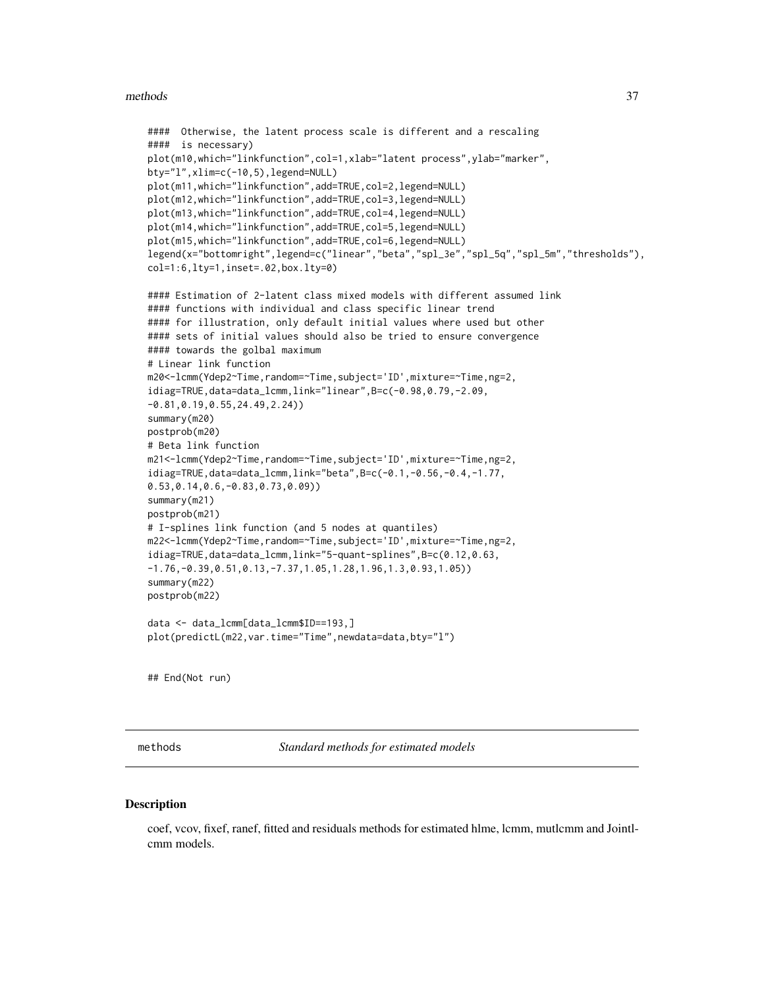#### <span id="page-36-0"></span>methods 37

```
#### Otherwise, the latent process scale is different and a rescaling
#### is necessary)
plot(m10,which="linkfunction",col=1,xlab="latent process",ylab="marker",
bty="l",xlim=c(-10,5),legend=NULL)
plot(m11,which="linkfunction",add=TRUE,col=2,legend=NULL)
plot(m12,which="linkfunction",add=TRUE,col=3,legend=NULL)
plot(m13,which="linkfunction",add=TRUE,col=4,legend=NULL)
plot(m14,which="linkfunction",add=TRUE,col=5,legend=NULL)
plot(m15,which="linkfunction",add=TRUE,col=6,legend=NULL)
legend(x="bottomright",legend=c("linear","beta","spl_3e","spl_5q","spl_5m","thresholds"),
col=1:6,lty=1,inset=.02,box.lty=0)
#### Estimation of 2-latent class mixed models with different assumed link
#### functions with individual and class specific linear trend
#### for illustration, only default initial values where used but other
#### sets of initial values should also be tried to ensure convergence
#### towards the golbal maximum
# Linear link function
m20<-lcmm(Ydep2~Time,random=~Time,subject='ID',mixture=~Time,ng=2,
idiag=TRUE,data=data_lcmm,link="linear",B=c(-0.98,0.79,-2.09,
-0.81,0.19,0.55,24.49,2.24))
summary(m20)
postprob(m20)
# Beta link function
m21<-lcmm(Ydep2~Time,random=~Time,subject='ID',mixture=~Time,ng=2,
idiag=TRUE,data=data_lcmm,link="beta",B=c(-0.1,-0.56,-0.4,-1.77,
0.53,0.14,0.6,-0.83,0.73,0.09))
summary(m21)
postprob(m21)
# I-splines link function (and 5 nodes at quantiles)
m22<-lcmm(Ydep2~Time,random=~Time,subject='ID',mixture=~Time,ng=2,
idiag=TRUE,data=data_lcmm,link="5-quant-splines",B=c(0.12,0.63,
-1.76,-0.39,0.51,0.13,-7.37,1.05,1.28,1.96,1.3,0.93,1.05))
summary(m22)
postprob(m22)
data <- data_lcmm[data_lcmm$ID==193,]
plot(predictL(m22,var.time="Time",newdata=data,bty="l")
```
## End(Not run)

methods *Standard methods for estimated models*

#### **Description**

coef, vcov, fixef, ranef, fitted and residuals methods for estimated hlme, lcmm, mutlcmm and Jointlcmm models.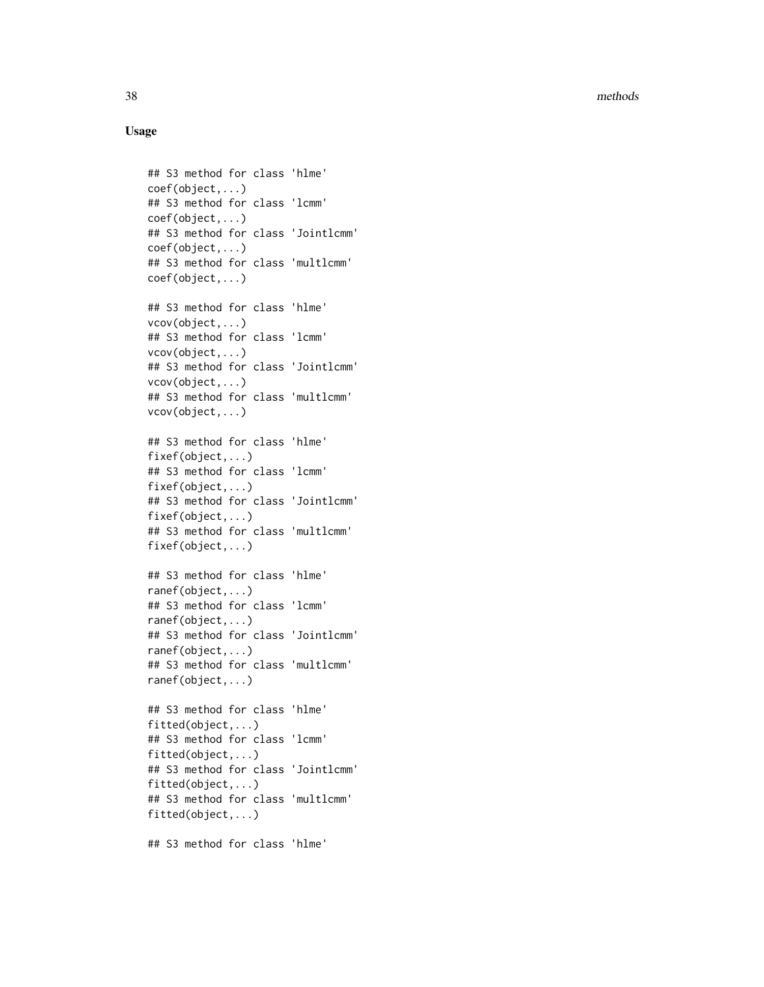# Usage

```
## S3 method for class 'hlme'
coef(object,...)
## S3 method for class 'lcmm'
coef(object,...)
## S3 method for class 'Jointlcmm'
coef(object,...)
## S3 method for class 'multlcmm'
coef(object,...)
## S3 method for class 'hlme'
vcov(object,...)
## S3 method for class 'lcmm'
vcov(object,...)
## S3 method for class 'Jointlcmm'
vcov(object,...)
## S3 method for class 'multlcmm'
vcov(object,...)
## S3 method for class 'hlme'
fixef(object,...)
## S3 method for class 'lcmm'
fixef(object,...)
## S3 method for class 'Jointlcmm'
fixef(object,...)
## S3 method for class 'multlcmm'
fixef(object,...)
## S3 method for class 'hlme'
ranef(object,...)
## S3 method for class 'lcmm'
ranef(object,...)
## S3 method for class 'Jointlcmm'
ranef(object,...)
## S3 method for class 'multlcmm'
ranef(object,...)
## S3 method for class 'hlme'
fitted(object,...)
## S3 method for class 'lcmm'
fitted(object,...)
## S3 method for class 'Jointlcmm'
fitted(object,...)
## S3 method for class 'multlcmm'
fitted(object,...)
## S3 method for class 'hlme'
```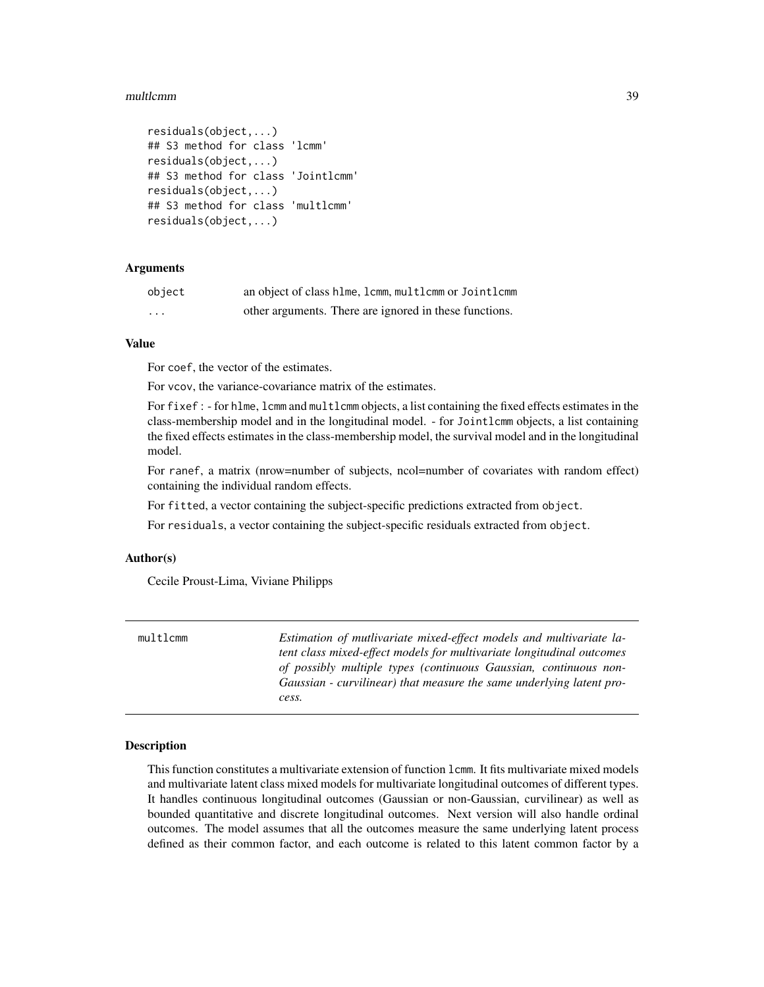#### <span id="page-38-0"></span>multlcmm 39

```
residuals(object,...)
## S3 method for class 'lcmm'
residuals(object,...)
## S3 method for class 'Jointlcmm'
residuals(object,...)
## S3 method for class 'multlcmm'
residuals(object,...)
```
# Arguments

| object   | an object of class hlme, lcmm, multlcmm or Jointlcmm   |
|----------|--------------------------------------------------------|
| $\cdots$ | other arguments. There are ignored in these functions. |

# Value

For coef, the vector of the estimates.

For vcov, the variance-covariance matrix of the estimates.

For fixef : - for hlme, lcmm and multlcmm objects, a list containing the fixed effects estimates in the class-membership model and in the longitudinal model. - for Jointlcmm objects, a list containing the fixed effects estimates in the class-membership model, the survival model and in the longitudinal model.

For ranef, a matrix (nrow=number of subjects, ncol=number of covariates with random effect) containing the individual random effects.

For fitted, a vector containing the subject-specific predictions extracted from object.

For residuals, a vector containing the subject-specific residuals extracted from object.

#### Author(s)

Cecile Proust-Lima, Viviane Philipps

<span id="page-38-1"></span>

| multlcmm | Estimation of mutlivariate mixed-effect models and multivariate la-<br>tent class mixed-effect models for multivariate longitudinal outcomes<br>of possibly multiple types (continuous Gaussian, continuous non-<br>Gaussian - curvilinear) that measure the same underlying latent pro- |
|----------|------------------------------------------------------------------------------------------------------------------------------------------------------------------------------------------------------------------------------------------------------------------------------------------|
|          | cess.                                                                                                                                                                                                                                                                                    |

#### **Description**

This function constitutes a multivariate extension of function lcmm. It fits multivariate mixed models and multivariate latent class mixed models for multivariate longitudinal outcomes of different types. It handles continuous longitudinal outcomes (Gaussian or non-Gaussian, curvilinear) as well as bounded quantitative and discrete longitudinal outcomes. Next version will also handle ordinal outcomes. The model assumes that all the outcomes measure the same underlying latent process defined as their common factor, and each outcome is related to this latent common factor by a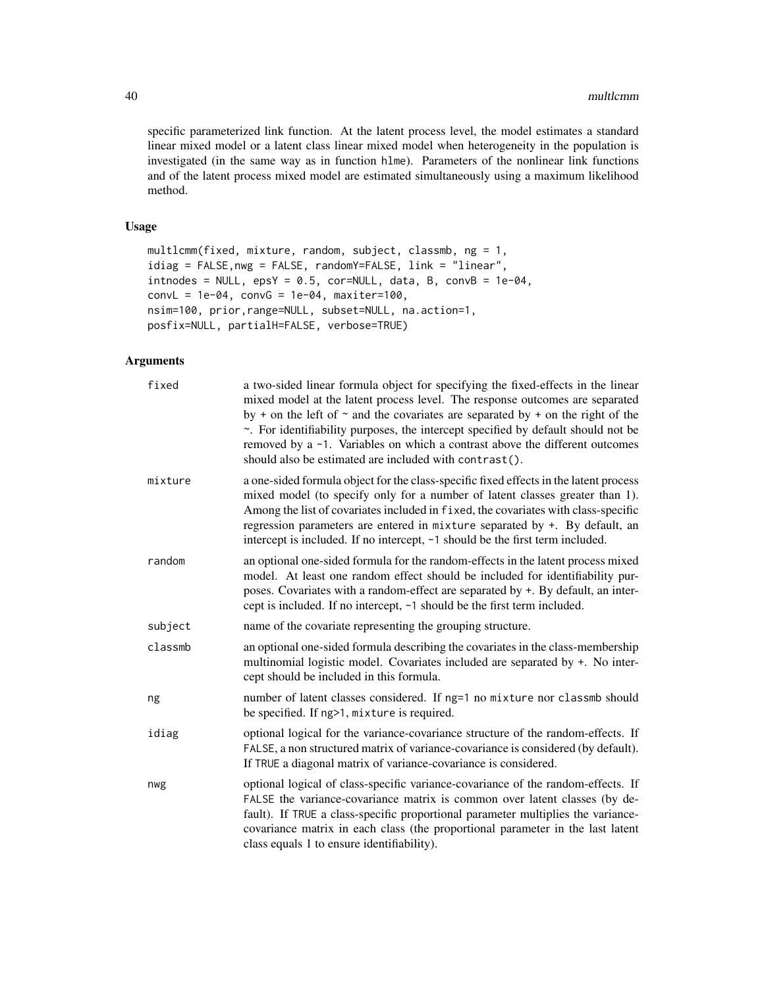specific parameterized link function. At the latent process level, the model estimates a standard linear mixed model or a latent class linear mixed model when heterogeneity in the population is investigated (in the same way as in function hlme). Parameters of the nonlinear link functions and of the latent process mixed model are estimated simultaneously using a maximum likelihood method.

# Usage

```
multlcmm(fixed, mixture, random, subject, classmb, ng = 1,
idiag = FALSE,nwg = FALSE, randomY=FALSE, link = "linear",
intnodes = NULL, epsY = 0.5, cor=NULL, data, B, convB = 1e-04,convL = 1e-04, convG = 1e-04, maxiter=100,
nsim=100, prior,range=NULL, subset=NULL, na.action=1,
posfix=NULL, partialH=FALSE, verbose=TRUE)
```
# Arguments

| fixed   | a two-sided linear formula object for specifying the fixed-effects in the linear<br>mixed model at the latent process level. The response outcomes are separated<br>by + on the left of $\sim$ and the covariates are separated by + on the right of the<br>~. For identifiability purposes, the intercept specified by default should not be<br>removed by a -1. Variables on which a contrast above the different outcomes<br>should also be estimated are included with contrast(). |
|---------|----------------------------------------------------------------------------------------------------------------------------------------------------------------------------------------------------------------------------------------------------------------------------------------------------------------------------------------------------------------------------------------------------------------------------------------------------------------------------------------|
| mixture | a one-sided formula object for the class-specific fixed effects in the latent process<br>mixed model (to specify only for a number of latent classes greater than 1).<br>Among the list of covariates included in fixed, the covariates with class-specific<br>regression parameters are entered in mixture separated by $+$ . By default, an<br>intercept is included. If no intercept, -1 should be the first term included.                                                         |
| random  | an optional one-sided formula for the random-effects in the latent process mixed<br>model. At least one random effect should be included for identifiability pur-<br>poses. Covariates with a random-effect are separated by +. By default, an inter-<br>cept is included. If no intercept, -1 should be the first term included.                                                                                                                                                      |
| subject | name of the covariate representing the grouping structure.                                                                                                                                                                                                                                                                                                                                                                                                                             |
| classmb | an optional one-sided formula describing the covariates in the class-membership<br>multinomial logistic model. Covariates included are separated by +. No inter-<br>cept should be included in this formula.                                                                                                                                                                                                                                                                           |
| ng      | number of latent classes considered. If ng=1 no mixture nor classmb should<br>be specified. If ng>1, mixture is required.                                                                                                                                                                                                                                                                                                                                                              |
| idiag   | optional logical for the variance-covariance structure of the random-effects. If<br>FALSE, a non structured matrix of variance-covariance is considered (by default).<br>If TRUE a diagonal matrix of variance-covariance is considered.                                                                                                                                                                                                                                               |
| nwg     | optional logical of class-specific variance-covariance of the random-effects. If<br>FALSE the variance-covariance matrix is common over latent classes (by de-<br>fault). If TRUE a class-specific proportional parameter multiplies the variance-<br>covariance matrix in each class (the proportional parameter in the last latent<br>class equals 1 to ensure identifiability).                                                                                                     |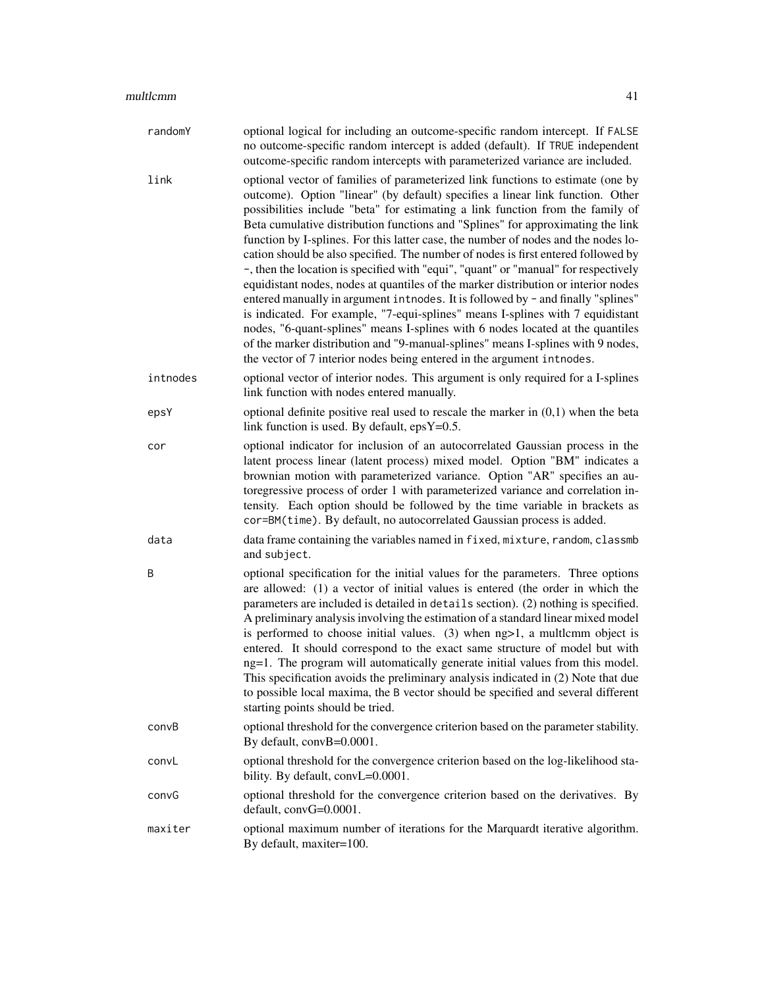| randomY  | optional logical for including an outcome-specific random intercept. If FALSE<br>no outcome-specific random intercept is added (default). If TRUE independent<br>outcome-specific random intercepts with parameterized variance are included.                                                                                                                                                                                                                                                                                                                                                                                                                                                                                                                                                                                                                                                                                                                                                                                                                                                                       |
|----------|---------------------------------------------------------------------------------------------------------------------------------------------------------------------------------------------------------------------------------------------------------------------------------------------------------------------------------------------------------------------------------------------------------------------------------------------------------------------------------------------------------------------------------------------------------------------------------------------------------------------------------------------------------------------------------------------------------------------------------------------------------------------------------------------------------------------------------------------------------------------------------------------------------------------------------------------------------------------------------------------------------------------------------------------------------------------------------------------------------------------|
| link     | optional vector of families of parameterized link functions to estimate (one by<br>outcome). Option "linear" (by default) specifies a linear link function. Other<br>possibilities include "beta" for estimating a link function from the family of<br>Beta cumulative distribution functions and "Splines" for approximating the link<br>function by I-splines. For this latter case, the number of nodes and the nodes lo-<br>cation should be also specified. The number of nodes is first entered followed by<br>-, then the location is specified with "equi", "quant" or "manual" for respectively<br>equidistant nodes, nodes at quantiles of the marker distribution or interior nodes<br>entered manually in argument introdes. It is followed by - and finally "splines"<br>is indicated. For example, "7-equi-splines" means I-splines with 7 equidistant<br>nodes, "6-quant-splines" means I-splines with 6 nodes located at the quantiles<br>of the marker distribution and "9-manual-splines" means I-splines with 9 nodes,<br>the vector of 7 interior nodes being entered in the argument introdes. |
| intnodes | optional vector of interior nodes. This argument is only required for a I-splines<br>link function with nodes entered manually.                                                                                                                                                                                                                                                                                                                                                                                                                                                                                                                                                                                                                                                                                                                                                                                                                                                                                                                                                                                     |
| epsY     | optional definite positive real used to rescale the marker in $(0,1)$ when the beta<br>link function is used. By default, $epsY=0.5$ .                                                                                                                                                                                                                                                                                                                                                                                                                                                                                                                                                                                                                                                                                                                                                                                                                                                                                                                                                                              |
| cor      | optional indicator for inclusion of an autocorrelated Gaussian process in the<br>latent process linear (latent process) mixed model. Option "BM" indicates a<br>brownian motion with parameterized variance. Option "AR" specifies an au-<br>toregressive process of order 1 with parameterized variance and correlation in-<br>tensity. Each option should be followed by the time variable in brackets as<br>cor=BM(time). By default, no autocorrelated Gaussian process is added.                                                                                                                                                                                                                                                                                                                                                                                                                                                                                                                                                                                                                               |
| data     | data frame containing the variables named in fixed, mixture, random, classmb<br>and subject.                                                                                                                                                                                                                                                                                                                                                                                                                                                                                                                                                                                                                                                                                                                                                                                                                                                                                                                                                                                                                        |
| B        | optional specification for the initial values for the parameters. Three options<br>are allowed: (1) a vector of initial values is entered (the order in which the<br>parameters are included is detailed in details section). (2) nothing is specified.<br>A preliminary analysis involving the estimation of a standard linear mixed model<br>is performed to choose initial values. $(3)$ when $ng>1$ , a multlemm object is<br>entered. It should correspond to the exact same structure of model but with<br>ng=1. The program will automatically generate initial values from this model.<br>This specification avoids the preliminary analysis indicated in (2) Note that due<br>to possible local maxima, the B vector should be specified and several different<br>starting points should be tried.                                                                                                                                                                                                                                                                                                         |
| convB    | optional threshold for the convergence criterion based on the parameter stability.<br>By default, convB=0.0001.                                                                                                                                                                                                                                                                                                                                                                                                                                                                                                                                                                                                                                                                                                                                                                                                                                                                                                                                                                                                     |
| convL    | optional threshold for the convergence criterion based on the log-likelihood sta-<br>bility. By default, convL=0.0001.                                                                                                                                                                                                                                                                                                                                                                                                                                                                                                                                                                                                                                                                                                                                                                                                                                                                                                                                                                                              |
| convG    | optional threshold for the convergence criterion based on the derivatives. By<br>default, convG=0.0001.                                                                                                                                                                                                                                                                                                                                                                                                                                                                                                                                                                                                                                                                                                                                                                                                                                                                                                                                                                                                             |
| maxiter  | optional maximum number of iterations for the Marquardt iterative algorithm.<br>By default, maxiter=100.                                                                                                                                                                                                                                                                                                                                                                                                                                                                                                                                                                                                                                                                                                                                                                                                                                                                                                                                                                                                            |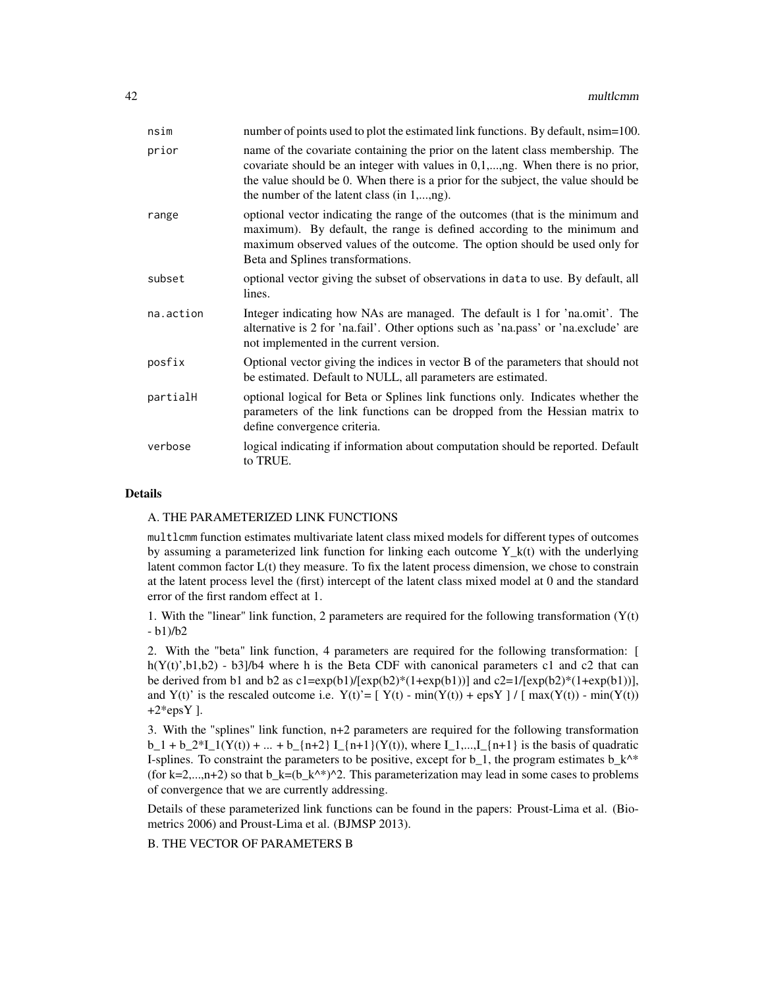| nsim      | number of points used to plot the estimated link functions. By default, nsim=100.                                                                                                                                                                                                                   |
|-----------|-----------------------------------------------------------------------------------------------------------------------------------------------------------------------------------------------------------------------------------------------------------------------------------------------------|
| prior     | name of the covariate containing the prior on the latent class membership. The<br>covariate should be an integer with values in 0,1,,ng. When there is no prior,<br>the value should be 0. When there is a prior for the subject, the value should be<br>the number of the latent class (in 1,,ng). |
| range     | optional vector indicating the range of the outcomes (that is the minimum and<br>maximum). By default, the range is defined according to the minimum and<br>maximum observed values of the outcome. The option should be used only for<br>Beta and Splines transformations.                         |
| subset    | optional vector giving the subset of observations in data to use. By default, all<br>lines.                                                                                                                                                                                                         |
| na.action | Integer indicating how NAs are managed. The default is 1 for 'na.omit'. The<br>alternative is 2 for 'na.fail'. Other options such as 'na.pass' or 'na.exclude' are<br>not implemented in the current version.                                                                                       |
| posfix    | Optional vector giving the indices in vector B of the parameters that should not<br>be estimated. Default to NULL, all parameters are estimated.                                                                                                                                                    |
| partialH  | optional logical for Beta or Splines link functions only. Indicates whether the<br>parameters of the link functions can be dropped from the Hessian matrix to<br>define convergence criteria.                                                                                                       |
| verbose   | logical indicating if information about computation should be reported. Default<br>to TRUE.                                                                                                                                                                                                         |

# Details

#### A. THE PARAMETERIZED LINK FUNCTIONS

multlcmm function estimates multivariate latent class mixed models for different types of outcomes by assuming a parameterized link function for linking each outcome  $Y_k(t)$  with the underlying latent common factor  $L(t)$  they measure. To fix the latent process dimension, we chose to constrain at the latent process level the (first) intercept of the latent class mixed model at 0 and the standard error of the first random effect at 1.

1. With the "linear" link function, 2 parameters are required for the following transformation  $(Y(t))$ - b1)/b2

2. With the "beta" link function, 4 parameters are required for the following transformation: [ h( $Y(t)$ ',b1,b2) - b3]/b4 where h is the Beta CDF with canonical parameters c1 and c2 that can be derived from b1 and b2 as  $c1 = exp(b1)/[exp(b2)*1+exp(b1))]$  and  $c2 = 1/[exp(b2)*1+exp(b1)]$ , and Y(t)' is the rescaled outcome i.e.  $Y(t)' = [ Y(t) - min(Y(t)) + epsY ] / [ max(Y(t)) - min(Y(t)) ]$  $+2*$ epsY ].

3. With the "splines" link function, n+2 parameters are required for the following transformation  $b_1 + b_2^*I_1(Y(t)) + ... + b_{n+2} I_{n+1}(Y(t))$ , where  $I_1,...,I_{n+1}$  is the basis of quadratic I-splines. To constraint the parameters to be positive, except for  $b_1$ , the program estimates  $b_k^*$ (for k=2,...,n+2) so that  $b_k=(b_k^*')^2$ . This parameterization may lead in some cases to problems of convergence that we are currently addressing.

Details of these parameterized link functions can be found in the papers: Proust-Lima et al. (Biometrics 2006) and Proust-Lima et al. (BJMSP 2013).

B. THE VECTOR OF PARAMETERS B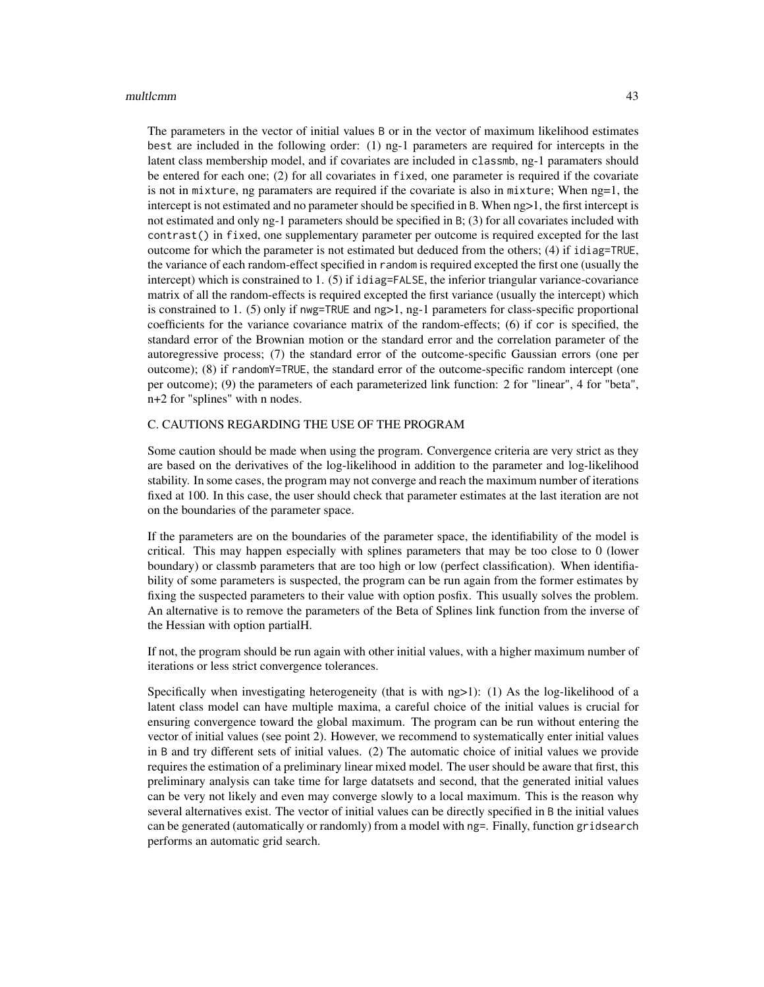#### multlcmm and the contract of the contract of the contract of the contract of the contract of the contract of the contract of the contract of the contract of the contract of the contract of the contract of the contract of t

The parameters in the vector of initial values B or in the vector of maximum likelihood estimates best are included in the following order: (1) ng-1 parameters are required for intercepts in the latent class membership model, and if covariates are included in classmb, ng-1 paramaters should be entered for each one; (2) for all covariates in fixed, one parameter is required if the covariate is not in mixture, ng paramaters are required if the covariate is also in mixture; When ng=1, the intercept is not estimated and no parameter should be specified in B. When ng>1, the first intercept is not estimated and only ng-1 parameters should be specified in B; (3) for all covariates included with contrast() in fixed, one supplementary parameter per outcome is required excepted for the last outcome for which the parameter is not estimated but deduced from the others; (4) if idiag=TRUE, the variance of each random-effect specified in random is required excepted the first one (usually the intercept) which is constrained to 1. (5) if idiag=FALSE, the inferior triangular variance-covariance matrix of all the random-effects is required excepted the first variance (usually the intercept) which is constrained to 1. (5) only if nwg=TRUE and ng>1, ng-1 parameters for class-specific proportional coefficients for the variance covariance matrix of the random-effects; (6) if cor is specified, the standard error of the Brownian motion or the standard error and the correlation parameter of the autoregressive process; (7) the standard error of the outcome-specific Gaussian errors (one per outcome); (8) if randomY=TRUE, the standard error of the outcome-specific random intercept (one per outcome); (9) the parameters of each parameterized link function: 2 for "linear", 4 for "beta", n+2 for "splines" with n nodes.

# C. CAUTIONS REGARDING THE USE OF THE PROGRAM

Some caution should be made when using the program. Convergence criteria are very strict as they are based on the derivatives of the log-likelihood in addition to the parameter and log-likelihood stability. In some cases, the program may not converge and reach the maximum number of iterations fixed at 100. In this case, the user should check that parameter estimates at the last iteration are not on the boundaries of the parameter space.

If the parameters are on the boundaries of the parameter space, the identifiability of the model is critical. This may happen especially with splines parameters that may be too close to 0 (lower boundary) or classmb parameters that are too high or low (perfect classification). When identifiability of some parameters is suspected, the program can be run again from the former estimates by fixing the suspected parameters to their value with option posfix. This usually solves the problem. An alternative is to remove the parameters of the Beta of Splines link function from the inverse of the Hessian with option partialH.

If not, the program should be run again with other initial values, with a higher maximum number of iterations or less strict convergence tolerances.

Specifically when investigating heterogeneity (that is with  $ng>1$ ): (1) As the log-likelihood of a latent class model can have multiple maxima, a careful choice of the initial values is crucial for ensuring convergence toward the global maximum. The program can be run without entering the vector of initial values (see point 2). However, we recommend to systematically enter initial values in B and try different sets of initial values. (2) The automatic choice of initial values we provide requires the estimation of a preliminary linear mixed model. The user should be aware that first, this preliminary analysis can take time for large datatsets and second, that the generated initial values can be very not likely and even may converge slowly to a local maximum. This is the reason why several alternatives exist. The vector of initial values can be directly specified in B the initial values can be generated (automatically or randomly) from a model with ng=. Finally, function gridsearch performs an automatic grid search.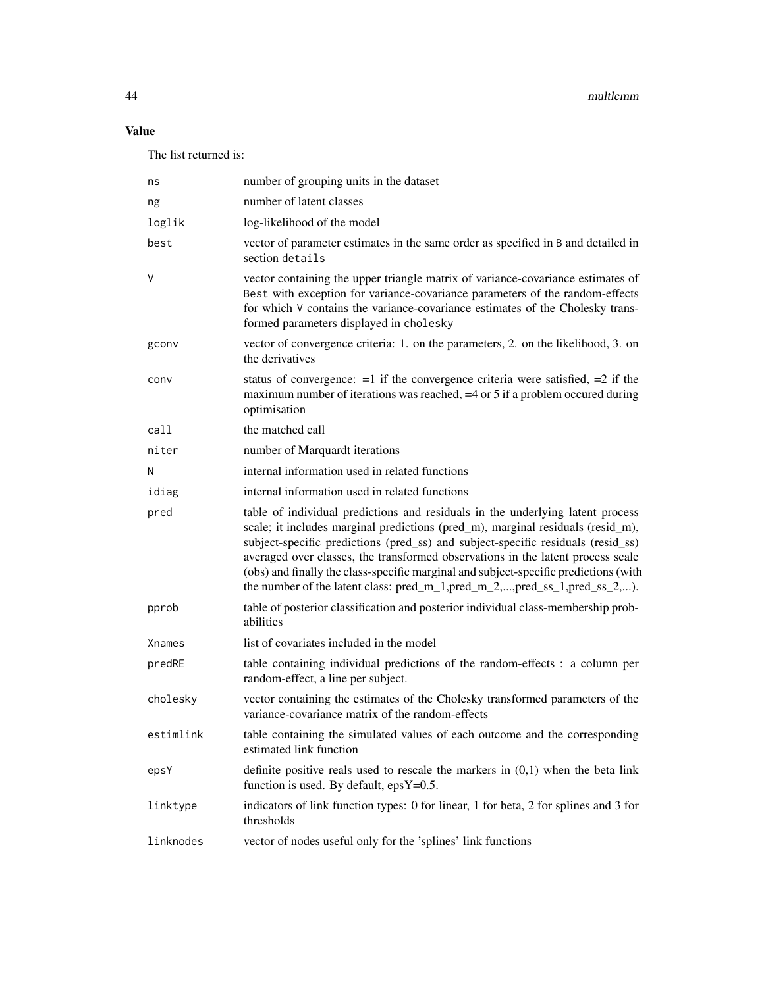# Value

The list returned is:

| ns        | number of grouping units in the dataset                                                                                                                                                                                                                                                                                                                                                                                                                                                                           |
|-----------|-------------------------------------------------------------------------------------------------------------------------------------------------------------------------------------------------------------------------------------------------------------------------------------------------------------------------------------------------------------------------------------------------------------------------------------------------------------------------------------------------------------------|
| ng        | number of latent classes                                                                                                                                                                                                                                                                                                                                                                                                                                                                                          |
| loglik    | log-likelihood of the model                                                                                                                                                                                                                                                                                                                                                                                                                                                                                       |
| best      | vector of parameter estimates in the same order as specified in B and detailed in<br>section details                                                                                                                                                                                                                                                                                                                                                                                                              |
| V         | vector containing the upper triangle matrix of variance-covariance estimates of<br>Best with exception for variance-covariance parameters of the random-effects<br>for which V contains the variance-covariance estimates of the Cholesky trans-<br>formed parameters displayed in cholesky                                                                                                                                                                                                                       |
| gconv     | vector of convergence criteria: 1. on the parameters, 2. on the likelihood, 3. on<br>the derivatives                                                                                                                                                                                                                                                                                                                                                                                                              |
| conv      | status of convergence: $=1$ if the convergence criteria were satisfied, $=2$ if the<br>maximum number of iterations was reached, $=4$ or 5 if a problem occurred during<br>optimisation                                                                                                                                                                                                                                                                                                                           |
| call      | the matched call                                                                                                                                                                                                                                                                                                                                                                                                                                                                                                  |
| niter     | number of Marquardt iterations                                                                                                                                                                                                                                                                                                                                                                                                                                                                                    |
| N         | internal information used in related functions                                                                                                                                                                                                                                                                                                                                                                                                                                                                    |
| idiag     | internal information used in related functions                                                                                                                                                                                                                                                                                                                                                                                                                                                                    |
| pred      | table of individual predictions and residuals in the underlying latent process<br>scale; it includes marginal predictions (pred_m), marginal residuals (resid_m),<br>subject-specific predictions (pred_ss) and subject-specific residuals (resid_ss)<br>averaged over classes, the transformed observations in the latent process scale<br>(obs) and finally the class-specific marginal and subject-specific predictions (with<br>the number of the latent class: $pred_m_1, pred_m_2, , pred_s_1, pred_s_2, ,$ |
| pprob     | table of posterior classification and posterior individual class-membership prob-<br>abilities                                                                                                                                                                                                                                                                                                                                                                                                                    |
| Xnames    | list of covariates included in the model                                                                                                                                                                                                                                                                                                                                                                                                                                                                          |
| predRE    | table containing individual predictions of the random-effects : a column per<br>random-effect, a line per subject.                                                                                                                                                                                                                                                                                                                                                                                                |
| cholesky  | vector containing the estimates of the Cholesky transformed parameters of the<br>variance-covariance matrix of the random-effects                                                                                                                                                                                                                                                                                                                                                                                 |
| estimlink | table containing the simulated values of each outcome and the corresponding<br>estimated link function                                                                                                                                                                                                                                                                                                                                                                                                            |
| epsY      | definite positive reals used to rescale the markers in $(0,1)$ when the beta link<br>function is used. By default, $epsY=0.5$ .                                                                                                                                                                                                                                                                                                                                                                                   |
| linktype  | indicators of link function types: 0 for linear, 1 for beta, 2 for splines and 3 for<br>thresholds                                                                                                                                                                                                                                                                                                                                                                                                                |
| linknodes | vector of nodes useful only for the 'splines' link functions                                                                                                                                                                                                                                                                                                                                                                                                                                                      |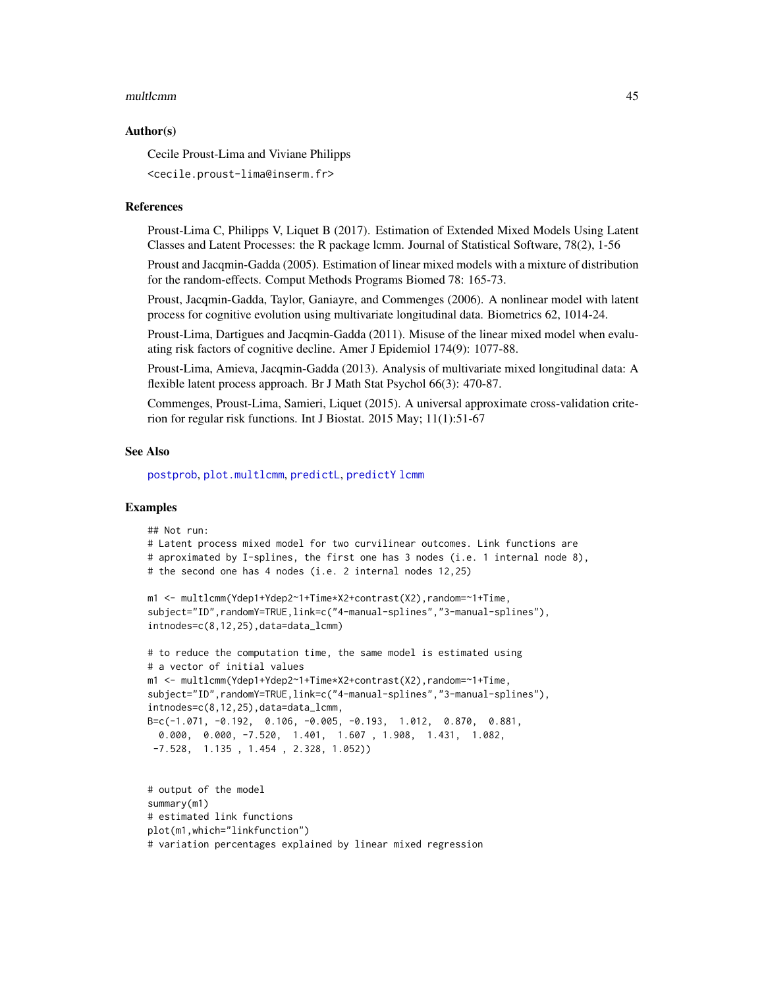#### <span id="page-44-0"></span>multlcmm and the contract of the contract of the contract of the contract of the contract of the contract of the contract of the contract of the contract of the contract of the contract of the contract of the contract of t

#### Author(s)

Cecile Proust-Lima and Viviane Philipps

<cecile.proust-lima@inserm.fr>

#### References

Proust-Lima C, Philipps V, Liquet B (2017). Estimation of Extended Mixed Models Using Latent Classes and Latent Processes: the R package lcmm. Journal of Statistical Software, 78(2), 1-56

Proust and Jacqmin-Gadda (2005). Estimation of linear mixed models with a mixture of distribution for the random-effects. Comput Methods Programs Biomed 78: 165-73.

Proust, Jacqmin-Gadda, Taylor, Ganiayre, and Commenges (2006). A nonlinear model with latent process for cognitive evolution using multivariate longitudinal data. Biometrics 62, 1014-24.

Proust-Lima, Dartigues and Jacqmin-Gadda (2011). Misuse of the linear mixed model when evaluating risk factors of cognitive decline. Amer J Epidemiol 174(9): 1077-88.

Proust-Lima, Amieva, Jacqmin-Gadda (2013). Analysis of multivariate mixed longitudinal data: A flexible latent process approach. Br J Math Stat Psychol 66(3): 470-87.

Commenges, Proust-Lima, Samieri, Liquet (2015). A universal approximate cross-validation criterion for regular risk functions. Int J Biostat. 2015 May; 11(1):51-67

#### See Also

[postprob](#page-55-1), [plot.multlcmm](#page-49-1), [predictL](#page-56-1), [predictY](#page-60-1) [lcmm](#page-28-1)

# Examples

```
## Not run:
# Latent process mixed model for two curvilinear outcomes. Link functions are
# aproximated by I-splines, the first one has 3 nodes (i.e. 1 internal node 8),
# the second one has 4 nodes (i.e. 2 internal nodes 12,25)
m1 <- multlcmm(Ydep1+Ydep2~1+Time*X2+contrast(X2),random=~1+Time,
subject="ID",randomY=TRUE,link=c("4-manual-splines","3-manual-splines"),
```

```
intnodes=c(8,12,25),data=data_lcmm)
```

```
# to reduce the computation time, the same model is estimated using
# a vector of initial values
m1 <- multlcmm(Ydep1+Ydep2~1+Time*X2+contrast(X2),random=~1+Time,
subject="ID",randomY=TRUE,link=c("4-manual-splines","3-manual-splines"),
intnodes=c(8,12,25),data=data_lcmm,
B=c(-1.071, -0.192, 0.106, -0.005, -0.193, 1.012, 0.870, 0.881,
 0.000, 0.000, -7.520, 1.401, 1.607 , 1.908, 1.431, 1.082,
-7.528, 1.135 , 1.454 , 2.328, 1.052))
```

```
# output of the model
summary(m1)
# estimated link functions
plot(m1,which="linkfunction")
# variation percentages explained by linear mixed regression
```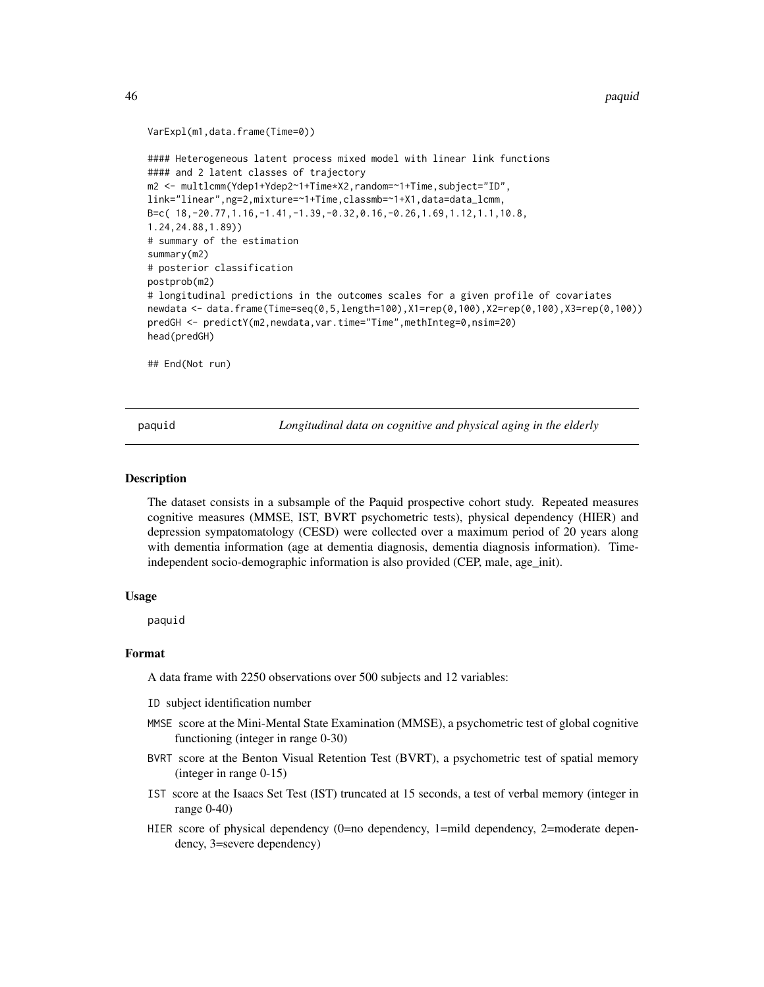#### <span id="page-45-0"></span>46 paquid

```
VarExpl(m1,data.frame(Time=0))
```

```
#### Heterogeneous latent process mixed model with linear link functions
#### and 2 latent classes of trajectory
m2 <- multlcmm(Ydep1+Ydep2~1+Time*X2,random=~1+Time,subject="ID",
link="linear",ng=2,mixture=~1+Time,classmb=~1+X1,data=data_lcmm,
B=c( 18,-20.77,1.16,-1.41,-1.39,-0.32,0.16,-0.26,1.69,1.12,1.1,10.8,
1.24,24.88,1.89))
# summary of the estimation
summary(m2)
# posterior classification
postprob(m2)
# longitudinal predictions in the outcomes scales for a given profile of covariates
newdata <- data.frame(Time=seq(0,5,length=100),X1=rep(0,100),X2=rep(0,100),X3=rep(0,100))
predGH <- predictY(m2,newdata,var.time="Time",methInteg=0,nsim=20)
head(predGH)
```
## End(Not run)

paquid *Longitudinal data on cognitive and physical aging in the elderly*

#### Description

The dataset consists in a subsample of the Paquid prospective cohort study. Repeated measures cognitive measures (MMSE, IST, BVRT psychometric tests), physical dependency (HIER) and depression sympatomatology (CESD) were collected over a maximum period of 20 years along with dementia information (age at dementia diagnosis, dementia diagnosis information). Timeindependent socio-demographic information is also provided (CEP, male, age\_init).

#### Usage

paquid

#### Format

A data frame with 2250 observations over 500 subjects and 12 variables:

ID subject identification number

- MMSE score at the Mini-Mental State Examination (MMSE), a psychometric test of global cognitive functioning (integer in range 0-30)
- BVRT score at the Benton Visual Retention Test (BVRT), a psychometric test of spatial memory (integer in range 0-15)
- IST score at the Isaacs Set Test (IST) truncated at 15 seconds, a test of verbal memory (integer in range 0-40)
- HIER score of physical dependency (0=no dependency, 1=mild dependency, 2=moderate dependency, 3=severe dependency)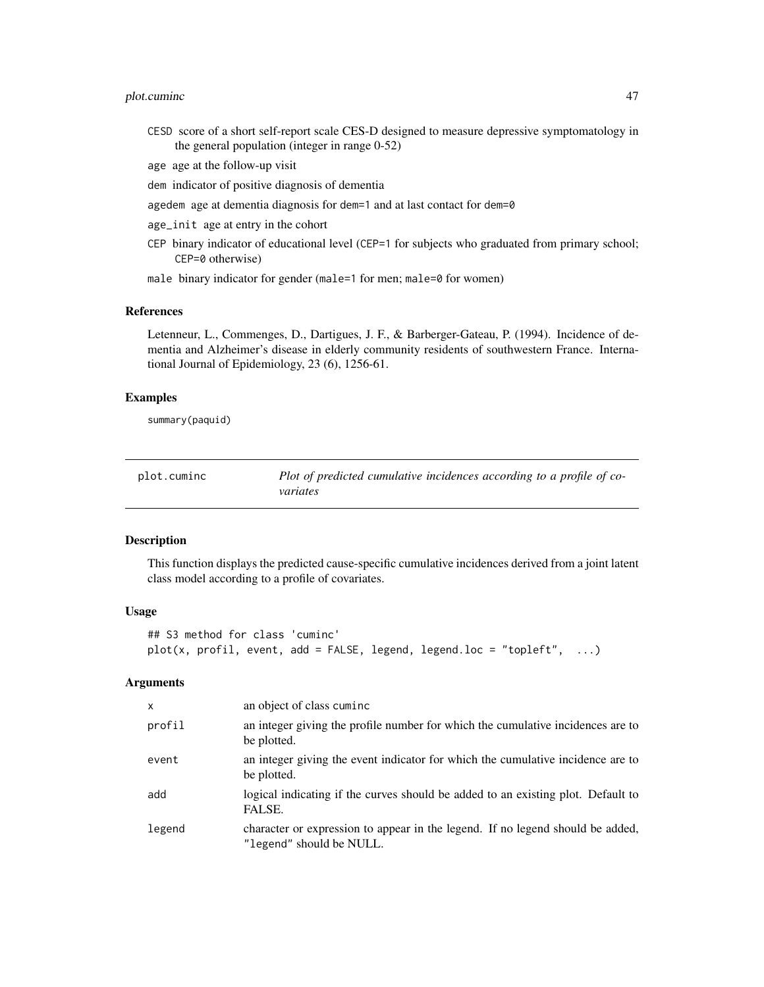# <span id="page-46-0"></span>plot.cuminc 47

- CESD score of a short self-report scale CES-D designed to measure depressive symptomatology in the general population (integer in range 0-52)
- age age at the follow-up visit
- dem indicator of positive diagnosis of dementia
- agedem age at dementia diagnosis for dem=1 and at last contact for dem=0
- age\_init age at entry in the cohort
- CEP binary indicator of educational level (CEP=1 for subjects who graduated from primary school; CEP=0 otherwise)
- male binary indicator for gender (male=1 for men; male=0 for women)

#### References

Letenneur, L., Commenges, D., Dartigues, J. F., & Barberger-Gateau, P. (1994). Incidence of dementia and Alzheimer's disease in elderly community residents of southwestern France. International Journal of Epidemiology, 23 (6), 1256-61.

#### Examples

summary(paquid)

<span id="page-46-1"></span>

| plot.cuminc | Plot of predicted cumulative incidences according to a profile of co- |
|-------------|-----------------------------------------------------------------------|
|             | variates                                                              |

#### Description

This function displays the predicted cause-specific cumulative incidences derived from a joint latent class model according to a profile of covariates.

#### Usage

```
## S3 method for class 'cuminc'
plot(x, profil, event, add = FALSE, legend, legend.loc = "topleft", \dots)
```
#### Arguments

| $\mathsf{x}$ | an object of class cuminc                                                                                  |
|--------------|------------------------------------------------------------------------------------------------------------|
| profil       | an integer giving the profile number for which the cumulative incidences are to<br>be plotted.             |
| event        | an integer giving the event indicator for which the cumulative incidence are to<br>be plotted.             |
| add          | logical indicating if the curves should be added to an existing plot. Default to<br>FALSE.                 |
| legend       | character or expression to appear in the legend. If no legend should be added,<br>"legend" should be NULL. |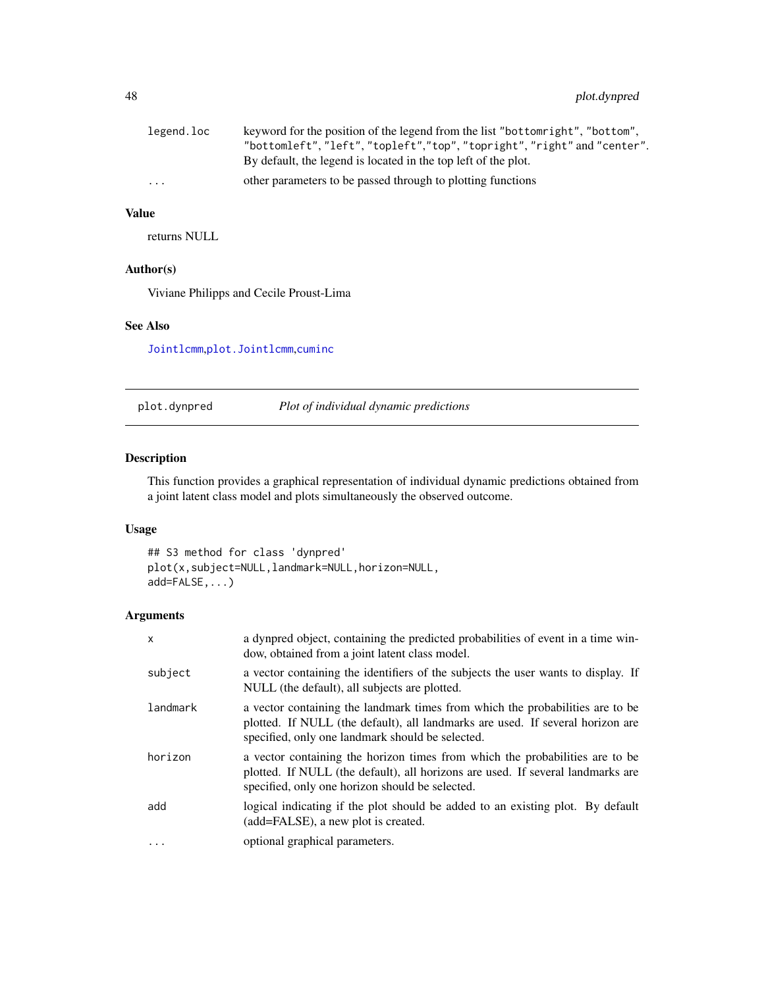<span id="page-47-0"></span>

| legend.loc              | keyword for the position of the legend from the list "bottomright", "bottom", |
|-------------------------|-------------------------------------------------------------------------------|
|                         | "bottomleft", "left", "topleft", "top", "topright", "right" and "center".     |
|                         | By default, the legend is located in the top left of the plot.                |
| $\cdot$ $\cdot$ $\cdot$ | other parameters to be passed through to plotting functions                   |

# Value

returns NULL

# Author(s)

Viviane Philipps and Cecile Proust-Lima

# See Also

[Jointlcmm](#page-20-1),[plot.Jointlcmm](#page-49-1),[cuminc](#page-3-1)

<span id="page-47-1"></span>plot.dynpred *Plot of individual dynamic predictions*

# Description

This function provides a graphical representation of individual dynamic predictions obtained from a joint latent class model and plots simultaneously the observed outcome.

# Usage

```
## S3 method for class 'dynpred'
plot(x,subject=NULL,landmark=NULL,horizon=NULL,
add=FALSE,...)
```
# Arguments

| $\mathsf{x}$ | a dynpred object, containing the predicted probabilities of event in a time win-<br>dow, obtained from a joint latent class model.                                                                                  |
|--------------|---------------------------------------------------------------------------------------------------------------------------------------------------------------------------------------------------------------------|
| subject      | a vector containing the identifiers of the subjects the user wants to display. If<br>NULL (the default), all subjects are plotted.                                                                                  |
| landmark     | a vector containing the landmark times from which the probabilities are to be<br>plotted. If NULL (the default), all landmarks are used. If several horizon are<br>specified, only one landmark should be selected. |
| horizon      | a vector containing the horizon times from which the probabilities are to be<br>plotted. If NULL (the default), all horizons are used. If several landmarks are<br>specified, only one horizon should be selected.  |
| add          | logical indicating if the plot should be added to an existing plot. By default<br>(add=FALSE), a new plot is created.                                                                                               |
| $\cdot$      | optional graphical parameters.                                                                                                                                                                                      |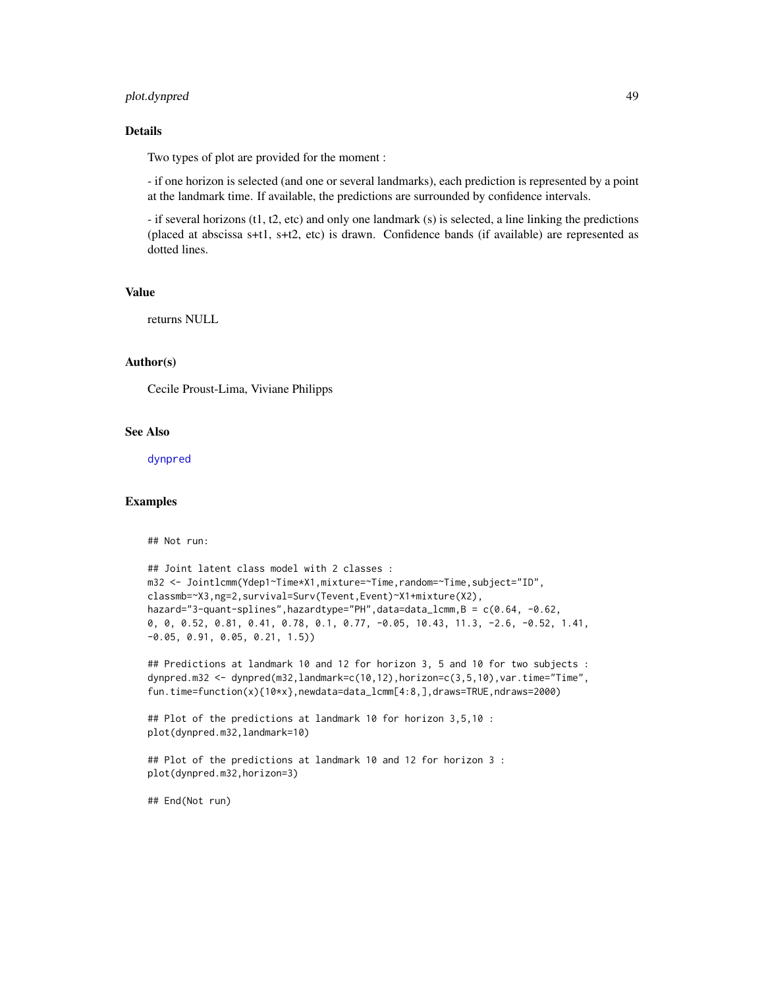# <span id="page-48-0"></span>plot.dynpred 49

# Details

Two types of plot are provided for the moment :

- if one horizon is selected (and one or several landmarks), each prediction is represented by a point at the landmark time. If available, the predictions are surrounded by confidence intervals.

- if several horizons (t1, t2, etc) and only one landmark (s) is selected, a line linking the predictions (placed at abscissa s+t1, s+t2, etc) is drawn. Confidence bands (if available) are represented as dotted lines.

#### Value

returns NULL

# Author(s)

Cecile Proust-Lima, Viviane Philipps

#### See Also

[dynpred](#page-7-1)

# Examples

## Not run:

```
## Joint latent class model with 2 classes :
m32 <- Jointlcmm(Ydep1~Time*X1,mixture=~Time,random=~Time,subject="ID",
classmb=~X3,ng=2,survival=Surv(Tevent,Event)~X1+mixture(X2),
hazard="3-quant-splines",hazardtype="PH",data=data_lcmm,B = c(0.64, -0.62,
0, 0, 0.52, 0.81, 0.41, 0.78, 0.1, 0.77, -0.05, 10.43, 11.3, -2.6, -0.52, 1.41,
-0.05, 0.91, 0.05, 0.21, 1.5))
```

```
## Predictions at landmark 10 and 12 for horizon 3, 5 and 10 for two subjects :
dynpred.m32 <- dynpred(m32,landmark=c(10,12),horizon=c(3,5,10),var.time="Time",
fun.time=function(x){10*x},newdata=data_lcmm[4:8,],draws=TRUE,ndraws=2000)
```

```
## Plot of the predictions at landmark 10 for horizon 3,5,10 :
plot(dynpred.m32,landmark=10)
```

```
## Plot of the predictions at landmark 10 and 12 for horizon 3 :
plot(dynpred.m32,horizon=3)
```
## End(Not run)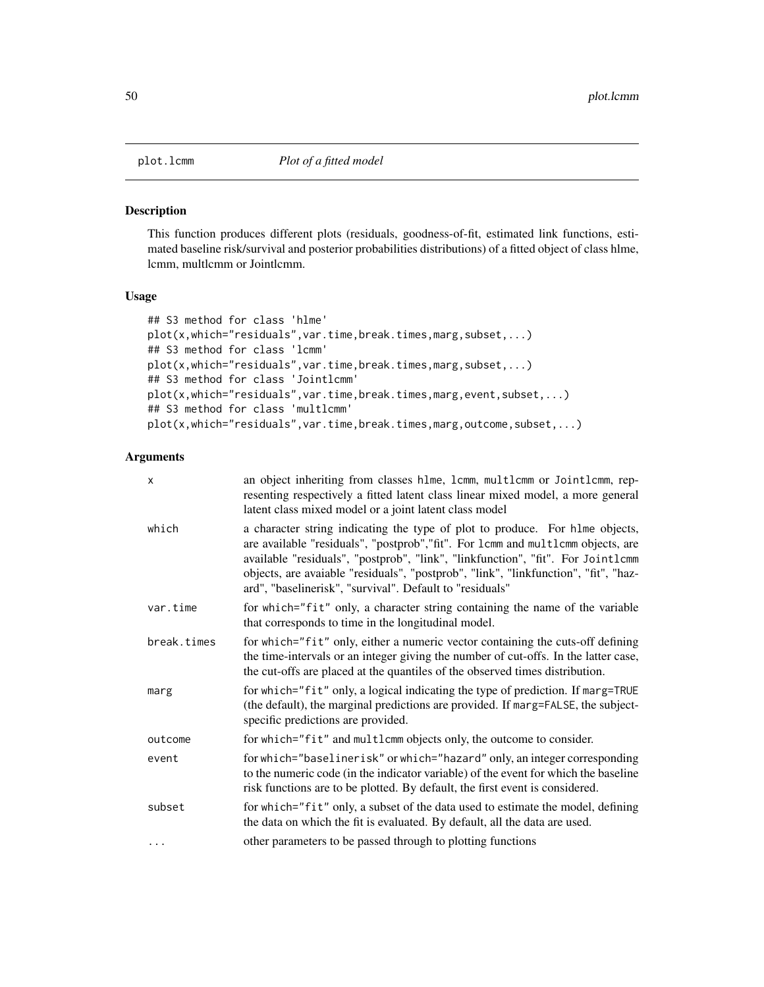<span id="page-49-2"></span><span id="page-49-0"></span>

#### <span id="page-49-1"></span>Description

This function produces different plots (residuals, goodness-of-fit, estimated link functions, estimated baseline risk/survival and posterior probabilities distributions) of a fitted object of class hlme, lcmm, multlcmm or Jointlcmm.

# Usage

```
## S3 method for class 'hlme'
plot(x,which="residuals", var.time, break.times, marg, subset,...)
## S3 method for class 'lcmm'
plot(x,which="residuals",var.time,break.times,marg,subset,...)
## S3 method for class 'Jointlcmm'
plot(x,which="residuals",var.time,break.times,marg,event,subset,...)
## S3 method for class 'multlcmm'
plot(x,which="residuals",var.time,break.times,marg,outcome,subset,...)
```
#### Arguments

| x           | an object inheriting from classes hlme, lcmm, multlcmm or Jointlcmm, rep-<br>resenting respectively a fitted latent class linear mixed model, a more general<br>latent class mixed model or a joint latent class model                                                                                                                                                                                 |
|-------------|--------------------------------------------------------------------------------------------------------------------------------------------------------------------------------------------------------------------------------------------------------------------------------------------------------------------------------------------------------------------------------------------------------|
| which       | a character string indicating the type of plot to produce. For hlme objects,<br>are available "residuals", "postprob", "fit". For 1cmm and multlcmm objects, are<br>available "residuals", "postprob", "link", "linkfunction", "fit". For Jointlcmm<br>objects, are avaiable "residuals", "postprob", "link", "linkfunction", "fit", "haz-<br>ard", "baselinerisk", "survival". Default to "residuals" |
| var.time    | for which="fit" only, a character string containing the name of the variable<br>that corresponds to time in the longitudinal model.                                                                                                                                                                                                                                                                    |
| break.times | for which="fit" only, either a numeric vector containing the cuts-off defining<br>the time-intervals or an integer giving the number of cut-offs. In the latter case,<br>the cut-offs are placed at the quantiles of the observed times distribution.                                                                                                                                                  |
| marg        | for which="fit" only, a logical indicating the type of prediction. If marg=TRUE<br>(the default), the marginal predictions are provided. If marg=FALSE, the subject-<br>specific predictions are provided.                                                                                                                                                                                             |
| outcome     | for which="fit" and multlcmm objects only, the outcome to consider.                                                                                                                                                                                                                                                                                                                                    |
| event       | for which="baselinerisk" or which="hazard" only, an integer corresponding<br>to the numeric code (in the indicator variable) of the event for which the baseline<br>risk functions are to be plotted. By default, the first event is considered.                                                                                                                                                       |
| subset      | for which="fit" only, a subset of the data used to estimate the model, defining<br>the data on which the fit is evaluated. By default, all the data are used.                                                                                                                                                                                                                                          |
| $\cdots$    | other parameters to be passed through to plotting functions                                                                                                                                                                                                                                                                                                                                            |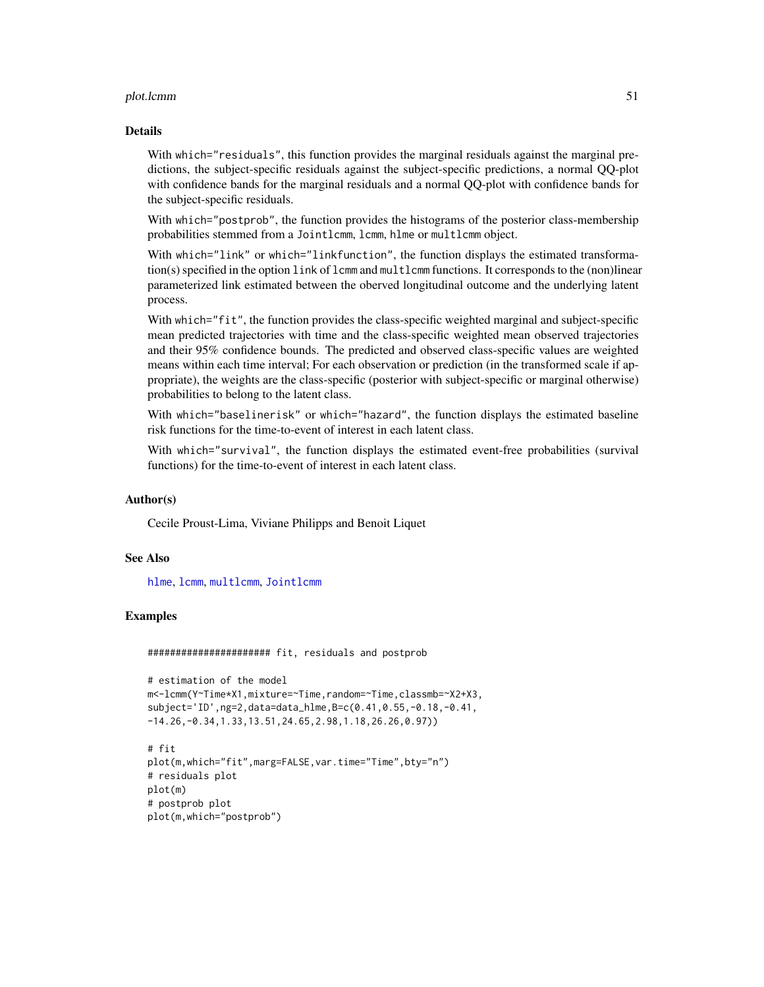#### <span id="page-50-0"></span>plot.lcmm 51

#### Details

With which="residuals", this function provides the marginal residuals against the marginal predictions, the subject-specific residuals against the subject-specific predictions, a normal QQ-plot with confidence bands for the marginal residuals and a normal QQ-plot with confidence bands for the subject-specific residuals.

With which="postprob", the function provides the histograms of the posterior class-membership probabilities stemmed from a Jointlcmm, lcmm, hlme or multlcmm object.

With which="link" or which="linkfunction", the function displays the estimated transformation(s) specified in the option link of lcmm and multlcmm functions. It corresponds to the (non)linear parameterized link estimated between the oberved longitudinal outcome and the underlying latent process.

With which="fit", the function provides the class-specific weighted marginal and subject-specific mean predicted trajectories with time and the class-specific weighted mean observed trajectories and their 95% confidence bounds. The predicted and observed class-specific values are weighted means within each time interval; For each observation or prediction (in the transformed scale if appropriate), the weights are the class-specific (posterior with subject-specific or marginal otherwise) probabilities to belong to the latent class.

With which="baselinerisk" or which="hazard", the function displays the estimated baseline risk functions for the time-to-event of interest in each latent class.

With which="survival", the function displays the estimated event-free probabilities (survival functions) for the time-to-event of interest in each latent class.

#### Author(s)

Cecile Proust-Lima, Viviane Philipps and Benoit Liquet

#### See Also

[hlme](#page-15-1), [lcmm](#page-28-1), [multlcmm](#page-38-1), [Jointlcmm](#page-20-1)

#### Examples

###################### fit, residuals and postprob

```
# estimation of the model
m<-lcmm(Y~Time*X1,mixture=~Time,random=~Time,classmb=~X2+X3,
subject='ID',ng=2,data=data_hlme,B=c(0.41,0.55,-0.18,-0.41,
-14.26,-0.34,1.33,13.51,24.65,2.98,1.18,26.26,0.97))
```

```
# fit
plot(m,which="fit",marg=FALSE,var.time="Time",bty="n")
# residuals plot
plot(m)
# postprob plot
plot(m,which="postprob")
```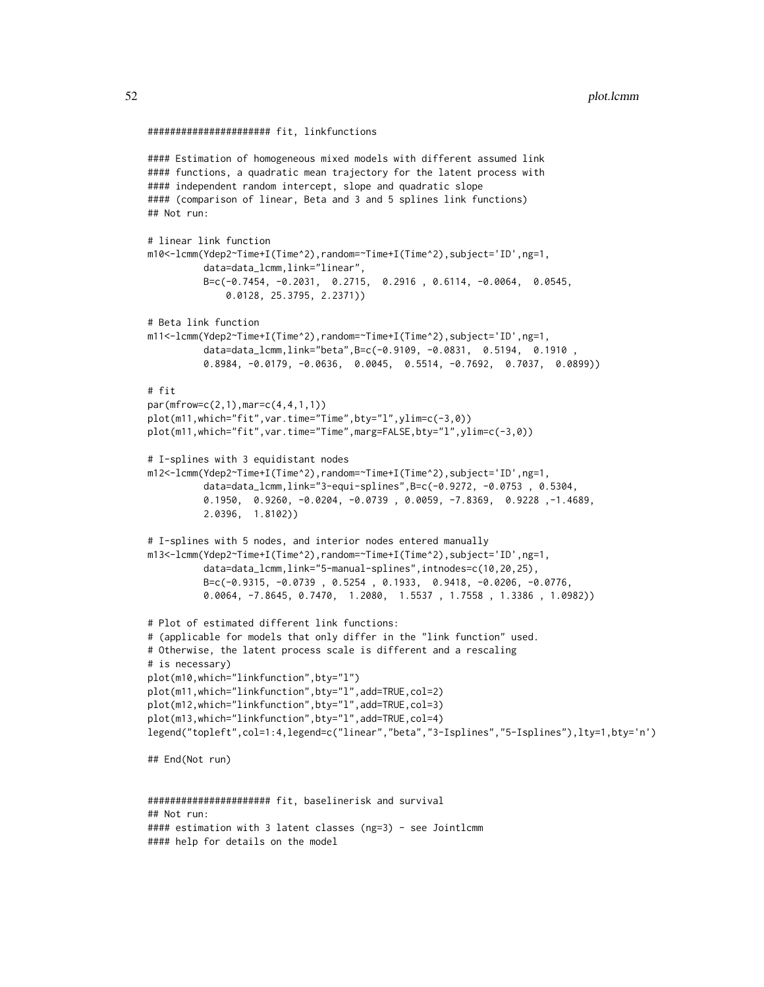```
###################### fit, linkfunctions
#### Estimation of homogeneous mixed models with different assumed link
#### functions, a quadratic mean trajectory for the latent process with
#### independent random intercept, slope and quadratic slope
#### (comparison of linear, Beta and 3 and 5 splines link functions)
## Not run:
# linear link function
m10<-lcmm(Ydep2~Time+I(Time^2),random=~Time+I(Time^2),subject='ID',ng=1,
          data=data_lcmm,link="linear",
          B=c(-0.7454, -0.2031, 0.2715, 0.2916 , 0.6114, -0.0064, 0.0545,
              0.0128, 25.3795, 2.2371))
# Beta link function
m11<-lcmm(Ydep2~Time+I(Time^2),random=~Time+I(Time^2),subject='ID',ng=1,
          data=data_lcmm,link="beta",B=c(-0.9109, -0.0831, 0.5194, 0.1910 ,
          0.8984, -0.0179, -0.0636, 0.0045, 0.5514, -0.7692, 0.7037, 0.0899))
# fit
par(mfrow=c(2,1),mar=c(4,4,1,1))
plot(m11,which="fit",var.time="Time",bty="l",ylim=c(-3,0))
plot(m11,which="fit",var.time="Time",marg=FALSE,bty="l",ylim=c(-3,0))
# I-splines with 3 equidistant nodes
m12<-lcmm(Ydep2~Time+I(Time^2),random=~Time+I(Time^2),subject='ID',ng=1,
          data=data_lcmm,link="3-equi-splines",B=c(-0.9272, -0.0753 , 0.5304,
          0.1950, 0.9260, -0.0204, -0.0739 , 0.0059, -7.8369, 0.9228 ,-1.4689,
          2.0396, 1.8102))
# I-splines with 5 nodes, and interior nodes entered manually
m13<-lcmm(Ydep2~Time+I(Time^2),random=~Time+I(Time^2),subject='ID',ng=1,
          data=data_lcmm,link="5-manual-splines",intnodes=c(10,20,25),
          B=c(-0.9315, -0.0739 , 0.5254 , 0.1933, 0.9418, -0.0206, -0.0776,
          0.0064, -7.8645, 0.7470, 1.2080, 1.5537 , 1.7558 , 1.3386 , 1.0982))
# Plot of estimated different link functions:
# (applicable for models that only differ in the "link function" used.
# Otherwise, the latent process scale is different and a rescaling
# is necessary)
plot(m10,which="linkfunction",bty="l")
plot(m11,which="linkfunction",bty="l",add=TRUE,col=2)
plot(m12,which="linkfunction",bty="l",add=TRUE,col=3)
plot(m13,which="linkfunction",bty="l",add=TRUE,col=4)
legend("topleft",col=1:4,legend=c("linear","beta","3-Isplines","5-Isplines"),lty=1,bty='n')
## End(Not run)
###################### fit, baselinerisk and survival
```

```
## Not run:
#### estimation with 3 latent classes (ng=3) - see Jointlcmm
#### help for details on the model
```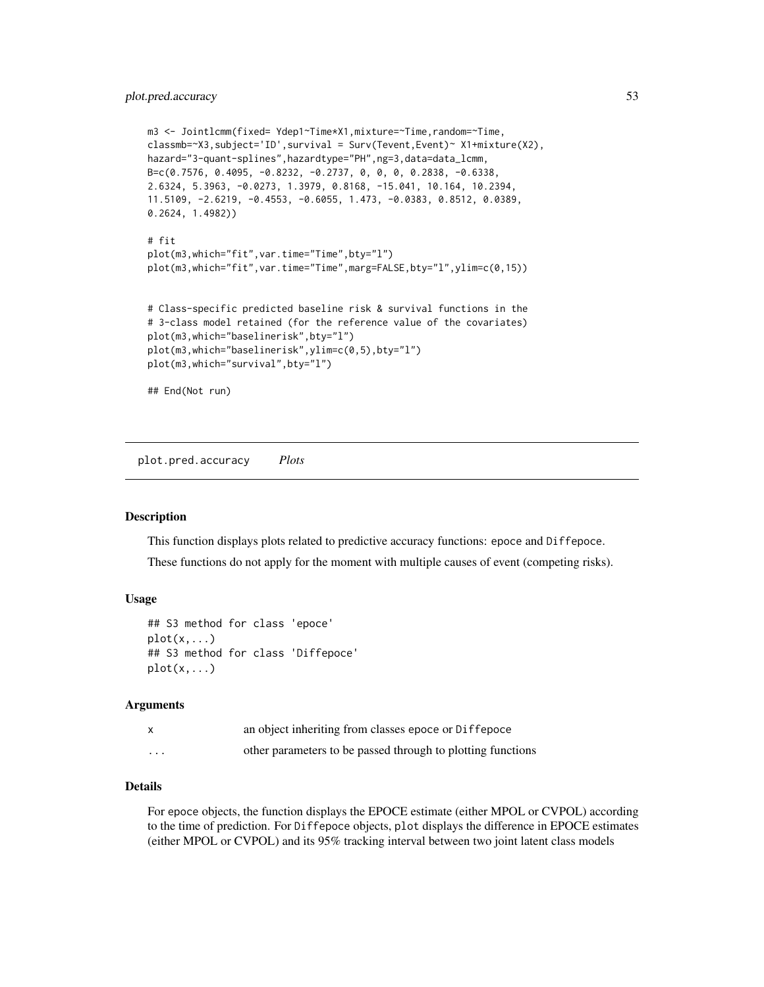# <span id="page-52-0"></span>plot.pred.accuracy 53

```
m3 <- Jointlcmm(fixed= Ydep1~Time*X1,mixture=~Time,random=~Time,
classmb=~X3,subject='ID',survival = Surv(Tevent,Event)~ X1+mixture(X2),
hazard="3-quant-splines",hazardtype="PH",ng=3,data=data_lcmm,
B=c(0.7576, 0.4095, -0.8232, -0.2737, 0, 0, 0, 0.2838, -0.6338,
2.6324, 5.3963, -0.0273, 1.3979, 0.8168, -15.041, 10.164, 10.2394,
11.5109, -2.6219, -0.4553, -0.6055, 1.473, -0.0383, 0.8512, 0.0389,
0.2624, 1.4982))
# fit
plot(m3,which="fit",var.time="Time",bty="l")
plot(m3,which="fit",var.time="Time",marg=FALSE,bty="l",ylim=c(0,15))
# Class-specific predicted baseline risk & survival functions in the
# 3-class model retained (for the reference value of the covariates)
plot(m3,which="baselinerisk",bty="l")
plot(m3,which="baselinerisk",ylim=c(0,5),bty="l")
plot(m3,which="survival",bty="l")
## End(Not run)
```
plot.pred.accuracy *Plots*

#### <span id="page-52-1"></span>**Description**

This function displays plots related to predictive accuracy functions: epoce and Diffepoce.

These functions do not apply for the moment with multiple causes of event (competing risks).

#### Usage

```
## S3 method for class 'epoce'
plot(x, \ldots)## S3 method for class 'Diffepoce'
plot(x,...)
```
#### **Arguments**

|          | an object inheriting from classes epoce or Diffepoce        |
|----------|-------------------------------------------------------------|
| $\cdots$ | other parameters to be passed through to plotting functions |

#### Details

For epoce objects, the function displays the EPOCE estimate (either MPOL or CVPOL) according to the time of prediction. For Diffepoce objects, plot displays the difference in EPOCE estimates (either MPOL or CVPOL) and its 95% tracking interval between two joint latent class models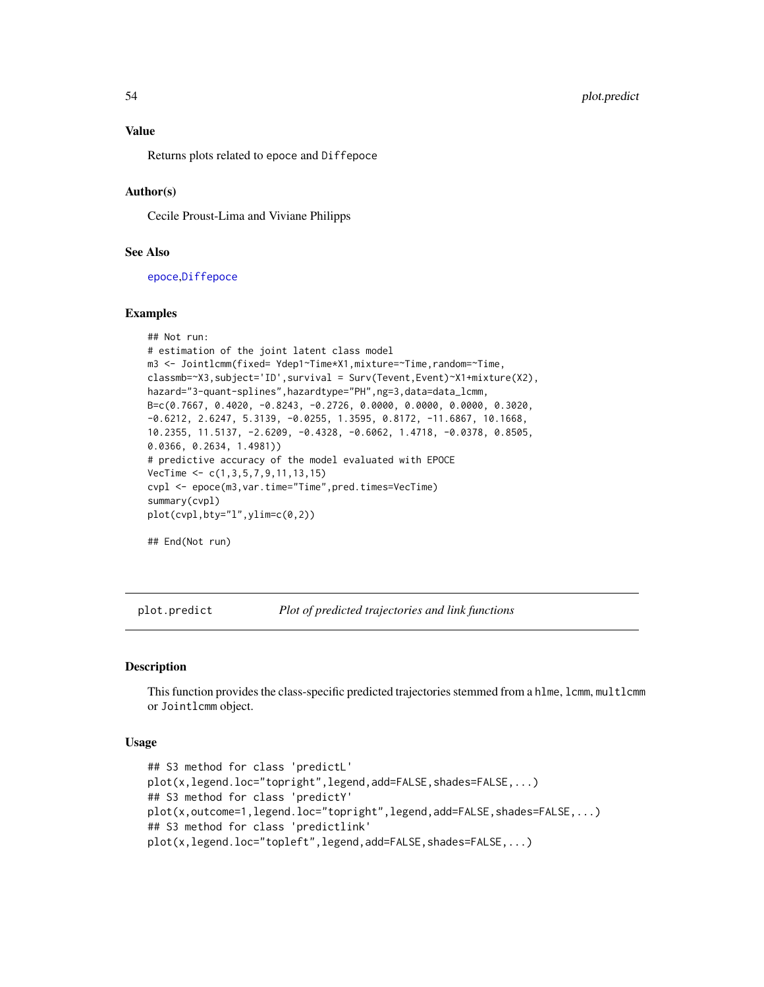Returns plots related to epoce and Diffepoce

#### Author(s)

Cecile Proust-Lima and Viviane Philipps

#### See Also

[epoce](#page-9-1),[Diffepoce](#page-5-1)

# Examples

```
## Not run:
# estimation of the joint latent class model
m3 <- Jointlcmm(fixed= Ydep1~Time*X1,mixture=~Time,random=~Time,
classmb=~X3,subject='ID',survival = Surv(Tevent,Event)~X1+mixture(X2),
hazard="3-quant-splines",hazardtype="PH",ng=3,data=data_lcmm,
B=c(0.7667, 0.4020, -0.8243, -0.2726, 0.0000, 0.0000, 0.0000, 0.3020,
-0.6212, 2.6247, 5.3139, -0.0255, 1.3595, 0.8172, -11.6867, 10.1668,
10.2355, 11.5137, -2.6209, -0.4328, -0.6062, 1.4718, -0.0378, 0.8505,
0.0366, 0.2634, 1.4981))
# predictive accuracy of the model evaluated with EPOCE
VecTime <- c(1,3,5,7,9,11,13,15)
cvpl <- epoce(m3,var.time="Time",pred.times=VecTime)
summary(cvpl)
plot(cvpl,bty="l",ylim=c(0,2))
```
## End(Not run)

<span id="page-53-1"></span>plot.predict *Plot of predicted trajectories and link functions*

#### <span id="page-53-2"></span>Description

This function provides the class-specific predicted trajectories stemmed from a hlme, lcmm, multlcmm or Jointlcmm object.

#### Usage

```
## S3 method for class 'predictL'
plot(x,legend.loc="topright",legend,add=FALSE,shades=FALSE,...)
## S3 method for class 'predictY'
plot(x,outcome=1,legend.loc="topright",legend,add=FALSE,shades=FALSE,...)
## S3 method for class 'predictlink'
plot(x,legend.loc="topleft",legend,add=FALSE,shades=FALSE,...)
```
<span id="page-53-0"></span>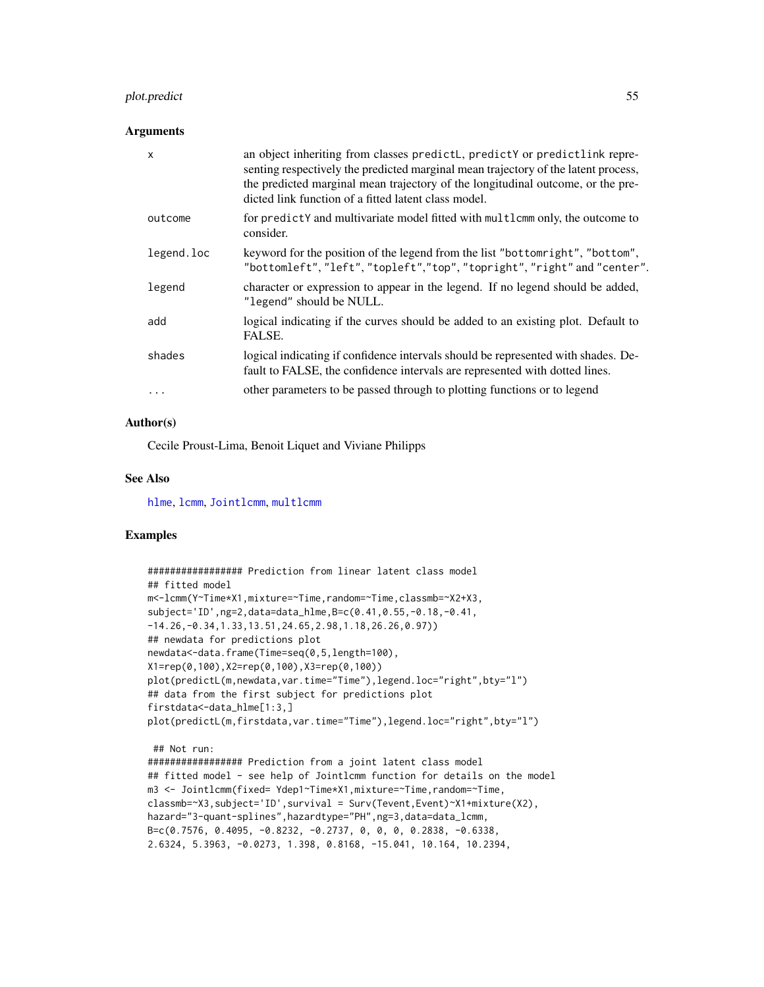# <span id="page-54-0"></span>plot.predict 55

#### Arguments

| X          | an object inheriting from classes predictL, predictY or predictlink repre-<br>senting respectively the predicted marginal mean trajectory of the latent process,<br>the predicted marginal mean trajectory of the longitudinal outcome, or the pre-<br>dicted link function of a fitted latent class model. |
|------------|-------------------------------------------------------------------------------------------------------------------------------------------------------------------------------------------------------------------------------------------------------------------------------------------------------------|
| outcome    | for predictY and multivariate model fitted with multlcmm only, the outcome to<br>consider.                                                                                                                                                                                                                  |
| legend.loc | keyword for the position of the legend from the list "bottomright", "bottom",<br>"bottomleft", "left", "topleft", "top", "topright", "right" and "center".                                                                                                                                                  |
| legend     | character or expression to appear in the legend. If no legend should be added,<br>"legend" should be NULL.                                                                                                                                                                                                  |
| add        | logical indicating if the curves should be added to an existing plot. Default to<br>FALSE.                                                                                                                                                                                                                  |
| shades     | logical indicating if confidence intervals should be represented with shades. De-<br>fault to FALSE, the confidence intervals are represented with dotted lines.                                                                                                                                            |
| .          | other parameters to be passed through to plotting functions or to legend                                                                                                                                                                                                                                    |

#### Author(s)

Cecile Proust-Lima, Benoit Liquet and Viviane Philipps

# See Also

[hlme](#page-15-1), [lcmm](#page-28-1), [Jointlcmm](#page-20-1), [multlcmm](#page-38-1)

#### Examples

```
################# Prediction from linear latent class model
## fitted model
m<-lcmm(Y~Time*X1,mixture=~Time,random=~Time,classmb=~X2+X3,
subject='ID',ng=2,data=data_hlme,B=c(0.41,0.55,-0.18,-0.41,
-14.26,-0.34,1.33,13.51,24.65,2.98,1.18,26.26,0.97))
## newdata for predictions plot
newdata<-data.frame(Time=seq(0,5,length=100),
X1=rep(0,100),X2=rep(0,100),X3=rep(0,100))
plot(predictL(m,newdata,var.time="Time"),legend.loc="right",bty="l")
## data from the first subject for predictions plot
firstdata<-data_hlme[1:3,]
plot(predictL(m,firstdata,var.time="Time"),legend.loc="right",bty="l")
 ## Not run:
################# Prediction from a joint latent class model
## fitted model - see help of Jointlcmm function for details on the model
m3 <- Jointlcmm(fixed= Ydep1~Time*X1,mixture=~Time,random=~Time,
classmb=~X3,subject='ID',survival = Surv(Tevent,Event)~X1+mixture(X2),
hazard="3-quant-splines",hazardtype="PH",ng=3,data=data_lcmm,
B=c(0.7576, 0.4095, -0.8232, -0.2737, 0, 0, 0, 0.2838, -0.6338,
2.6324, 5.3963, -0.0273, 1.398, 0.8168, -15.041, 10.164, 10.2394,
```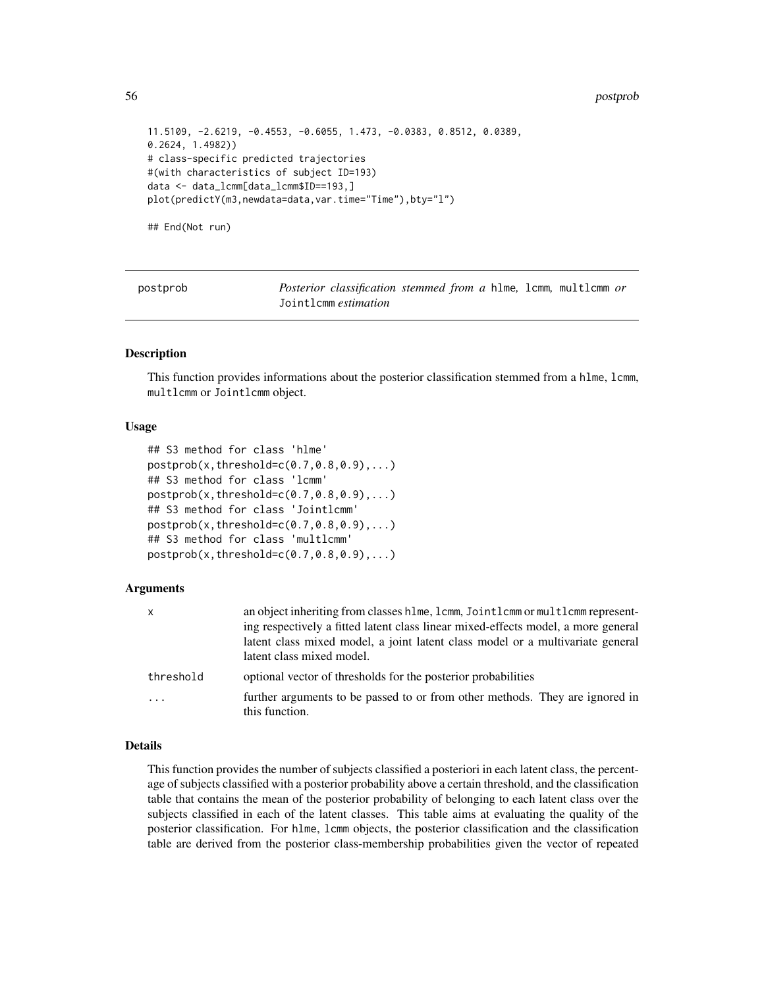#### <span id="page-55-0"></span>56 postprob

```
11.5109, -2.6219, -0.4553, -0.6055, 1.473, -0.0383, 0.8512, 0.0389,
0.2624, 1.4982))
# class-specific predicted trajectories
#(with characteristics of subject ID=193)
data <- data_lcmm[data_lcmm$ID==193,]
plot(predictY(m3,newdata=data,var.time="Time"),bty="l")
```
## End(Not run)

<span id="page-55-1"></span>

| postprob |  |
|----------|--|
|----------|--|

*Posterior classification stemmed from a* hlme, lcmm, multlcmm *or* Jointlcmm *estimation*

# **Description**

This function provides informations about the posterior classification stemmed from a hlme, lcmm, multlcmm or Jointlcmm object.

#### Usage

```
## S3 method for class 'hlme'
postprob(x, threshold=c(0.7, 0.8, 0.9),...)## S3 method for class 'lcmm'
postprob(x, threshold = c(0.7, 0.8, 0.9), ...)## S3 method for class 'Jointlcmm'
postprob(x, threshold = c(0.7, 0.8, 0.9), ...)## S3 method for class 'multlcmm'
postprob(x, threshold = c(0.7, 0.8, 0.9), ...)
```
# Arguments

| x         | an object inheriting from classes hlme, lcmm, Jointlcmm or multlcmm represent-    |
|-----------|-----------------------------------------------------------------------------------|
|           | ing respectively a fitted latent class linear mixed-effects model, a more general |
|           | latent class mixed model, a joint latent class model or a multivariate general    |
|           | latent class mixed model.                                                         |
| threshold | optional vector of thresholds for the posterior probabilities                     |
| .         | further arguments to be passed to or from other methods. They are ignored in      |
|           | this function.                                                                    |

#### Details

This function provides the number of subjects classified a posteriori in each latent class, the percentage of subjects classified with a posterior probability above a certain threshold, and the classification table that contains the mean of the posterior probability of belonging to each latent class over the subjects classified in each of the latent classes. This table aims at evaluating the quality of the posterior classification. For hlme, lcmm objects, the posterior classification and the classification table are derived from the posterior class-membership probabilities given the vector of repeated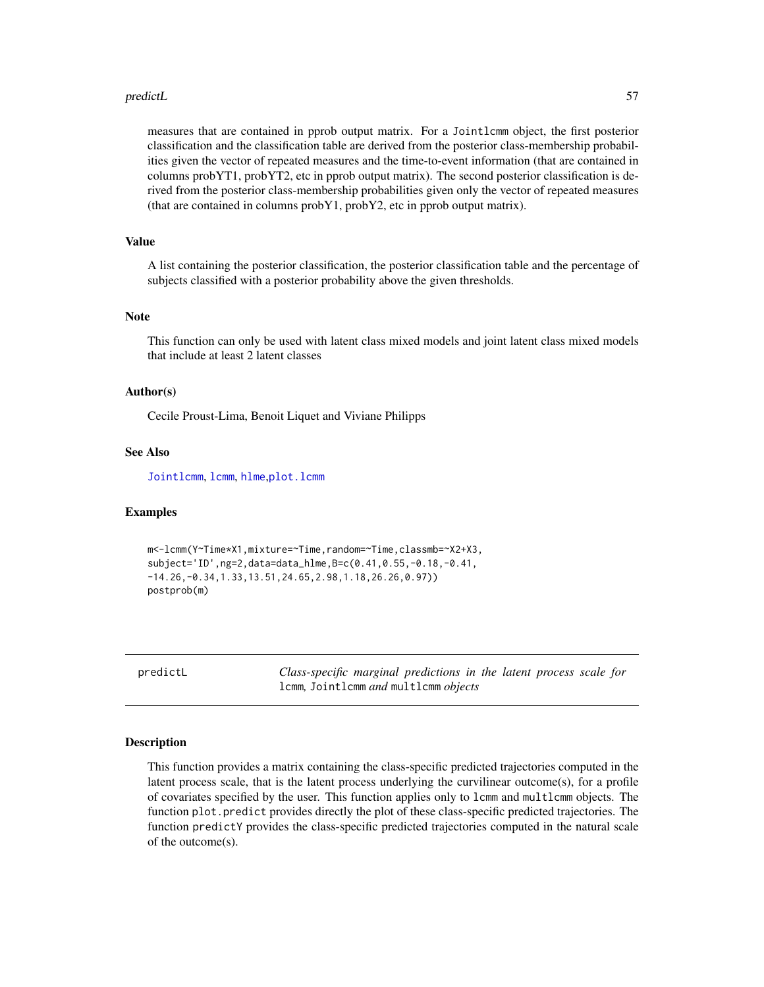#### <span id="page-56-0"></span>predictL 57

measures that are contained in pprob output matrix. For a Jointlcmm object, the first posterior classification and the classification table are derived from the posterior class-membership probabilities given the vector of repeated measures and the time-to-event information (that are contained in columns probYT1, probYT2, etc in pprob output matrix). The second posterior classification is derived from the posterior class-membership probabilities given only the vector of repeated measures (that are contained in columns probY1, probY2, etc in pprob output matrix).

# Value

A list containing the posterior classification, the posterior classification table and the percentage of subjects classified with a posterior probability above the given thresholds.

# Note

This function can only be used with latent class mixed models and joint latent class mixed models that include at least 2 latent classes

#### Author(s)

Cecile Proust-Lima, Benoit Liquet and Viviane Philipps

# See Also

[Jointlcmm](#page-20-1), [lcmm](#page-28-1), [hlme](#page-15-1),[plot.lcmm](#page-49-2)

#### Examples

```
m<-lcmm(Y~Time*X1,mixture=~Time,random=~Time,classmb=~X2+X3,
subject='ID',ng=2,data=data_hlme,B=c(0.41,0.55,-0.18,-0.41,
-14.26,-0.34,1.33,13.51,24.65,2.98,1.18,26.26,0.97))
postprob(m)
```
<span id="page-56-1"></span>predictL *Class-specific marginal predictions in the latent process scale for* lcmm*,* Jointlcmm *and* multlcmm *objects*

#### Description

This function provides a matrix containing the class-specific predicted trajectories computed in the latent process scale, that is the latent process underlying the curvilinear outcome(s), for a profile of covariates specified by the user. This function applies only to lcmm and multlcmm objects. The function plot.predict provides directly the plot of these class-specific predicted trajectories. The function predictY provides the class-specific predicted trajectories computed in the natural scale of the outcome(s).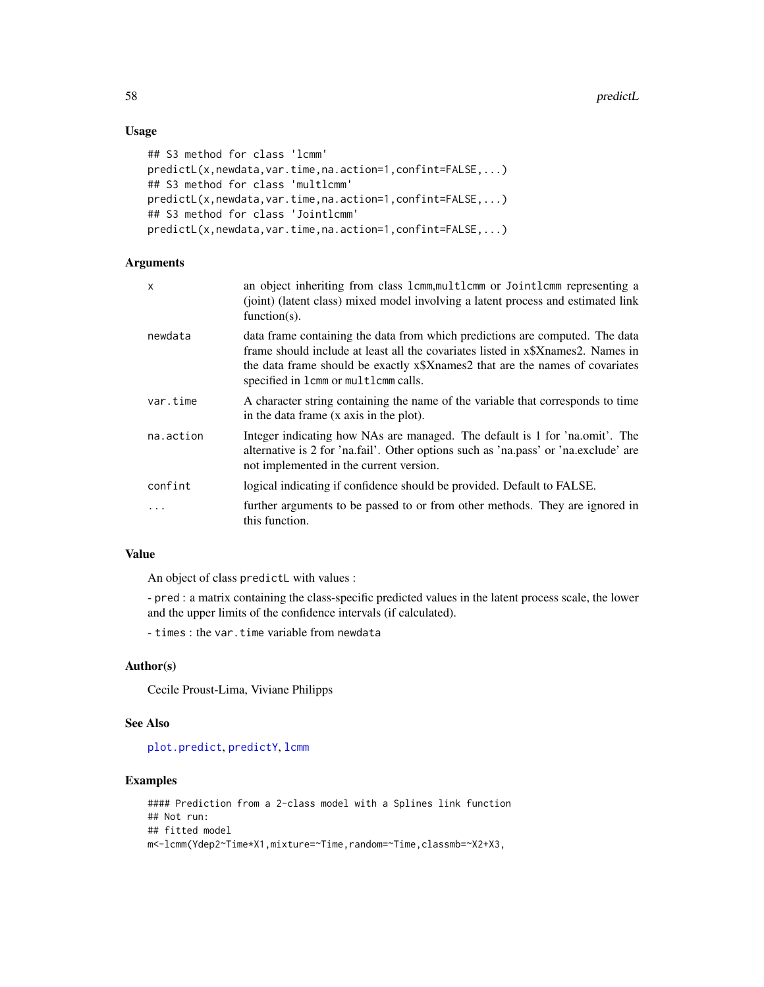# Usage

```
## S3 method for class 'lcmm'
predictL(x,newdata,var.time,na.action=1,confint=FALSE,...)
## S3 method for class 'multlcmm'
predictL(x,newdata,var.time,na.action=1,confint=FALSE,...)
## S3 method for class 'Jointlcmm'
predictL(x,newdata,var.time,na.action=1,confint=FALSE,...)
```
# Arguments

| X         | an object inheriting from class 1cmm, multlcmm or Jointlcmm representing a<br>(joint) (latent class) mixed model involving a latent process and estimated link<br>function( $s$ ).                                                                                                      |
|-----------|-----------------------------------------------------------------------------------------------------------------------------------------------------------------------------------------------------------------------------------------------------------------------------------------|
| newdata   | data frame containing the data from which predictions are computed. The data<br>frame should include at least all the covariates listed in x\$Xnames2. Names in<br>the data frame should be exactly x\$Xnames2 that are the names of covariates<br>specified in 1cmm or multlcmm calls. |
| var.time  | A character string containing the name of the variable that corresponds to time<br>in the data frame (x axis in the plot).                                                                                                                                                              |
| na.action | Integer indicating how NAs are managed. The default is 1 for 'na.omit'. The<br>alternative is 2 for 'na.fail'. Other options such as 'na.pass' or 'na.exclude' are<br>not implemented in the current version.                                                                           |
| confint   | logical indicating if confidence should be provided. Default to FALSE.                                                                                                                                                                                                                  |
| $\cdots$  | further arguments to be passed to or from other methods. They are ignored in<br>this function.                                                                                                                                                                                          |

# Value

An object of class predictL with values :

- pred : a matrix containing the class-specific predicted values in the latent process scale, the lower and the upper limits of the confidence intervals (if calculated).

- times : the var.time variable from newdata

# Author(s)

Cecile Proust-Lima, Viviane Philipps

# See Also

[plot.predict](#page-53-1), [predictY](#page-60-1), [lcmm](#page-28-1)

# Examples

```
#### Prediction from a 2-class model with a Splines link function
## Not run:
## fitted model
m<-lcmm(Ydep2~Time*X1,mixture=~Time,random=~Time,classmb=~X2+X3,
```
<span id="page-57-0"></span>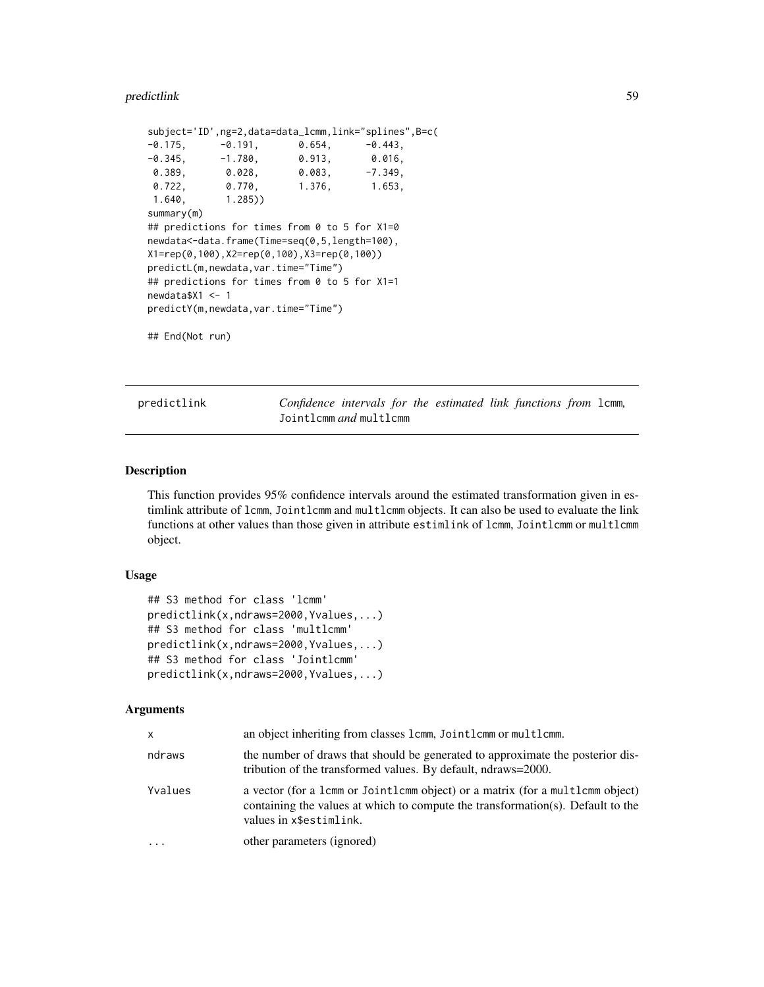#### <span id="page-58-0"></span>predictlink 59

```
subject='ID',ng=2,data=data_lcmm,link="splines",B=c(
-0.175, -0.191, 0.654, -0.443,
-0.345, -1.780, 0.913, 0.016,0.389, 0.028, 0.083, -7.349,0.722, 0.770, 1.376, 1.653,
1.640, 1.285))
summary(m)
## predictions for times from 0 to 5 for X1=0
newdata<-data.frame(Time=seq(0,5,length=100),
X1=rep(0,100),X2=rep(0,100),X3=rep(0,100))
predictL(m,newdata,var.time="Time")
## predictions for times from 0 to 5 for X1=1
newdata$X1 <- 1
predictY(m,newdata,var.time="Time")
```
## End(Not run)

predictlink *Confidence intervals for the estimated link functions from* lcmm*,* Jointlcmm *and* multlcmm

#### Description

This function provides 95% confidence intervals around the estimated transformation given in estimlink attribute of lcmm, Jointlcmm and multlcmm objects. It can also be used to evaluate the link functions at other values than those given in attribute estimlink of lcmm, Jointlcmm or multlcmm object.

# Usage

```
## S3 method for class 'lcmm'
predictlink(x,ndraws=2000,Yvalues,...)
## S3 method for class 'multlcmm'
predictlink(x,ndraws=2000,Yvalues,...)
## S3 method for class 'Jointlcmm'
predictlink(x,ndraws=2000,Yvalues,...)
```
#### Arguments

| x       | an object inheriting from classes 1cmm, Joint1cmm or mult1cmm.                                                                                                                              |
|---------|---------------------------------------------------------------------------------------------------------------------------------------------------------------------------------------------|
| ndraws  | the number of draws that should be generated to approximate the posterior dis-<br>tribution of the transformed values. By default, ndraws=2000.                                             |
| Yvalues | a vector (for a 1cmm or Jointlemm object) or a matrix (for a multlemm object)<br>containing the values at which to compute the transformation(s). Default to the<br>values in x\$estimlink. |
| .       | other parameters (ignored)                                                                                                                                                                  |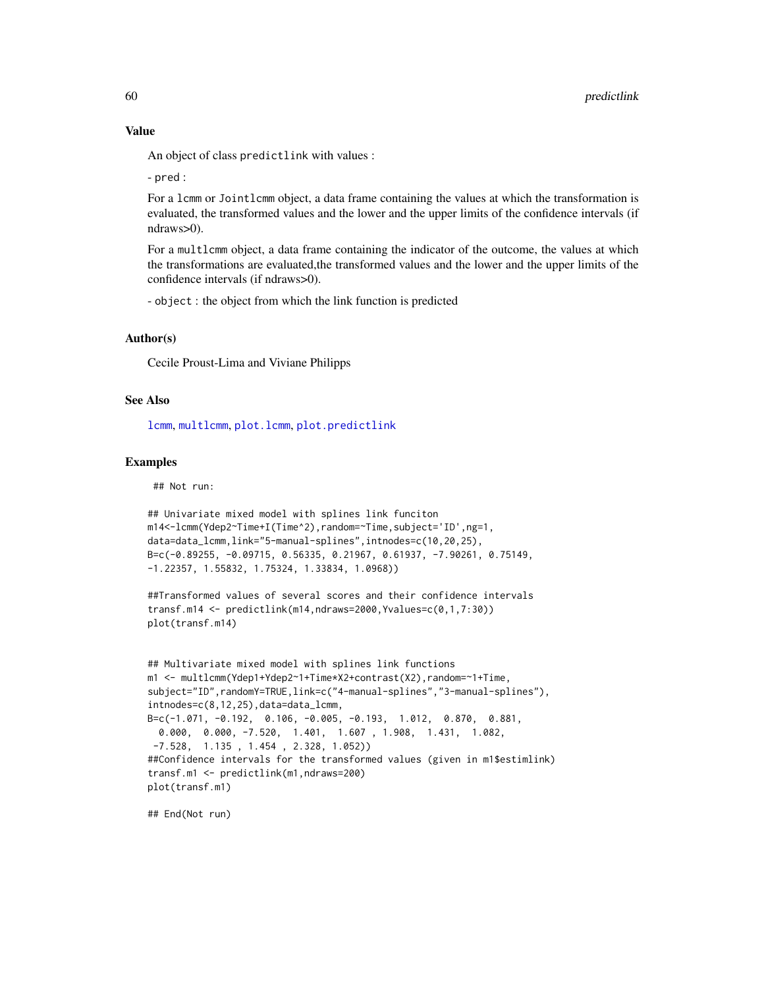#### Value

An object of class predictlink with values :

- pred :

For a lcmm or Jointlcmm object, a data frame containing the values at which the transformation is evaluated, the transformed values and the lower and the upper limits of the confidence intervals (if ndraws>0).

For a multlcmm object, a data frame containing the indicator of the outcome, the values at which the transformations are evaluated,the transformed values and the lower and the upper limits of the confidence intervals (if ndraws>0).

- object : the object from which the link function is predicted

# Author(s)

Cecile Proust-Lima and Viviane Philipps

#### See Also

[lcmm](#page-28-1), [multlcmm](#page-38-1), [plot.lcmm](#page-49-2), [plot.predictlink](#page-53-2)

#### Examples

## Not run:

```
## Univariate mixed model with splines link funciton
m14<-lcmm(Ydep2~Time+I(Time^2),random=~Time,subject='ID',ng=1,
data=data_lcmm,link="5-manual-splines",intnodes=c(10,20,25),
B=c(-0.89255, -0.09715, 0.56335, 0.21967, 0.61937, -7.90261, 0.75149,
-1.22357, 1.55832, 1.75324, 1.33834, 1.0968))
```

```
##Transformed values of several scores and their confidence intervals
transf.m14 <- predictlink(m14,ndraws=2000,Yvalues=c(0,1,7:30))
plot(transf.m14)
```

```
## Multivariate mixed model with splines link functions
m1 <- multlcmm(Ydep1+Ydep2~1+Time*X2+contrast(X2),random=~1+Time,
subject="ID",randomY=TRUE,link=c("4-manual-splines","3-manual-splines"),
intnodes=c(8,12,25),data=data_lcmm,
B=c(-1.071, -0.192, 0.106, -0.005, -0.193, 1.012, 0.870, 0.881,
 0.000, 0.000, -7.520, 1.401, 1.607 , 1.908, 1.431, 1.082,
-7.528, 1.135 , 1.454 , 2.328, 1.052))
##Confidence intervals for the transformed values (given in m1$estimlink)
transf.m1 <- predictlink(m1,ndraws=200)
plot(transf.m1)
```
## End(Not run)

<span id="page-59-0"></span>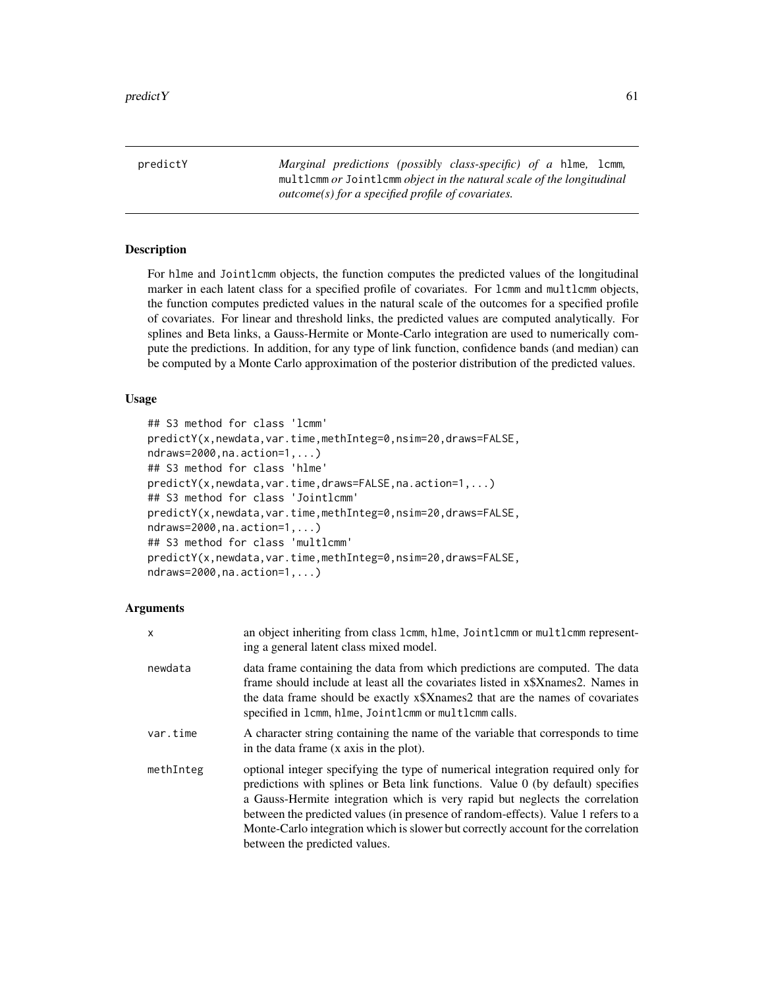<span id="page-60-1"></span><span id="page-60-0"></span>predictY *Marginal predictions (possibly class-specific) of a* hlme*,* lcmm*,* multlcmm *or* Jointlcmm *object in the natural scale of the longitudinal outcome(s) for a specified profile of covariates.*

# Description

For hlme and Jointlcmm objects, the function computes the predicted values of the longitudinal marker in each latent class for a specified profile of covariates. For lcmm and multlcmm objects, the function computes predicted values in the natural scale of the outcomes for a specified profile of covariates. For linear and threshold links, the predicted values are computed analytically. For splines and Beta links, a Gauss-Hermite or Monte-Carlo integration are used to numerically compute the predictions. In addition, for any type of link function, confidence bands (and median) can be computed by a Monte Carlo approximation of the posterior distribution of the predicted values.

#### Usage

```
## S3 method for class 'lcmm'
predictY(x,newdata,var.time,methInteg=0,nsim=20,draws=FALSE,
ndraws=2000,na.action=1,...)
## S3 method for class 'hlme'
predictY(x,newdata,var.time,draws=FALSE,na.action=1,...)
## S3 method for class 'Jointlcmm'
predictY(x,newdata,var.time,methInteg=0,nsim=20,draws=FALSE,
ndraws=2000,na.action=1,...)
## S3 method for class 'multlcmm'
predictY(x,newdata,var.time,methInteg=0,nsim=20,draws=FALSE,
ndraws=2000,na.action=1,...)
```
#### Arguments

| x         | an object inheriting from class 1cmm, hlme, Joint1cmm or mult1cmm represent-<br>ing a general latent class mixed model.                                                                                                                                                                                                                                                                                                                                       |
|-----------|---------------------------------------------------------------------------------------------------------------------------------------------------------------------------------------------------------------------------------------------------------------------------------------------------------------------------------------------------------------------------------------------------------------------------------------------------------------|
| newdata   | data frame containing the data from which predictions are computed. The data<br>frame should include at least all the covariates listed in x\$Xnames2. Names in<br>the data frame should be exactly x\$Xnames2 that are the names of covariates<br>specified in 1cmm, hlme, Jointlemm or multlemm calls.                                                                                                                                                      |
| var.time  | A character string containing the name of the variable that corresponds to time<br>in the data frame (x axis in the plot).                                                                                                                                                                                                                                                                                                                                    |
| methInteg | optional integer specifying the type of numerical integration required only for<br>predictions with splines or Beta link functions. Value 0 (by default) specifies<br>a Gauss-Hermite integration which is very rapid but neglects the correlation<br>between the predicted values (in presence of random-effects). Value 1 refers to a<br>Monte-Carlo integration which is slower but correctly account for the correlation<br>between the predicted values. |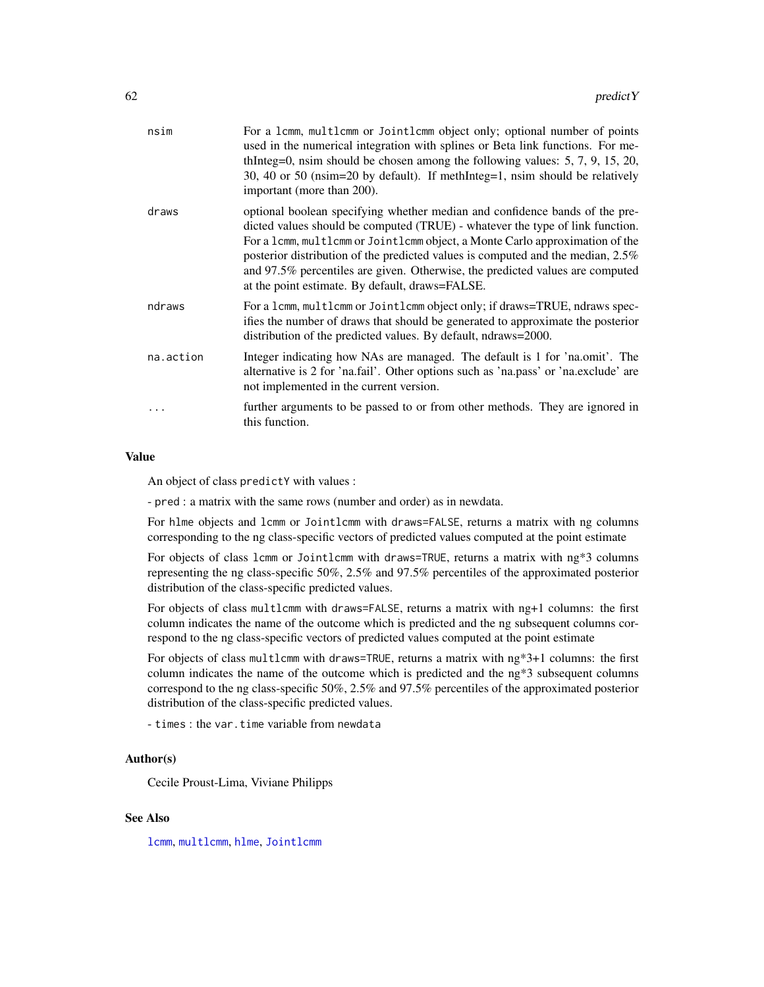<span id="page-61-0"></span>

| nsim      | For a 1cmm, multicmm or Jointlemm object only; optional number of points<br>used in the numerical integration with splines or Beta link functions. For me-<br>thInteg=0, nsim should be chosen among the following values: $5, 7, 9, 15, 20$ ,<br>30, 40 or 50 (nsim=20 by default). If methInteg=1, nsim should be relatively<br>important (more than 200).                                                                                                        |
|-----------|---------------------------------------------------------------------------------------------------------------------------------------------------------------------------------------------------------------------------------------------------------------------------------------------------------------------------------------------------------------------------------------------------------------------------------------------------------------------|
| draws     | optional boolean specifying whether median and confidence bands of the pre-<br>dicted values should be computed (TRUE) - whatever the type of link function.<br>For a 1cmm, multlcmm or Jointlcmm object, a Monte Carlo approximation of the<br>posterior distribution of the predicted values is computed and the median, 2.5%<br>and 97.5% percentiles are given. Otherwise, the predicted values are computed<br>at the point estimate. By default, draws=FALSE. |
| ndraws    | For a lcmm, multlcmm or Jointlcmm object only; if draws=TRUE, ndraws spec-<br>ifies the number of draws that should be generated to approximate the posterior<br>distribution of the predicted values. By default, ndraws=2000.                                                                                                                                                                                                                                     |
| na.action | Integer indicating how NAs are managed. The default is 1 for 'na.omit'. The<br>alternative is 2 for 'na.fail'. Other options such as 'na.pass' or 'na.exclude' are<br>not implemented in the current version.                                                                                                                                                                                                                                                       |
|           | further arguments to be passed to or from other methods. They are ignored in<br>this function.                                                                                                                                                                                                                                                                                                                                                                      |
|           |                                                                                                                                                                                                                                                                                                                                                                                                                                                                     |

#### Value

An object of class predictY with values :

- pred : a matrix with the same rows (number and order) as in newdata.

For hlme objects and lcmm or Jointlcmm with draws=FALSE, returns a matrix with ng columns corresponding to the ng class-specific vectors of predicted values computed at the point estimate

For objects of class lcmm or Jointlcmm with draws=TRUE, returns a matrix with ng\*3 columns representing the ng class-specific 50%, 2.5% and 97.5% percentiles of the approximated posterior distribution of the class-specific predicted values.

For objects of class multlcmm with draws=FALSE, returns a matrix with ng+1 columns: the first column indicates the name of the outcome which is predicted and the ng subsequent columns correspond to the ng class-specific vectors of predicted values computed at the point estimate

For objects of class multlcmm with draws=TRUE, returns a matrix with ng\*3+1 columns: the first column indicates the name of the outcome which is predicted and the ng\*3 subsequent columns correspond to the ng class-specific 50%, 2.5% and 97.5% percentiles of the approximated posterior distribution of the class-specific predicted values.

- times : the var.time variable from newdata

# Author(s)

Cecile Proust-Lima, Viviane Philipps

#### See Also

[lcmm](#page-28-1), [multlcmm](#page-38-1), [hlme](#page-15-1), [Jointlcmm](#page-20-1)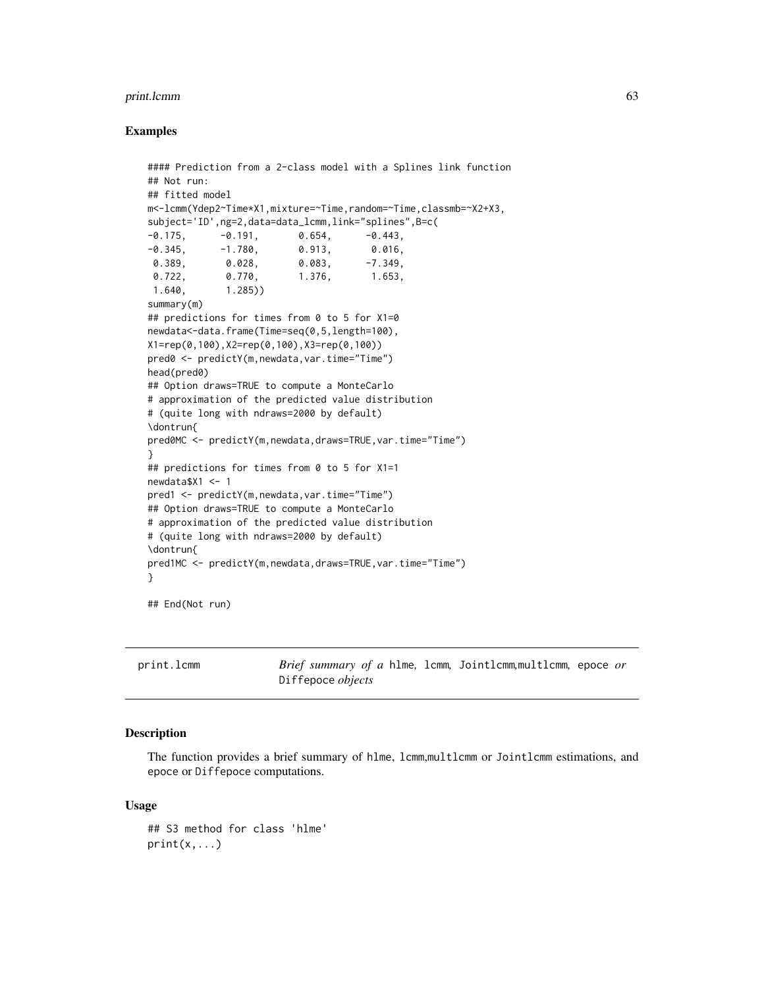#### <span id="page-62-0"></span>print.lcmm 63

#### Examples

```
#### Prediction from a 2-class model with a Splines link function
## Not run:
## fitted model
m<-lcmm(Ydep2~Time*X1,mixture=~Time,random=~Time,classmb=~X2+X3,
subject='ID',ng=2,data=data_lcmm,link="splines",B=c(
-0.175, -0.191, 0.654, -0.443,
-0.345, -1.780, 0.913, 0.016,0.389, 0.028, 0.083, -7.349,
0.722, 0.770, 1.376, 1.653,
1.640, 1.285))
summary(m)
## predictions for times from 0 to 5 for X1=0
newdata<-data.frame(Time=seq(0,5,length=100),
X1=rep(0,100),X2=rep(0,100),X3=rep(0,100))
pred0 <- predictY(m,newdata,var.time="Time")
head(pred0)
## Option draws=TRUE to compute a MonteCarlo
# approximation of the predicted value distribution
# (quite long with ndraws=2000 by default)
\dontrun{
pred0MC <- predictY(m,newdata,draws=TRUE,var.time="Time")
}
## predictions for times from 0 to 5 for X1=1
newdata$X1 <- 1
pred1 <- predictY(m,newdata,var.time="Time")
## Option draws=TRUE to compute a MonteCarlo
# approximation of the predicted value distribution
# (quite long with ndraws=2000 by default)
\dontrun{
pred1MC <- predictY(m,newdata,draws=TRUE,var.time="Time")
}
```
## End(Not run)

print.lcmm *Brief summary of a* hlme*,* lcmm*,* Jointlcmm*,*multlcmm*,* epoce *or* Diffepoce *objects*

#### <span id="page-62-1"></span>Description

The function provides a brief summary of hlme, lcmm,multlcmm or Jointlcmm estimations, and epoce or Diffepoce computations.

#### Usage

```
## S3 method for class 'hlme'
print(x, \ldots)
```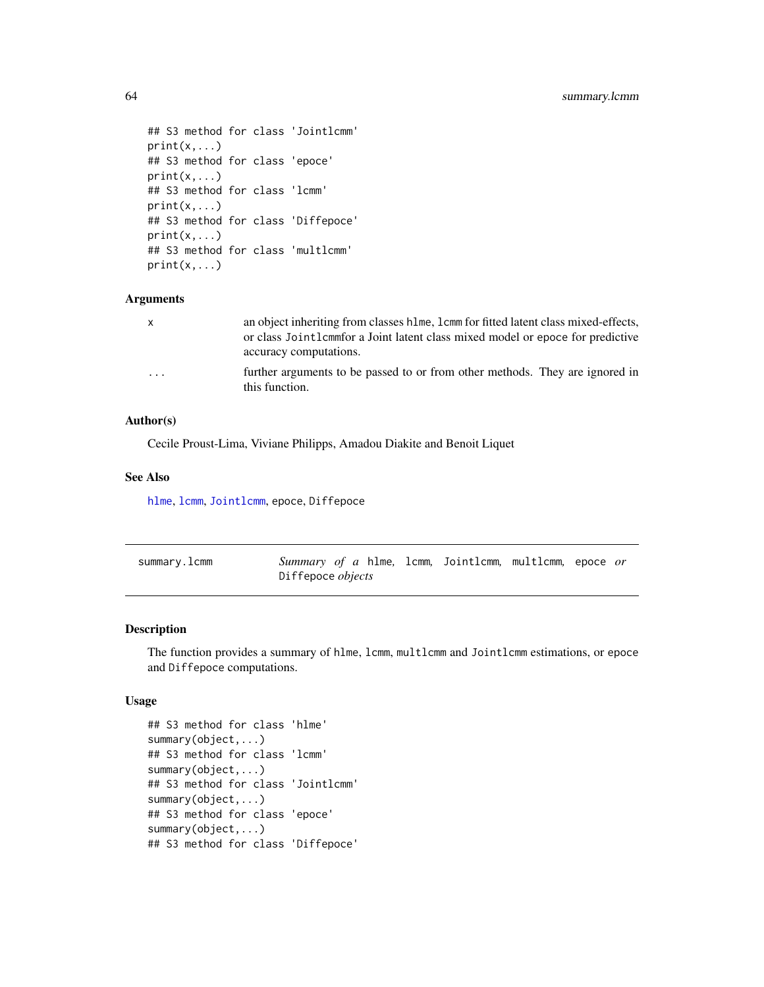```
## S3 method for class 'Jointlcmm'
print(x, \ldots)## S3 method for class 'epoce'
print(x, \ldots)## S3 method for class 'lcmm'
print(x,...)
## S3 method for class 'Diffepoce'
print(x, \ldots)## S3 method for class 'multlcmm'
print(x, \ldots)
```
#### Arguments

| $\mathsf{X}$            | an object inheriting from classes h1me, 1cmm for fitted latent class mixed-effects,            |
|-------------------------|------------------------------------------------------------------------------------------------|
|                         | or class Jointlemmfor a Joint latent class mixed model or epoce for predictive                 |
|                         | accuracy computations.                                                                         |
| $\cdot$ $\cdot$ $\cdot$ | further arguments to be passed to or from other methods. They are ignored in<br>this function. |

# Author(s)

Cecile Proust-Lima, Viviane Philipps, Amadou Diakite and Benoit Liquet

#### See Also

[hlme](#page-15-1), [lcmm](#page-28-1), [Jointlcmm](#page-20-1), epoce, Diffepoce

<span id="page-63-1"></span>

| summary. Lcmm | Summary of a hlme, lcmm, Jointlcmm, multlcmm, epoce or |  |  |  |
|---------------|--------------------------------------------------------|--|--|--|
|               | Diffepoce <i>objects</i>                               |  |  |  |

#### <span id="page-63-2"></span>Description

The function provides a summary of hlme, lcmm, multlcmm and Jointlcmm estimations, or epoce and Diffepoce computations.

#### Usage

```
## S3 method for class 'hlme'
summary(object,...)
## S3 method for class 'lcmm'
summary(object,...)
## S3 method for class 'Jointlcmm'
summary(object,...)
## S3 method for class 'epoce'
summary(object,...)
## S3 method for class 'Diffepoce'
```
<span id="page-63-0"></span>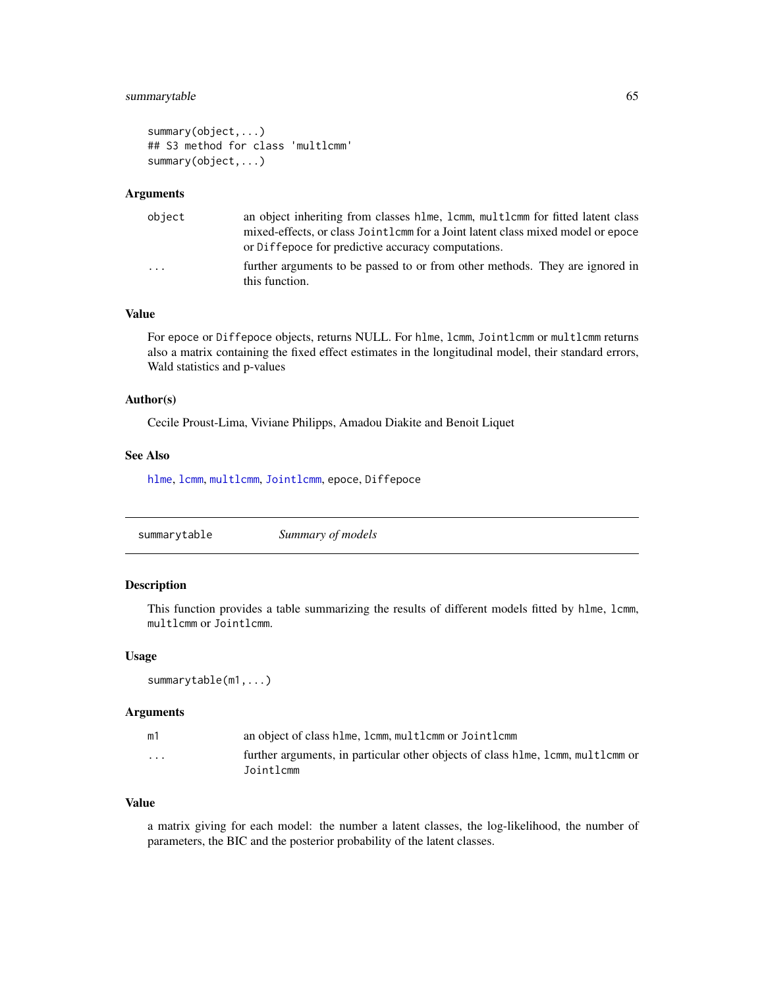# <span id="page-64-0"></span>summarytable 65

```
summary(object,...)
## S3 method for class 'multlcmm'
summary(object,...)
```
#### Arguments

| object | an object inheriting from classes hlme, lcmm, multlcmm for fitted latent class                                                        |
|--------|---------------------------------------------------------------------------------------------------------------------------------------|
|        | mixed-effects, or class Jointlemm for a Joint latent class mixed model or epoce<br>or Diffepoce for predictive accuracy computations. |
| .      | further arguments to be passed to or from other methods. They are ignored in<br>this function.                                        |

# Value

For epoce or Diffepoce objects, returns NULL. For hlme, lcmm, Jointlcmm or multlcmm returns also a matrix containing the fixed effect estimates in the longitudinal model, their standard errors, Wald statistics and p-values

# Author(s)

Cecile Proust-Lima, Viviane Philipps, Amadou Diakite and Benoit Liquet

#### See Also

[hlme](#page-15-1), [lcmm](#page-28-1), [multlcmm](#page-38-1), [Jointlcmm](#page-20-1), epoce, Diffepoce

| Summary of models<br>summarytable |
|-----------------------------------|
|-----------------------------------|

#### Description

This function provides a table summarizing the results of different models fitted by hlme, lcmm, multlcmm or Jointlcmm.

# Usage

summarytable(m1,...)

#### Arguments

| m1       | an object of class hlme, lcmm, multlcmm or Jointlcmm                                            |
|----------|-------------------------------------------------------------------------------------------------|
| $\cdots$ | further arguments, in particular other objects of class h lme, l cmm, multl cmm or<br>Jointlcmm |

#### Value

a matrix giving for each model: the number a latent classes, the log-likelihood, the number of parameters, the BIC and the posterior probability of the latent classes.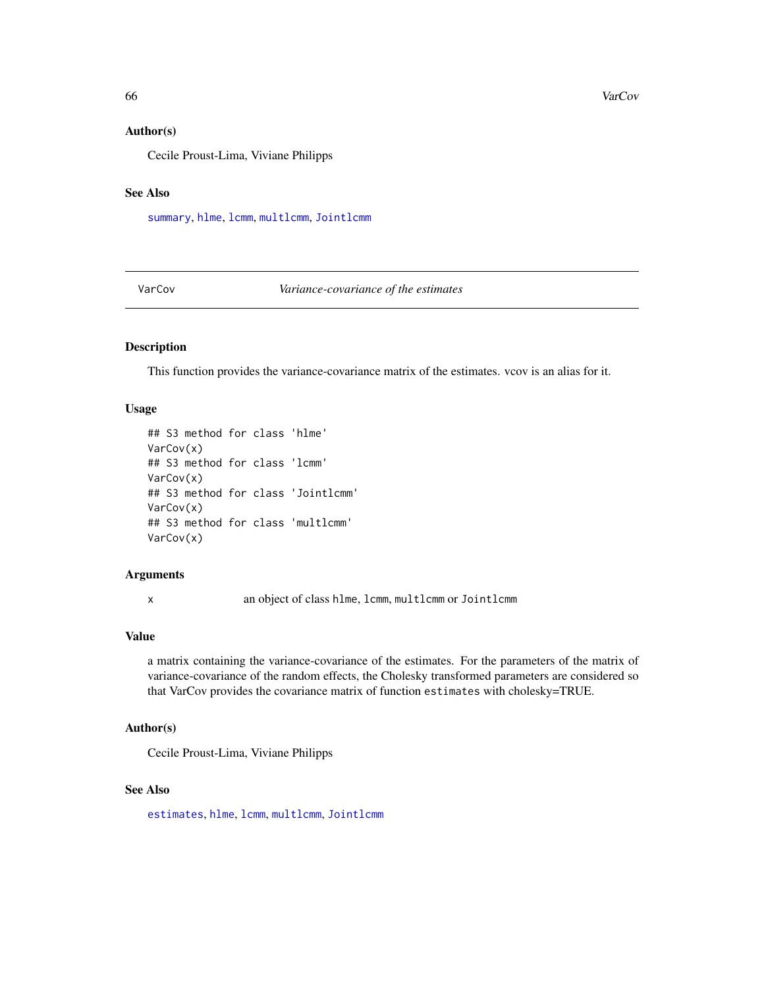#### Author(s)

Cecile Proust-Lima, Viviane Philipps

# See Also

[summary](#page-0-0), [hlme](#page-15-1), [lcmm](#page-28-1), [multlcmm](#page-38-1), [Jointlcmm](#page-20-1)

<span id="page-65-1"></span>VarCov *Variance-covariance of the estimates*

#### Description

This function provides the variance-covariance matrix of the estimates. vcov is an alias for it.

#### Usage

```
## S3 method for class 'hlme'
VarCov(x)
## S3 method for class 'lcmm'
VarCov(x)
## S3 method for class 'Jointlcmm'
VarCov(x)
## S3 method for class 'multlcmm'
VarCov(x)
```
#### Arguments

x an object of class hlme, lcmm, multlcmm or Jointlcmm

# Value

a matrix containing the variance-covariance of the estimates. For the parameters of the matrix of variance-covariance of the random effects, the Cholesky transformed parameters are considered so that VarCov provides the covariance matrix of function estimates with cholesky=TRUE.

# Author(s)

Cecile Proust-Lima, Viviane Philipps

#### See Also

[estimates](#page-11-1), [hlme](#page-15-1), [lcmm](#page-28-1), [multlcmm](#page-38-1), [Jointlcmm](#page-20-1)

<span id="page-65-0"></span>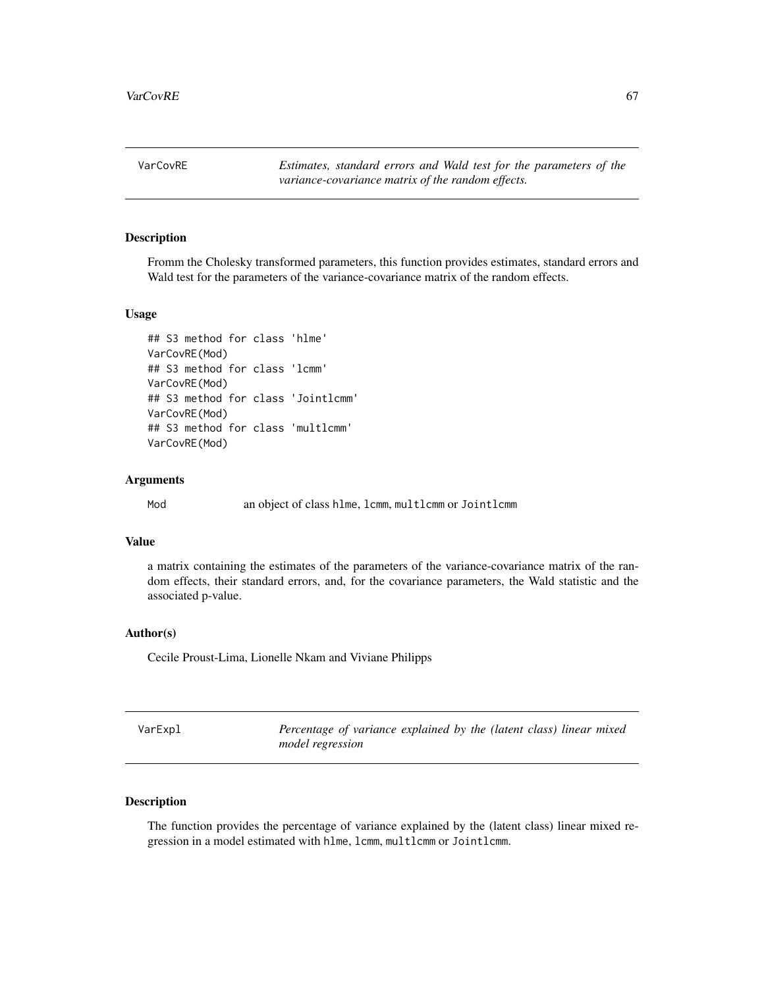<span id="page-66-0"></span>VarCovRE *Estimates, standard errors and Wald test for the parameters of the variance-covariance matrix of the random effects.*

#### Description

Fromm the Cholesky transformed parameters, this function provides estimates, standard errors and Wald test for the parameters of the variance-covariance matrix of the random effects.

# Usage

```
## S3 method for class 'hlme'
VarCovRE(Mod)
## S3 method for class 'lcmm'
VarCovRE(Mod)
## S3 method for class 'Jointlcmm'
VarCovRE(Mod)
## S3 method for class 'multlcmm'
VarCovRE(Mod)
```
#### Arguments

Mod an object of class hlme, lcmm, multlcmm or Jointlcmm

# Value

a matrix containing the estimates of the parameters of the variance-covariance matrix of the random effects, their standard errors, and, for the covariance parameters, the Wald statistic and the associated p-value.

#### Author(s)

Cecile Proust-Lima, Lionelle Nkam and Viviane Philipps

| VarExpl | Percentage of variance explained by the (latent class) linear mixed |  |
|---------|---------------------------------------------------------------------|--|
|         | <i>model regression</i>                                             |  |

# Description

The function provides the percentage of variance explained by the (latent class) linear mixed regression in a model estimated with hlme, lcmm, multlcmm or Jointlcmm.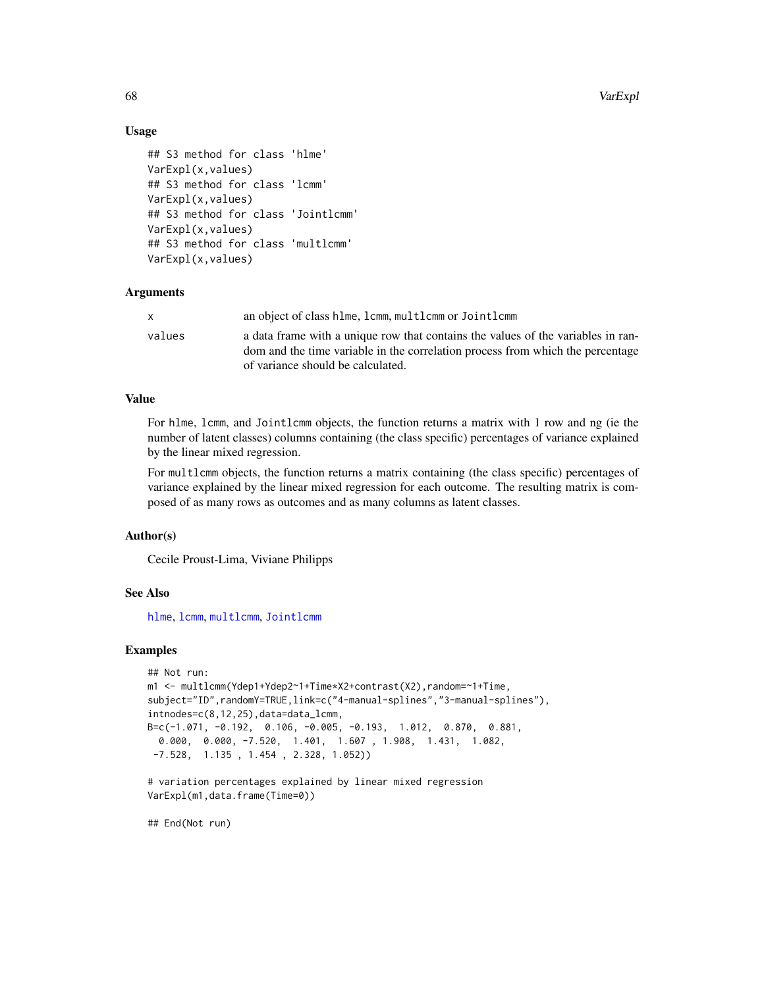68 VarExpl

# Usage

```
## S3 method for class 'hlme'
VarExpl(x,values)
## S3 method for class 'lcmm'
VarExpl(x,values)
## S3 method for class 'Jointlcmm'
VarExpl(x,values)
## S3 method for class 'multlcmm'
VarExpl(x,values)
```
#### Arguments

| x.     | an object of class hlme, lcmm, multlcmm or Jointlcmm                                                                                                               |
|--------|--------------------------------------------------------------------------------------------------------------------------------------------------------------------|
| values | a data frame with a unique row that contains the values of the variables in ran-<br>dom and the time variable in the correlation process from which the percentage |
|        | of variance should be calculated.                                                                                                                                  |

# Value

For hlme, lcmm, and Jointlcmm objects, the function returns a matrix with 1 row and ng (ie the number of latent classes) columns containing (the class specific) percentages of variance explained by the linear mixed regression.

For multlcmm objects, the function returns a matrix containing (the class specific) percentages of variance explained by the linear mixed regression for each outcome. The resulting matrix is composed of as many rows as outcomes and as many columns as latent classes.

## Author(s)

Cecile Proust-Lima, Viviane Philipps

# See Also

[hlme](#page-15-1), [lcmm](#page-28-1), [multlcmm](#page-38-1), [Jointlcmm](#page-20-1)

#### Examples

```
## Not run:
m1 <- multlcmm(Ydep1+Ydep2~1+Time*X2+contrast(X2),random=~1+Time,
subject="ID",randomY=TRUE,link=c("4-manual-splines","3-manual-splines"),
intnodes=c(8,12,25),data=data_lcmm,
B=c(-1.071, -0.192, 0.106, -0.005, -0.193, 1.012, 0.870, 0.881,
 0.000, 0.000, -7.520, 1.401, 1.607 , 1.908, 1.431, 1.082,
-7.528, 1.135 , 1.454 , 2.328, 1.052))
# variation percentages explained by linear mixed regression
VarExpl(m1,data.frame(Time=0))
```
## End(Not run)

<span id="page-67-0"></span>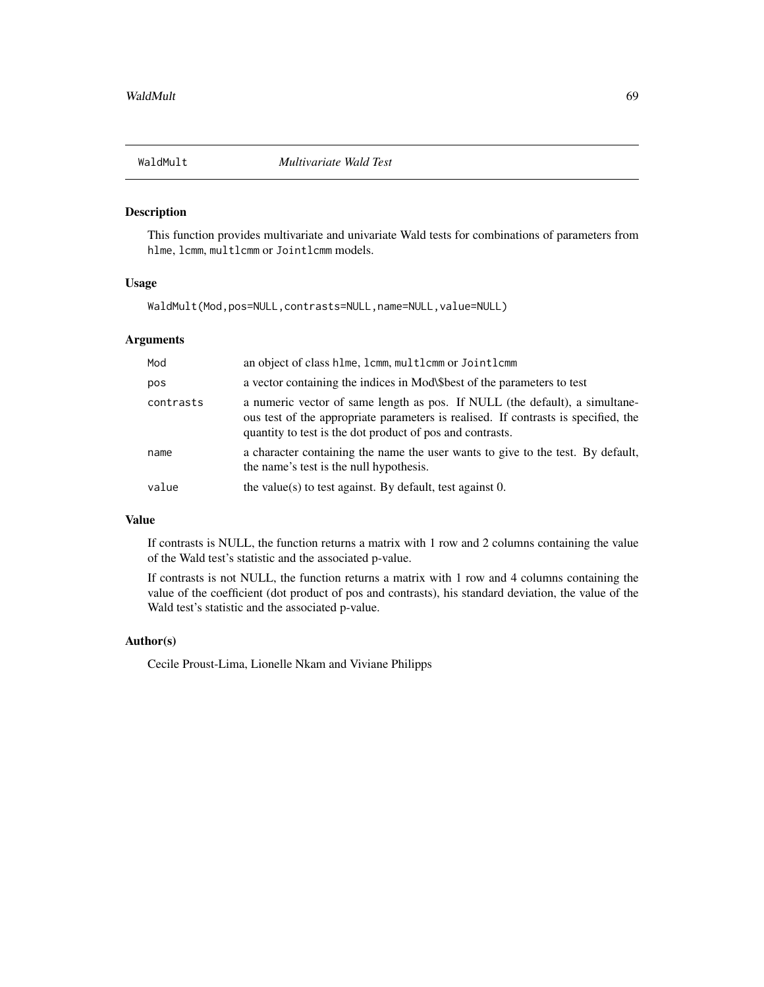<span id="page-68-0"></span>

# Description

This function provides multivariate and univariate Wald tests for combinations of parameters from hlme, lcmm, multlcmm or Jointlcmm models.

# Usage

WaldMult(Mod,pos=NULL,contrasts=NULL,name=NULL,value=NULL)

# Arguments

| Mod       | an object of class hlme, lcmm, multlcmm or Jointlcmm                                                                                                                                                                           |
|-----------|--------------------------------------------------------------------------------------------------------------------------------------------------------------------------------------------------------------------------------|
| pos       | a vector containing the indices in Mod\\$best of the parameters to test                                                                                                                                                        |
| contrasts | a numeric vector of same length as pos. If NULL (the default), a simultane-<br>ous test of the appropriate parameters is realised. If contrasts is specified, the<br>quantity to test is the dot product of pos and contrasts. |
| name      | a character containing the name the user wants to give to the test. By default,<br>the name's test is the null hypothesis.                                                                                                     |
| value     | the value(s) to test against. By default, test against $0$ .                                                                                                                                                                   |

# Value

If contrasts is NULL, the function returns a matrix with 1 row and 2 columns containing the value of the Wald test's statistic and the associated p-value.

If contrasts is not NULL, the function returns a matrix with 1 row and 4 columns containing the value of the coefficient (dot product of pos and contrasts), his standard deviation, the value of the Wald test's statistic and the associated p-value.

#### Author(s)

Cecile Proust-Lima, Lionelle Nkam and Viviane Philipps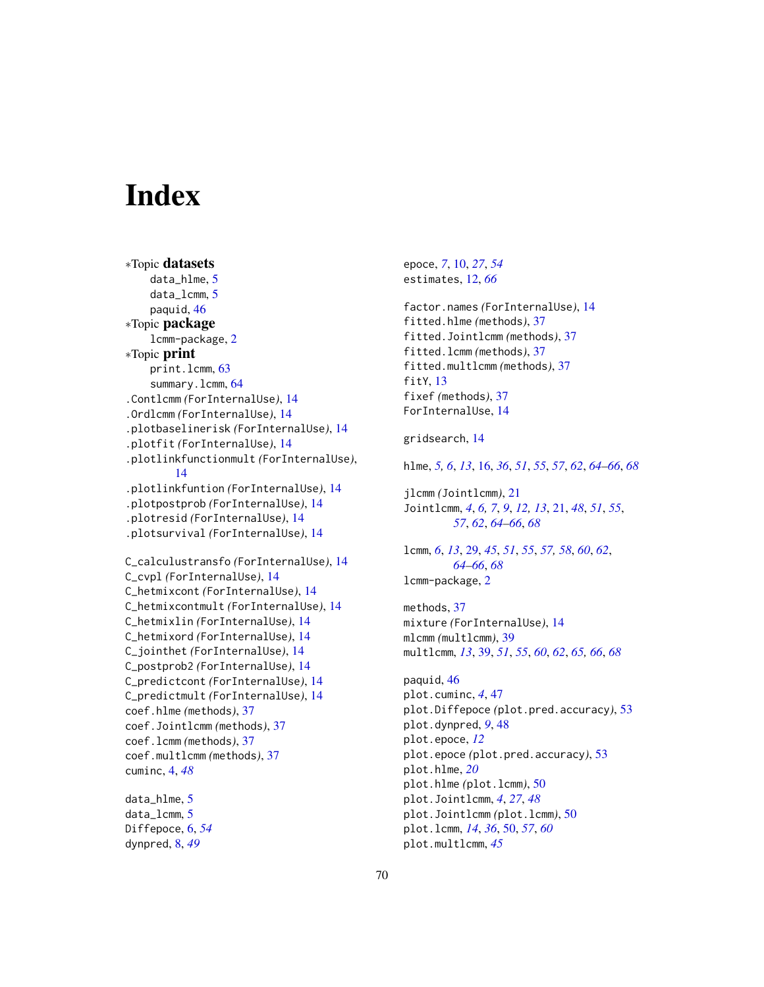# <span id="page-69-0"></span>**Index**

```
∗Topic datasets
    data_hlme, 5
    data_lcmm, 5
    paquid, 46
∗Topic package
    lcmm-package, 2
∗Topic print
    print.lcmm, 63
    64
.Contlcmm (ForInternalUse), 14
.Ordlcmm (ForInternalUse), 14
.plotbaselinerisk (ForInternalUse), 14
.plotfit (ForInternalUse), 14
.plotlinkfunctionmult (ForInternalUse),
        14
.plotlinkfuntion (ForInternalUse), 14
.plotpostprob (ForInternalUse), 14
.plotresid (ForInternalUse), 14
.plotsurvival (ForInternalUse), 14
C_calculustransfo (ForInternalUse), 14
C_cvpl (ForInternalUse), 14
C_hetmixcont (ForInternalUse), 14
C_hetmixcontmult (ForInternalUse), 14
C_hetmixlin (ForInternalUse), 14
C_hetmixord (ForInternalUse), 14
C_jointhet (ForInternalUse), 14
C_postprob2 (ForInternalUse), 14
C_predictcont (ForInternalUse), 14
C_predictmult (ForInternalUse), 14
coef.hlme (methods), 37
coef.Jointlcmm (methods), 37
coef.lcmm (methods), 37
coef.multlcmm (methods), 37
cuminc, 4, 48
data_hlme, 5
data_lcmm, 5
```

```
Diffepoce, 6, 54
dynpred, 8, 49
```
epoce, *[7](#page-6-0)*, [10,](#page-9-0) *[27](#page-26-0)*, *[54](#page-53-0)* estimates, [12,](#page-11-0) *[66](#page-65-0)* factor.names *(*ForInternalUse*)*, [14](#page-13-0) fitted.hlme *(*methods*)*, [37](#page-36-0) fitted.Jointlcmm *(*methods*)*, [37](#page-36-0) fitted.lcmm *(*methods*)*, [37](#page-36-0) fitted.multlcmm *(*methods*)*, [37](#page-36-0) fity,  $13$ fixef *(*methods*)*, [37](#page-36-0) ForInternalUse, [14](#page-13-0) gridsearch, [14](#page-13-0) hlme, *[5,](#page-4-0) [6](#page-5-0)*, *[13](#page-12-0)*, [16,](#page-15-0) *[36](#page-35-0)*, *[51](#page-50-0)*, *[55](#page-54-0)*, *[57](#page-56-0)*, *[62](#page-61-0)*, *[64](#page-63-0)[–66](#page-65-0)*, *[68](#page-67-0)* jlcmm *(*Jointlcmm*)*, [21](#page-20-0) Jointlcmm, *[4](#page-3-0)*, *[6,](#page-5-0) [7](#page-6-0)*, *[9](#page-8-0)*, *[12,](#page-11-0) [13](#page-12-0)*, [21,](#page-20-0) *[48](#page-47-0)*, *[51](#page-50-0)*, *[55](#page-54-0)*, *[57](#page-56-0)*, *[62](#page-61-0)*, *[64](#page-63-0)[–66](#page-65-0)*, *[68](#page-67-0)* lcmm, *[6](#page-5-0)*, *[13](#page-12-0)*, [29,](#page-28-0) *[45](#page-44-0)*, *[51](#page-50-0)*, *[55](#page-54-0)*, *[57,](#page-56-0) [58](#page-57-0)*, *[60](#page-59-0)*, *[62](#page-61-0)*, *[64](#page-63-0)[–66](#page-65-0)*, *[68](#page-67-0)* lcmm-package, [2](#page-1-0) methods, [37](#page-36-0) mixture *(*ForInternalUse*)*, [14](#page-13-0) mlcmm *(*multlcmm*)*, [39](#page-38-0) multlcmm, *[13](#page-12-0)*, [39,](#page-38-0) *[51](#page-50-0)*, *[55](#page-54-0)*, *[60](#page-59-0)*, *[62](#page-61-0)*, *[65,](#page-64-0) [66](#page-65-0)*, *[68](#page-67-0)* paquid, [46](#page-45-0) plot.cuminc, *[4](#page-3-0)*, [47](#page-46-0) plot.Diffepoce *(*plot.pred.accuracy*)*, [53](#page-52-0) plot.dynpred, *[9](#page-8-0)*, [48](#page-47-0) plot.epoce, *[12](#page-11-0)* plot.epoce *(*plot.pred.accuracy*)*, [53](#page-52-0) plot.hlme, *[20](#page-19-0)* plot.hlme *(*plot.lcmm*)*, [50](#page-49-0)

plot.Jointlcmm, *[4](#page-3-0)*, *[27](#page-26-0)*, *[48](#page-47-0)* plot.Jointlcmm *(*plot.lcmm*)*, [50](#page-49-0) plot.lcmm, *[14](#page-13-0)*, *[36](#page-35-0)*, [50,](#page-49-0) *[57](#page-56-0)*, *[60](#page-59-0)*

plot.multlcmm, *[45](#page-44-0)*